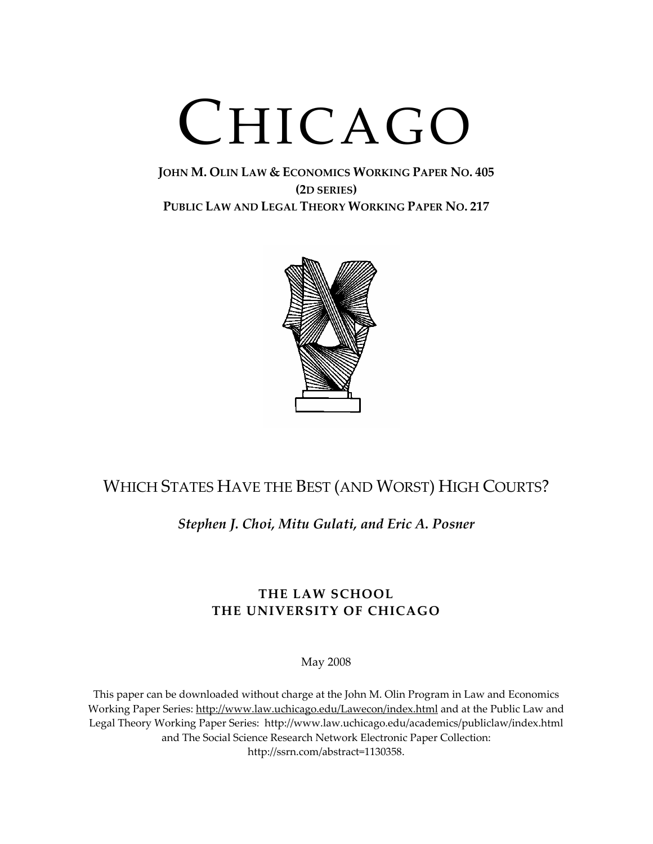# CHICAGO

# **JOHN M. OLIN LAW & ECONOMICS WORKING PAPER NO. 405 (2D SERIES) PUBLIC LAW AND LEGAL THEORY WORKING PAPER NO. 217**



# WHICH STATES HAVE THE BEST (AND WORST) HIGH COURTS?

# *Stephen J. Choi, Mitu Gulati, and Eric A. Posner*

# **THE LAW SCHOOL THE UNIVERSITY OF CHICAGO**

May 2008

This paper can be downloaded without charge at the John M. Olin Program in Law and Economics Working Paper Series: http://www.law.uchicago.edu/Lawecon/index.html and at the Public Law and Legal Theory Working Paper Series: http://www.law.uchicago.edu/academics/publiclaw/index.html and The Social Science Research Network Electronic Paper Collection: http://ssrn.com/abstract=1130358.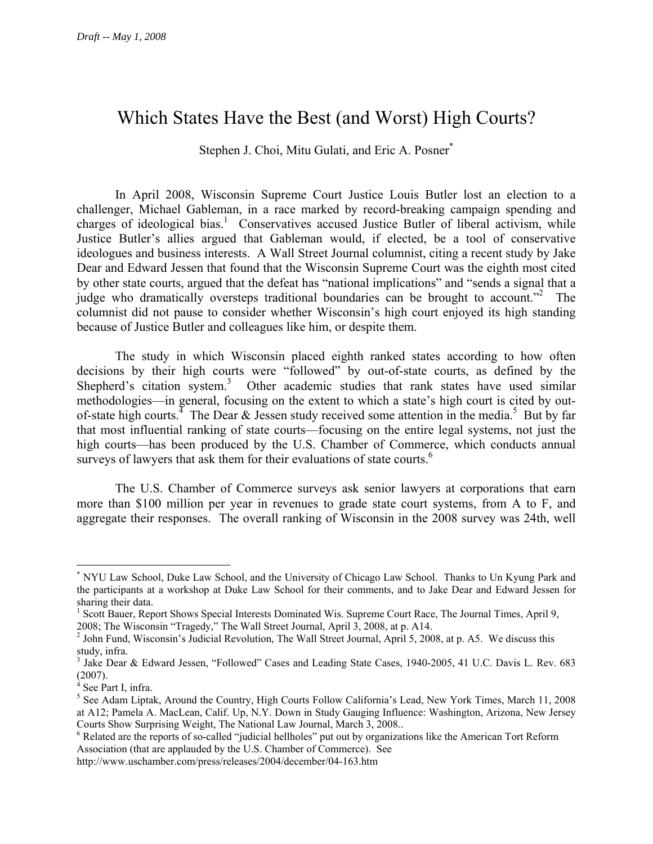# Which States Have the Best (and Worst) High Courts?

Stephen J. Choi, Mitu Gulati, and Eric A. Posner<sup>\*</sup>

In April 2008, Wisconsin Supreme Court Justice Louis Butler lost an election to a challenger, Michael Gableman, in a race marked by record-breaking campaign spending and charges of ideological bias.<sup>1</sup> Conservatives accused Justice Butler of liberal activism, while Justice Butler's allies argued that Gableman would, if elected, be a tool of conservative ideologues and business interests. A Wall Street Journal columnist, citing a recent study by Jake Dear and Edward Jessen that found that the Wisconsin Supreme Court was the eighth most cited by other state courts, argued that the defeat has "national implications" and "sends a signal that a judge who dramatically oversteps traditional boundaries can be brought to account."<sup>2</sup> The columnist did not pause to consider whether Wisconsin's high court enjoyed its high standing because of Justice Butler and colleagues like him, or despite them.

The study in which Wisconsin placed eighth ranked states according to how often decisions by their high courts were "followed" by out-of-state courts, as defined by the Shepherd's citation system.<sup>3</sup> Other academic studies that rank states have used similar methodologies—in general, focusing on the extent to which a state's high court is cited by outof-state high courts.<sup>4</sup> The Dear & Jessen study received some attention in the media.<sup>5</sup> But by far that most influential ranking of state courts—focusing on the entire legal systems, not just the high courts—has been produced by the U.S. Chamber of Commerce, which conducts annual surveys of lawyers that ask them for their evaluations of state courts.<sup>6</sup>

 The U.S. Chamber of Commerce surveys ask senior lawyers at corporations that earn more than \$100 million per year in revenues to grade state court systems, from A to F, and aggregate their responses. The overall ranking of Wisconsin in the 2008 survey was 24th, well

1

<sup>\*</sup> NYU Law School, Duke Law School, and the University of Chicago Law School. Thanks to Un Kyung Park and the participants at a workshop at Duke Law School for their comments, and to Jake Dear and Edward Jessen for sharing their data.

<sup>&</sup>lt;sup>1</sup> Scott Bauer, Report Shows Special Interests Dominated Wis. Supreme Court Race, The Journal Times, April 9, 2008; The Wisconsin "Tragedy," The Wall Street Journal, April 3, 2008, at p. A14.

 $2$  John Fund, Wisconsin's Judicial Revolution, The Wall Street Journal, April 5, 2008, at p. A5. We discuss this study, infra.

<sup>&</sup>lt;sup>3</sup> Jake Dear & Edward Jessen, "Followed" Cases and Leading State Cases, 1940-2005, 41 U.C. Davis L. Rev. 683  $(2007)$ .

See Part I, infra.

<sup>&</sup>lt;sup>5</sup> See Adam Liptak, Around the Country, High Courts Follow California's Lead, New York Times, March 11, 2008 at A12; Pamela A. MacLean, Calif. Up, N.Y. Down in Study Gauging Influence: Washington, Arizona, New Jersey Courts Show Surprising Weight, The National Law Journal, March 3, 2008..

<sup>&</sup>lt;sup>6</sup> Related are the reports of so-called "judicial hellholes" put out by organizations like the American Tort Reform Association (that are applauded by the U.S. Chamber of Commerce). See

http://www.uschamber.com/press/releases/2004/december/04-163.htm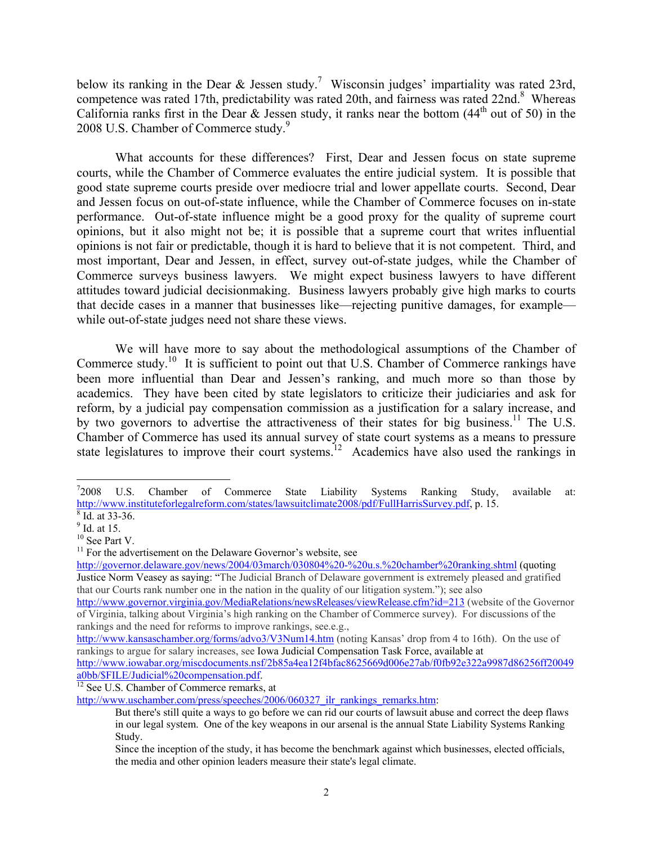below its ranking in the Dear & Jessen study.<sup>7</sup> Wisconsin judges' impartiality was rated 23rd, competence was rated 17th, predictability was rated 20th, and fairness was rated 22nd.<sup>8</sup> Whereas California ranks first in the Dear & Jessen study, it ranks near the bottom  $(44<sup>th</sup>$  out of 50) in the 2008 U.S. Chamber of Commerce study.<sup>9</sup>

 What accounts for these differences? First, Dear and Jessen focus on state supreme courts, while the Chamber of Commerce evaluates the entire judicial system. It is possible that good state supreme courts preside over mediocre trial and lower appellate courts. Second, Dear and Jessen focus on out-of-state influence, while the Chamber of Commerce focuses on in-state performance. Out-of-state influence might be a good proxy for the quality of supreme court opinions, but it also might not be; it is possible that a supreme court that writes influential opinions is not fair or predictable, though it is hard to believe that it is not competent. Third, and most important, Dear and Jessen, in effect, survey out-of-state judges, while the Chamber of Commerce surveys business lawyers. We might expect business lawyers to have different attitudes toward judicial decisionmaking. Business lawyers probably give high marks to courts that decide cases in a manner that businesses like—rejecting punitive damages, for example while out-of-state judges need not share these views.

 We will have more to say about the methodological assumptions of the Chamber of Commerce study.<sup>10</sup> It is sufficient to point out that U.S. Chamber of Commerce rankings have been more influential than Dear and Jessen's ranking, and much more so than those by academics. They have been cited by state legislators to criticize their judiciaries and ask for reform, by a judicial pay compensation commission as a justification for a salary increase, and by two governors to advertise the attractiveness of their states for big business.<sup>11</sup> The U.S. Chamber of Commerce has used its annual survey of state court systems as a means to pressure state legislatures to improve their court systems.<sup>12</sup> Academics have also used the rankings in

 $\overline{a}$ 

http://governor.delaware.gov/news/2004/03march/030804%20-%20u.s.%20chamber%20ranking.shtml (quoting Justice Norm Veasey as saying: "The Judicial Branch of Delaware government is extremely pleased and gratified that our Courts rank number one in the nation in the quality of our litigation system."); see also

http://www.governor.virginia.gov/MediaRelations/newsReleases/viewRelease.cfm?id=213 (website of the Governor of Virginia, talking about Virginia's high ranking on the Chamber of Commerce survey). For discussions of the rankings and the need for reforms to improve rankings, see.e.g.,

 $^{7}2008$  U.S. Chamber of Commerce State Liability Systems Ranking Study, available at: http://www.instituteforlegalreform.com/states/lawsuitclimate2008/pdf/FullHarrisSurvey.pdf, p. 15.  $8$  Id. at 33-36.

<sup>&</sup>lt;sup>9</sup> Id. at 15.

 $10$  See Part V.

 $11$  For the advertisement on the Delaware Governor's website, see

http://www.kansaschamber.org/forms/advo3/V3Num14.htm (noting Kansas' drop from 4 to 16th). On the use of rankings to argue for salary increases, see Iowa Judicial Compensation Task Force, available at

http://www.iowabar.org/miscdocuments.nsf/2b85a4ea12f4bfac8625669d006e27ab/f0fb92e322a9987d86256ff20049 a0bb/\$FILE/Judicial%20compensation.pdf.<br><sup>12</sup> See U.S. Chamber of Commerce remarks, at

http://www.uschamber.com/press/speeches/2006/060327 ilr\_rankings\_remarks.htm:

But there's still quite a ways to go before we can rid our courts of lawsuit abuse and correct the deep flaws in our legal system. One of the key weapons in our arsenal is the annual State Liability Systems Ranking Study.

Since the inception of the study, it has become the benchmark against which businesses, elected officials, the media and other opinion leaders measure their state's legal climate.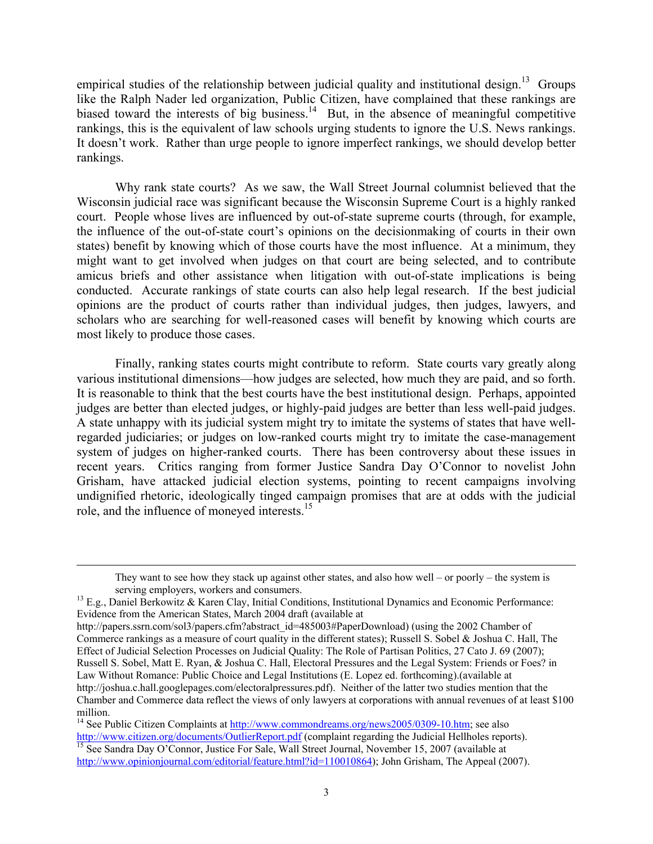empirical studies of the relationship between judicial quality and institutional design.<sup>13</sup> Groups like the Ralph Nader led organization, Public Citizen, have complained that these rankings are biased toward the interests of big business.<sup>14</sup> But, in the absence of meaningful competitive rankings, this is the equivalent of law schools urging students to ignore the U.S. News rankings. It doesn't work. Rather than urge people to ignore imperfect rankings, we should develop better rankings.

Why rank state courts? As we saw, the Wall Street Journal columnist believed that the Wisconsin judicial race was significant because the Wisconsin Supreme Court is a highly ranked court. People whose lives are influenced by out-of-state supreme courts (through, for example, the influence of the out-of-state court's opinions on the decisionmaking of courts in their own states) benefit by knowing which of those courts have the most influence. At a minimum, they might want to get involved when judges on that court are being selected, and to contribute amicus briefs and other assistance when litigation with out-of-state implications is being conducted. Accurate rankings of state courts can also help legal research. If the best judicial opinions are the product of courts rather than individual judges, then judges, lawyers, and scholars who are searching for well-reasoned cases will benefit by knowing which courts are most likely to produce those cases.

 Finally, ranking states courts might contribute to reform. State courts vary greatly along various institutional dimensions—how judges are selected, how much they are paid, and so forth. It is reasonable to think that the best courts have the best institutional design. Perhaps, appointed judges are better than elected judges, or highly-paid judges are better than less well-paid judges. A state unhappy with its judicial system might try to imitate the systems of states that have wellregarded judiciaries; or judges on low-ranked courts might try to imitate the case-management system of judges on higher-ranked courts. There has been controversy about these issues in recent years. Critics ranging from former Justice Sandra Day O'Connor to novelist John Grisham, have attacked judicial election systems, pointing to recent campaigns involving undignified rhetoric, ideologically tinged campaign promises that are at odds with the judicial role, and the influence of moneyed interests.15

They want to see how they stack up against other states, and also how well – or poorly – the system is

serving employers, workers and consumers.<br><sup>13</sup> E.g., Daniel Berkowitz & Karen Clay, Initial Conditions, Institutional Dynamics and Economic Performance: Evidence from the American States, March 2004 draft (available at

http://papers.ssrn.com/sol3/papers.cfm?abstract\_id=485003#PaperDownload) (using the 2002 Chamber of Commerce rankings as a measure of court quality in the different states); Russell S. Sobel & Joshua C. Hall, The Effect of Judicial Selection Processes on Judicial Quality: The Role of Partisan Politics, 27 Cato J. 69 (2007); Russell S. Sobel, Matt E. Ryan, & Joshua C. Hall, Electoral Pressures and the Legal System: Friends or Foes? in Law Without Romance: Public Choice and Legal Institutions (E. Lopez ed. forthcoming).(available at http://joshua.c.hall.googlepages.com/electoralpressures.pdf). Neither of the latter two studies mention that the Chamber and Commerce data reflect the views of only lawyers at corporations with annual revenues of at least \$100 million.

<sup>&</sup>lt;sup>14</sup> See Public Citizen Complaints at  $\frac{http://www.commondreams.org/news2005/0309-10.htm}{http://www.citizen.org/documents/OutlierReport.pdf}$  (complaint regarding the Judicial Hellholes reports). 15 See Sandra Day O'Connor, Justice For Sale, Wall Street Journal, November 15, 2007 (available at http://www.opinionjournal.com/editorial/feature.html?id=110010864); John Grisham, The Appeal (2007).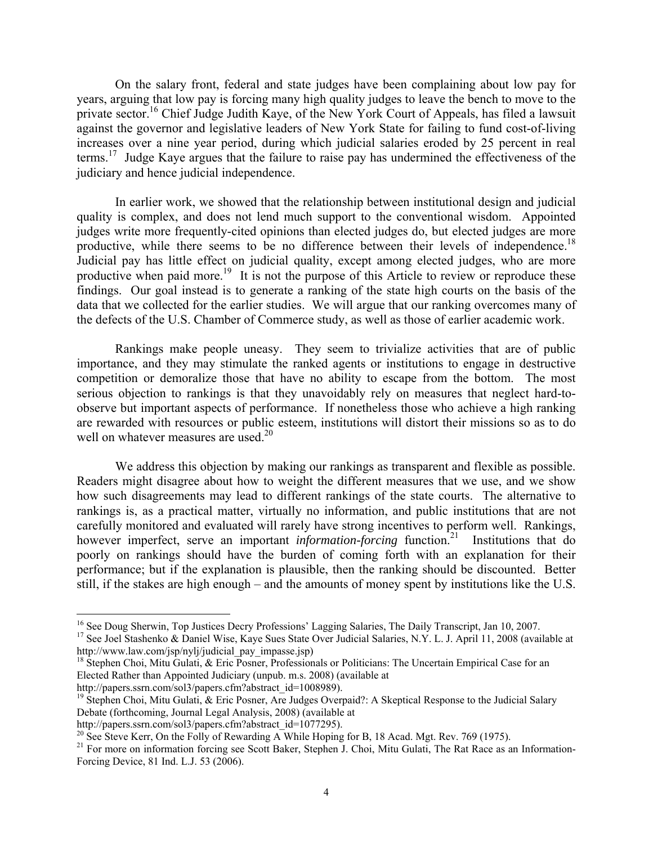On the salary front, federal and state judges have been complaining about low pay for years, arguing that low pay is forcing many high quality judges to leave the bench to move to the private sector.<sup>16</sup> Chief Judge Judith Kaye, of the New York Court of Appeals, has filed a lawsuit against the governor and legislative leaders of New York State for failing to fund cost-of-living increases over a nine year period, during which judicial salaries eroded by 25 percent in real terms.17 Judge Kaye argues that the failure to raise pay has undermined the effectiveness of the judiciary and hence judicial independence.

In earlier work, we showed that the relationship between institutional design and judicial quality is complex, and does not lend much support to the conventional wisdom. Appointed judges write more frequently-cited opinions than elected judges do, but elected judges are more productive, while there seems to be no difference between their levels of independence.<sup>18</sup> Judicial pay has little effect on judicial quality, except among elected judges, who are more productive when paid more.<sup>19</sup> It is not the purpose of this Article to review or reproduce these findings. Our goal instead is to generate a ranking of the state high courts on the basis of the data that we collected for the earlier studies. We will argue that our ranking overcomes many of the defects of the U.S. Chamber of Commerce study, as well as those of earlier academic work.

Rankings make people uneasy. They seem to trivialize activities that are of public importance, and they may stimulate the ranked agents or institutions to engage in destructive competition or demoralize those that have no ability to escape from the bottom. The most serious objection to rankings is that they unavoidably rely on measures that neglect hard-toobserve but important aspects of performance. If nonetheless those who achieve a high ranking are rewarded with resources or public esteem, institutions will distort their missions so as to do well on whatever measures are used.<sup>20</sup>

We address this objection by making our rankings as transparent and flexible as possible. Readers might disagree about how to weight the different measures that we use, and we show how such disagreements may lead to different rankings of the state courts. The alternative to rankings is, as a practical matter, virtually no information, and public institutions that are not carefully monitored and evaluated will rarely have strong incentives to perform well. Rankings, however imperfect, serve an important *information-forcing* function.<sup>21</sup> Institutions that do poorly on rankings should have the burden of coming forth with an explanation for their performance; but if the explanation is plausible, then the ranking should be discounted. Better still, if the stakes are high enough – and the amounts of money spent by institutions like the U.S.

 $\overline{a}$ 

<sup>&</sup>lt;sup>16</sup> See Doug Sherwin, Top Justices Decry Professions' Lagging Salaries, The Daily Transcript, Jan 10, 2007.

<sup>&</sup>lt;sup>17</sup> See Joel Stashenko & Daniel Wise, Kaye Sues State Over Judicial Salaries, N.Y. L. J. April 11, 2008 (available at http://www.law.com/jsp/nylj/judicial\_pay\_impasse.jsp)

<sup>&</sup>lt;sup>18</sup> Stephen Choi, Mitu Gulati, & Eric Posner, Professionals or Politicians: The Uncertain Empirical Case for an Elected Rather than Appointed Judiciary (unpub. m.s. 2008) (available at http://papers.ssrn.com/sol3/papers.cfm?abstract\_id=1008989).

<sup>&</sup>lt;sup>19</sup> Stephen Choi, Mitu Gulati,  $\&$  Eric Posner, Are Judges Overpaid?: A Skeptical Response to the Judicial Salary Debate (forthcoming, Journal Legal Analysis, 2008) (available at

http://papers.ssrn.com/sol3/papers.cfm?abstract\_id=1077295).<br><sup>20</sup> See Steve Kerr, On the Folly of Rewarding A While Hoping for B, 18 Acad. Mgt. Rev. 769 (1975).

<sup>&</sup>lt;sup>21</sup> For more on information forcing see Scott Baker, Stephen J. Choi, Mitu Gulati, The Rat Race as an Information-Forcing Device, 81 Ind. L.J. 53 (2006).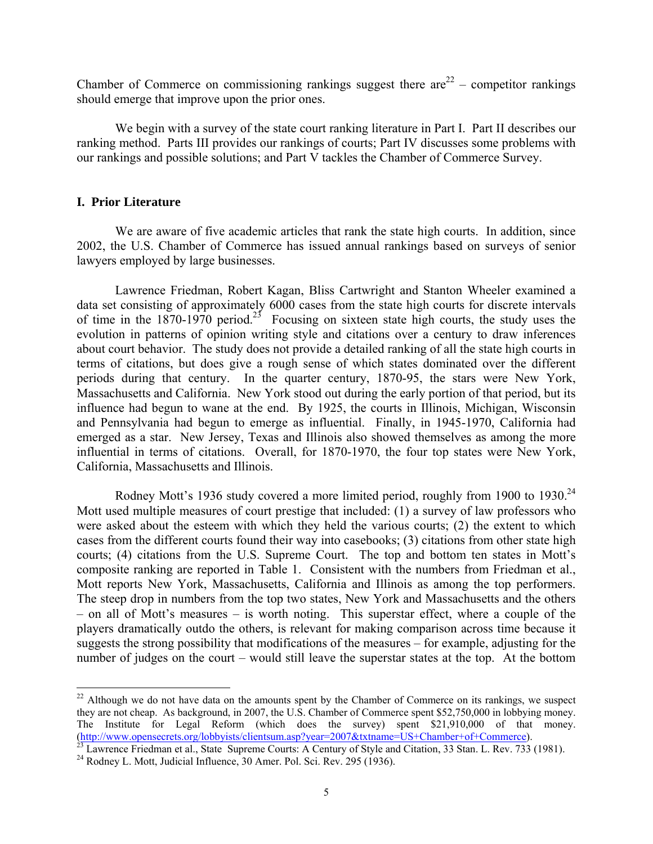Chamber of Commerce on commissioning rankings suggest there  $are^{22}$  – competitor rankings should emerge that improve upon the prior ones.

We begin with a survey of the state court ranking literature in Part I. Part II describes our ranking method. Parts III provides our rankings of courts; Part IV discusses some problems with our rankings and possible solutions; and Part V tackles the Chamber of Commerce Survey.

## **I. Prior Literature**

 $\overline{a}$ 

We are aware of five academic articles that rank the state high courts. In addition, since 2002, the U.S. Chamber of Commerce has issued annual rankings based on surveys of senior lawyers employed by large businesses.

Lawrence Friedman, Robert Kagan, Bliss Cartwright and Stanton Wheeler examined a data set consisting of approximately 6000 cases from the state high courts for discrete intervals of time in the 1870-1970 period.<sup>23</sup> Focusing on sixteen state high courts, the study uses the evolution in patterns of opinion writing style and citations over a century to draw inferences about court behavior. The study does not provide a detailed ranking of all the state high courts in terms of citations, but does give a rough sense of which states dominated over the different periods during that century. In the quarter century, 1870-95, the stars were New York, Massachusetts and California. New York stood out during the early portion of that period, but its influence had begun to wane at the end. By 1925, the courts in Illinois, Michigan, Wisconsin and Pennsylvania had begun to emerge as influential. Finally, in 1945-1970, California had emerged as a star. New Jersey, Texas and Illinois also showed themselves as among the more influential in terms of citations. Overall, for 1870-1970, the four top states were New York, California, Massachusetts and Illinois.

Rodney Mott's 1936 study covered a more limited period, roughly from 1900 to 1930.<sup>24</sup> Mott used multiple measures of court prestige that included: (1) a survey of law professors who were asked about the esteem with which they held the various courts; (2) the extent to which cases from the different courts found their way into casebooks; (3) citations from other state high courts; (4) citations from the U.S. Supreme Court. The top and bottom ten states in Mott's composite ranking are reported in Table 1. Consistent with the numbers from Friedman et al., Mott reports New York, Massachusetts, California and Illinois as among the top performers. The steep drop in numbers from the top two states, New York and Massachusetts and the others – on all of Mott's measures – is worth noting. This superstar effect, where a couple of the players dramatically outdo the others, is relevant for making comparison across time because it suggests the strong possibility that modifications of the measures – for example, adjusting for the number of judges on the court – would still leave the superstar states at the top. At the bottom

 $22$  Although we do not have data on the amounts spent by the Chamber of Commerce on its rankings, we suspect they are not cheap. As background, in 2007, the U.S. Chamber of Commerce spent \$52,750,000 in lobbying money. The Institute for Legal Reform (which does the survey) spent \$21,910,000 of that money. (http://www.opensecrets.org/lobbyists/clientsum.asp?year=2007&txtname=US+Chamber+of+Commerce).<br><sup>23</sup> Lawrence Friedman et al., State Supreme Courts: A Century of Style and Citation, 33 Stan. L. Rev. 733 (1981).

 $^{24}$  Rodney L. Mott, Judicial Influence, 30 Amer. Pol. Sci. Rev. 295 (1936).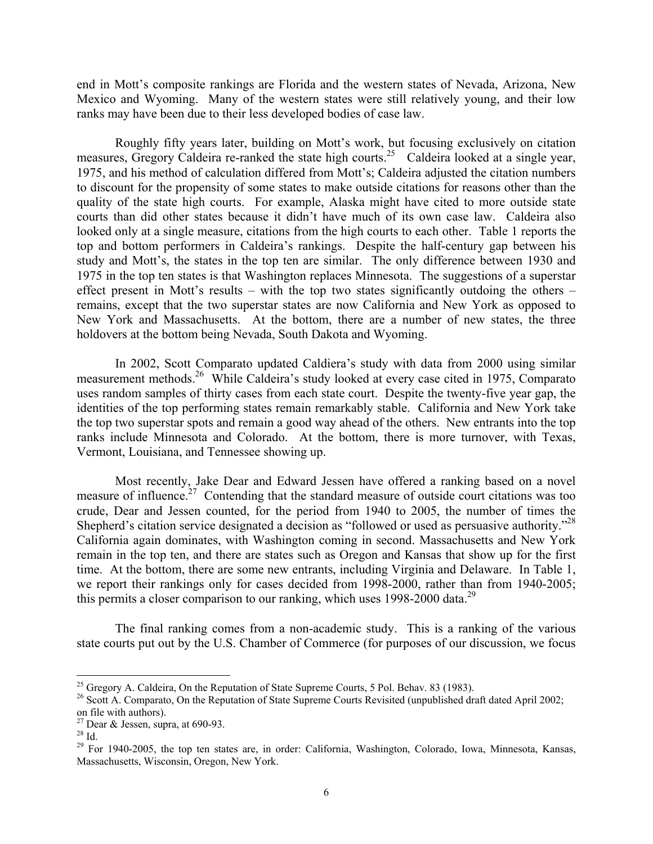end in Mott's composite rankings are Florida and the western states of Nevada, Arizona, New Mexico and Wyoming. Many of the western states were still relatively young, and their low ranks may have been due to their less developed bodies of case law.

Roughly fifty years later, building on Mott's work, but focusing exclusively on citation measures, Gregory Caldeira re-ranked the state high courts.<sup>25</sup> Caldeira looked at a single year, 1975, and his method of calculation differed from Mott's; Caldeira adjusted the citation numbers to discount for the propensity of some states to make outside citations for reasons other than the quality of the state high courts. For example, Alaska might have cited to more outside state courts than did other states because it didn't have much of its own case law. Caldeira also looked only at a single measure, citations from the high courts to each other. Table 1 reports the top and bottom performers in Caldeira's rankings. Despite the half-century gap between his study and Mott's, the states in the top ten are similar. The only difference between 1930 and 1975 in the top ten states is that Washington replaces Minnesota. The suggestions of a superstar effect present in Mott's results – with the top two states significantly outdoing the others – remains, except that the two superstar states are now California and New York as opposed to New York and Massachusetts. At the bottom, there are a number of new states, the three holdovers at the bottom being Nevada, South Dakota and Wyoming.

In 2002, Scott Comparato updated Caldiera's study with data from 2000 using similar measurement methods.26 While Caldeira's study looked at every case cited in 1975, Comparato uses random samples of thirty cases from each state court. Despite the twenty-five year gap, the identities of the top performing states remain remarkably stable. California and New York take the top two superstar spots and remain a good way ahead of the others. New entrants into the top ranks include Minnesota and Colorado. At the bottom, there is more turnover, with Texas, Vermont, Louisiana, and Tennessee showing up.

Most recently, Jake Dear and Edward Jessen have offered a ranking based on a novel measure of influence.<sup>27</sup> Contending that the standard measure of outside court citations was too crude, Dear and Jessen counted, for the period from 1940 to 2005, the number of times the Shepherd's citation service designated a decision as "followed or used as persuasive authority."28 California again dominates, with Washington coming in second. Massachusetts and New York remain in the top ten, and there are states such as Oregon and Kansas that show up for the first time. At the bottom, there are some new entrants, including Virginia and Delaware. In Table 1, we report their rankings only for cases decided from 1998-2000, rather than from 1940-2005; this permits a closer comparison to our ranking, which uses  $1998-2000$  data.<sup>29</sup>

The final ranking comes from a non-academic study. This is a ranking of the various state courts put out by the U.S. Chamber of Commerce (for purposes of our discussion, we focus

 $\overline{a}$ 

<sup>&</sup>lt;sup>25</sup> Gregory A. Caldeira, On the Reputation of State Supreme Courts, 5 Pol. Behav. 83 (1983).

<sup>&</sup>lt;sup>26</sup> Scott A. Comparato, On the Reputation of State Supreme Courts Revisited (unpublished draft dated April 2002; on file with authors).

<sup>&</sup>lt;sup>27</sup> Dear & Jessen, supra, at 690-93.

 $^{28}$  Id.

<sup>&</sup>lt;sup>29</sup> For 1940-2005, the top ten states are, in order: California, Washington, Colorado, Iowa, Minnesota, Kansas, Massachusetts, Wisconsin, Oregon, New York.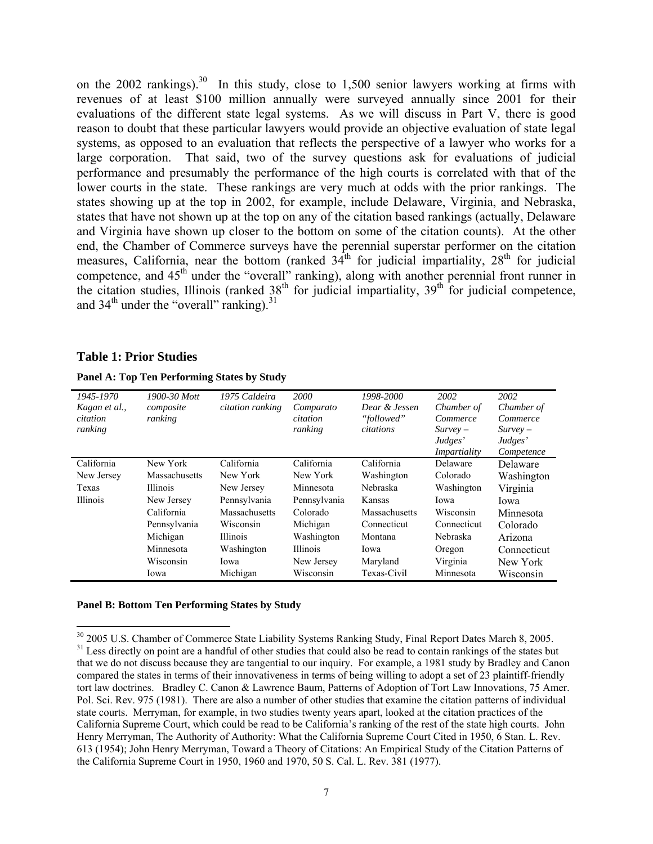on the 2002 rankings).<sup>30</sup> In this study, close to 1,500 senior lawyers working at firms with revenues of at least \$100 million annually were surveyed annually since 2001 for their evaluations of the different state legal systems. As we will discuss in Part V, there is good reason to doubt that these particular lawyers would provide an objective evaluation of state legal systems, as opposed to an evaluation that reflects the perspective of a lawyer who works for a large corporation. That said, two of the survey questions ask for evaluations of judicial performance and presumably the performance of the high courts is correlated with that of the lower courts in the state. These rankings are very much at odds with the prior rankings. The states showing up at the top in 2002, for example, include Delaware, Virginia, and Nebraska, states that have not shown up at the top on any of the citation based rankings (actually, Delaware and Virginia have shown up closer to the bottom on some of the citation counts). At the other end, the Chamber of Commerce surveys have the perennial superstar performer on the citation measures, California, near the bottom (ranked  $34<sup>th</sup>$  for judicial impartiality,  $28<sup>th</sup>$  for judicial competence, and 45<sup>th</sup> under the "overall" ranking), along with another perennial front runner in the citation studies, Illinois (ranked  $38<sup>th</sup>$  for judicial impartiality,  $39<sup>th</sup>$  for judicial competence, and  $34<sup>th</sup>$  under the "overall" ranking).<sup>31</sup>

## **Table 1: Prior Studies**

 $\overline{a}$ 

| 1945-1970<br>Kagan et al.,<br>citation<br>ranking | 1900-30 Mott<br>composite<br>ranking | 1975 Caldeira<br>citation ranking | <b>2000</b><br>Comparato<br>citation<br>ranking | 1998-2000<br>Dear & Jessen<br>"followed"<br>citations | 2002<br>Chamber of<br>Commerce<br>$Survev -$<br>Judges'<br>Impartiality | 2002<br>Chamber of<br>Commerce<br>$Survev -$<br>Judges'<br>Competence |
|---------------------------------------------------|--------------------------------------|-----------------------------------|-------------------------------------------------|-------------------------------------------------------|-------------------------------------------------------------------------|-----------------------------------------------------------------------|
| California                                        | New York                             | California                        | California                                      | California                                            | Delaware                                                                | Delaware                                                              |
| New Jersey                                        | Massachusetts                        | New York                          | New York                                        | Washington                                            | Colorado                                                                | Washington                                                            |
| Texas                                             | <b>Illinois</b>                      | New Jersey                        | Minnesota                                       | Nebraska                                              | Washington                                                              | Virginia                                                              |
| Illinois                                          | New Jersey                           | Pennsylvania                      | Pennsylvania                                    | Kansas                                                | Iowa                                                                    | Iowa                                                                  |
|                                                   | California                           | <b>Massachusetts</b>              | Colorado                                        | Massachusetts                                         | Wisconsin                                                               | Minnesota                                                             |
|                                                   | Pennsylvania                         | Wisconsin                         | Michigan                                        | Connecticut                                           | Connecticut                                                             | Colorado                                                              |
|                                                   | Michigan                             | <b>Illinois</b>                   | Washington                                      | Montana                                               | Nebraska                                                                | Arizona                                                               |
|                                                   | Minnesota                            | Washington                        | <b>Illinois</b>                                 | Iowa                                                  | Oregon                                                                  | Connecticut                                                           |
|                                                   | Wisconsin                            | Iowa                              | New Jersey                                      | Maryland                                              | Virginia                                                                | New York                                                              |
|                                                   | Iowa                                 | Michigan                          | Wisconsin                                       | Texas-Civil                                           | Minnesota                                                               | Wisconsin                                                             |

#### **Panel A: Top Ten Performing States by Study**

#### **Panel B: Bottom Ten Performing States by Study**

<sup>&</sup>lt;sup>30</sup> 2005 U.S. Chamber of Commerce State Liability Systems Ranking Study, Final Report Dates March 8, 2005. <sup>31</sup> Less directly on point are a handful of other studies that could also be read to contain rankings of the states but that we do not discuss because they are tangential to our inquiry. For example, a 1981 study by Bradley and Canon compared the states in terms of their innovativeness in terms of being willing to adopt a set of 23 plaintiff-friendly tort law doctrines. Bradley C. Canon & Lawrence Baum, Patterns of Adoption of Tort Law Innovations, 75 Amer. Pol. Sci. Rev. 975 (1981). There are also a number of other studies that examine the citation patterns of individual state courts. Merryman, for example, in two studies twenty years apart, looked at the citation practices of the California Supreme Court, which could be read to be California's ranking of the rest of the state high courts. John Henry Merryman, The Authority of Authority: What the California Supreme Court Cited in 1950, 6 Stan. L. Rev. 613 (1954); John Henry Merryman, Toward a Theory of Citations: An Empirical Study of the Citation Patterns of the California Supreme Court in 1950, 1960 and 1970, 50 S. Cal. L. Rev. 381 (1977).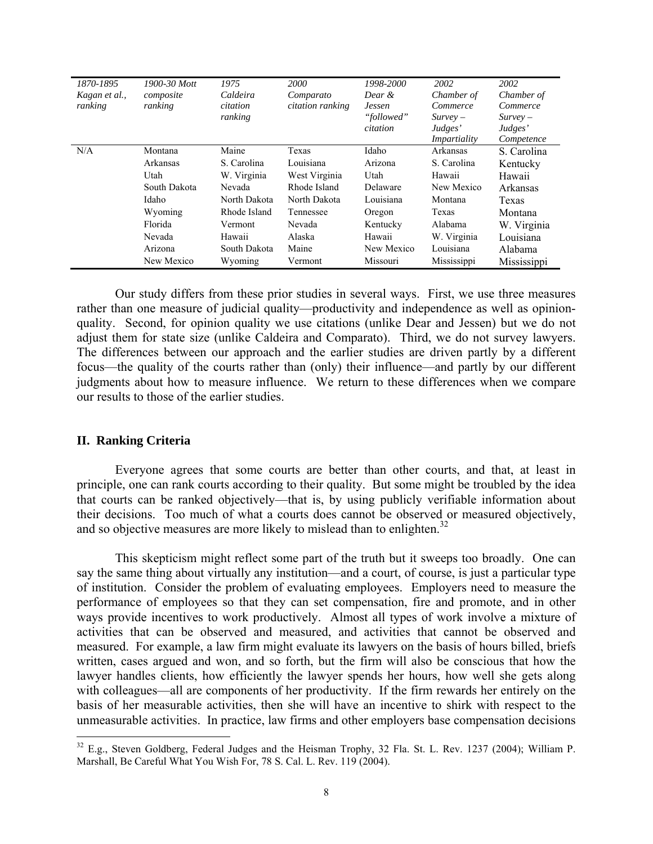| 1870-1895     | 1900-30 Mott | 1975         | <b>2000</b>      | 1998-2000     | 2002         | 2002        |
|---------------|--------------|--------------|------------------|---------------|--------------|-------------|
| Kagan et al., | composite    | Caldeira     | Comparato        | Dear &        | Chamber of   | Chamber of  |
| ranking       | ranking      | citation     | citation ranking | <b>Jessen</b> | Commerce     | Commerce    |
|               |              | ranking      |                  | "followed"    | $Survev -$   | $Survev -$  |
|               |              |              |                  | citation      | Judges'      | Judges'     |
|               |              |              |                  |               | Impartiality | Competence  |
| N/A           | Montana      | Maine        | Texas            | Idaho         | Arkansas     | S. Carolina |
|               | Arkansas     | S. Carolina  | Louisiana        | Arizona       | S. Carolina  | Kentucky    |
|               | Utah         | W. Virginia  | West Virginia    | Utah          | Hawaii       | Hawaii      |
|               | South Dakota | Nevada       | Rhode Island     | Delaware      | New Mexico   | Arkansas    |
|               | Idaho        | North Dakota | North Dakota     | Louisiana     | Montana      | Texas       |
|               | Wyoming      | Rhode Island | Tennessee        | Oregon        | Texas        | Montana     |
|               | Florida      | Vermont      | Nevada           | Kentucky      | Alabama      | W. Virginia |
|               | Nevada       | Hawaii       | Alaska           | Hawaii        | W. Virginia  | Louisiana   |
|               | Arizona      | South Dakota | Maine            | New Mexico    | Louisiana    | Alabama     |
|               | New Mexico   | Wyoming      | Vermont          | Missouri      | Mississippi  | Mississippi |

Our study differs from these prior studies in several ways. First, we use three measures rather than one measure of judicial quality—productivity and independence as well as opinionquality. Second, for opinion quality we use citations (unlike Dear and Jessen) but we do not adjust them for state size (unlike Caldeira and Comparato). Third, we do not survey lawyers. The differences between our approach and the earlier studies are driven partly by a different focus—the quality of the courts rather than (only) their influence—and partly by our different judgments about how to measure influence. We return to these differences when we compare our results to those of the earlier studies.

## **II. Ranking Criteria**

 $\overline{a}$ 

 Everyone agrees that some courts are better than other courts, and that, at least in principle, one can rank courts according to their quality. But some might be troubled by the idea that courts can be ranked objectively—that is, by using publicly verifiable information about their decisions. Too much of what a courts does cannot be observed or measured objectively, and so objective measures are more likely to mislead than to enlighten.<sup>32</sup>

 This skepticism might reflect some part of the truth but it sweeps too broadly. One can say the same thing about virtually any institution—and a court, of course, is just a particular type of institution. Consider the problem of evaluating employees. Employers need to measure the performance of employees so that they can set compensation, fire and promote, and in other ways provide incentives to work productively. Almost all types of work involve a mixture of activities that can be observed and measured, and activities that cannot be observed and measured. For example, a law firm might evaluate its lawyers on the basis of hours billed, briefs written, cases argued and won, and so forth, but the firm will also be conscious that how the lawyer handles clients, how efficiently the lawyer spends her hours, how well she gets along with colleagues—all are components of her productivity. If the firm rewards her entirely on the basis of her measurable activities, then she will have an incentive to shirk with respect to the unmeasurable activities. In practice, law firms and other employers base compensation decisions

 $32$  E.g., Steven Goldberg, Federal Judges and the Heisman Trophy, 32 Fla. St. L. Rev. 1237 (2004); William P. Marshall, Be Careful What You Wish For, 78 S. Cal. L. Rev. 119 (2004).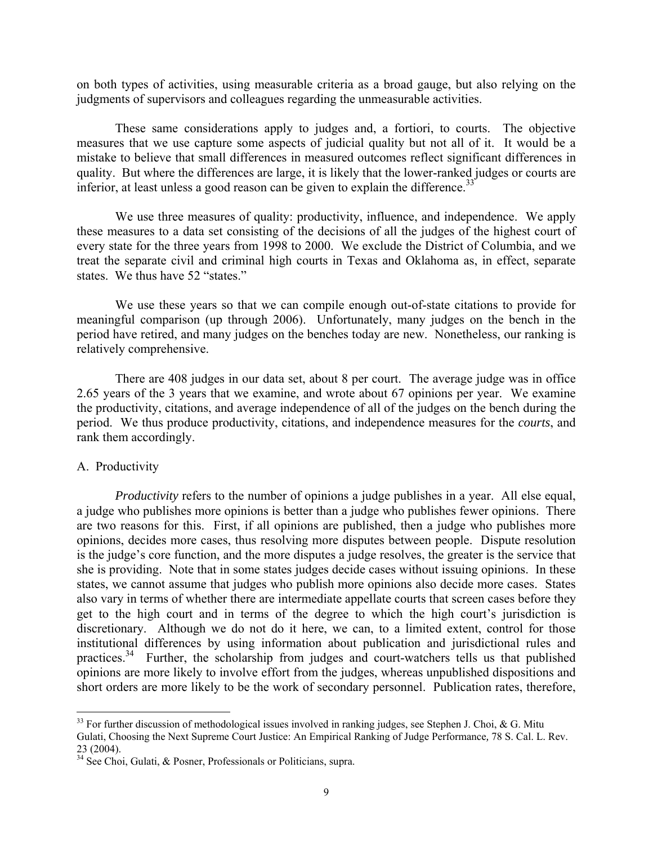on both types of activities, using measurable criteria as a broad gauge, but also relying on the judgments of supervisors and colleagues regarding the unmeasurable activities.

 These same considerations apply to judges and, a fortiori, to courts. The objective measures that we use capture some aspects of judicial quality but not all of it. It would be a mistake to believe that small differences in measured outcomes reflect significant differences in quality. But where the differences are large, it is likely that the lower-ranked judges or courts are inferior, at least unless a good reason can be given to explain the difference.<sup>33</sup>

 We use three measures of quality: productivity, influence, and independence. We apply these measures to a data set consisting of the decisions of all the judges of the highest court of every state for the three years from 1998 to 2000. We exclude the District of Columbia, and we treat the separate civil and criminal high courts in Texas and Oklahoma as, in effect, separate states. We thus have 52 "states."

 We use these years so that we can compile enough out-of-state citations to provide for meaningful comparison (up through 2006). Unfortunately, many judges on the bench in the period have retired, and many judges on the benches today are new. Nonetheless, our ranking is relatively comprehensive.

 There are 408 judges in our data set, about 8 per court. The average judge was in office 2.65 years of the 3 years that we examine, and wrote about 67 opinions per year. We examine the productivity, citations, and average independence of all of the judges on the bench during the period. We thus produce productivity, citations, and independence measures for the *courts*, and rank them accordingly.

## A. Productivity

 $\overline{a}$ 

*Productivity* refers to the number of opinions a judge publishes in a year. All else equal, a judge who publishes more opinions is better than a judge who publishes fewer opinions. There are two reasons for this. First, if all opinions are published, then a judge who publishes more opinions, decides more cases, thus resolving more disputes between people. Dispute resolution is the judge's core function, and the more disputes a judge resolves, the greater is the service that she is providing. Note that in some states judges decide cases without issuing opinions. In these states, we cannot assume that judges who publish more opinions also decide more cases. States also vary in terms of whether there are intermediate appellate courts that screen cases before they get to the high court and in terms of the degree to which the high court's jurisdiction is discretionary. Although we do not do it here, we can, to a limited extent, control for those institutional differences by using information about publication and jurisdictional rules and practices.34 Further, the scholarship from judges and court-watchers tells us that published opinions are more likely to involve effort from the judges, whereas unpublished dispositions and short orders are more likely to be the work of secondary personnel. Publication rates, therefore,

 $33$  For further discussion of methodological issues involved in ranking judges, see Stephen J. Choi, & G. Mitu

Gulati, Choosing the Next Supreme Court Justice: An Empirical Ranking of Judge Performance*,* 78 S. Cal. L. Rev. 23 (2004).

 $34$  See Choi, Gulati, & Posner, Professionals or Politicians, supra.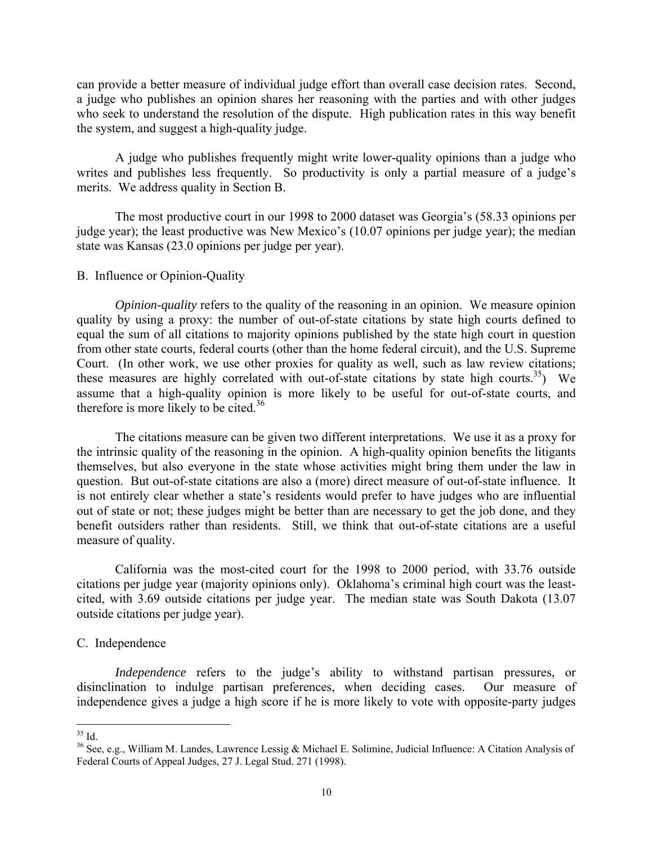can provide a better measure of individual judge effort than overall case decision rates. Second, a judge who publishes an opinion shares her reasoning with the parties and with other judges who seek to understand the resolution of the dispute. High publication rates in this way benefit the system, and suggest a high-quality judge.

 A judge who publishes frequently might write lower-quality opinions than a judge who writes and publishes less frequently. So productivity is only a partial measure of a judge's merits. We address quality in Section B.

 The most productive court in our 1998 to 2000 dataset was Georgia's (58.33 opinions per judge year); the least productive was New Mexico's (10.07 opinions per judge year); the median state was Kansas (23.0 opinions per judge per year).

## B. Influence or Opinion-Quality

*Opinion-quality* refers to the quality of the reasoning in an opinion. We measure opinion quality by using a proxy: the number of out-of-state citations by state high courts defined to equal the sum of all citations to majority opinions published by the state high court in question from other state courts, federal courts (other than the home federal circuit), and the U.S. Supreme Court. (In other work, we use other proxies for quality as well, such as law review citations; these measures are highly correlated with out-of-state citations by state high courts.<sup>35</sup>) We assume that a high-quality opinion is more likely to be useful for out-of-state courts, and therefore is more likely to be cited.<sup>36</sup>

 The citations measure can be given two different interpretations. We use it as a proxy for the intrinsic quality of the reasoning in the opinion. A high-quality opinion benefits the litigants themselves, but also everyone in the state whose activities might bring them under the law in question. But out-of-state citations are also a (more) direct measure of out-of-state influence. It is not entirely clear whether a state's residents would prefer to have judges who are influential out of state or not; these judges might be better than are necessary to get the job done, and they benefit outsiders rather than residents. Still, we think that out-of-state citations are a useful measure of quality.

 California was the most-cited court for the 1998 to 2000 period, with 33.76 outside citations per judge year (majority opinions only). Oklahoma's criminal high court was the leastcited, with 3.69 outside citations per judge year. The median state was South Dakota (13.07 outside citations per judge year).

## C. Independence

*Independence* refers to the judge's ability to withstand partisan pressures, or disinclination to indulge partisan preferences, when deciding cases. Our measure of independence gives a judge a high score if he is more likely to vote with opposite-party judges

 $\overline{a}$  $35$  Id.

<sup>36</sup> See, e.g., William M. Landes, Lawrence Lessig & Michael E. Solimine, Judicial Influence: A Citation Analysis of Federal Courts of Appeal Judges, 27 J. Legal Stud. 271 (1998).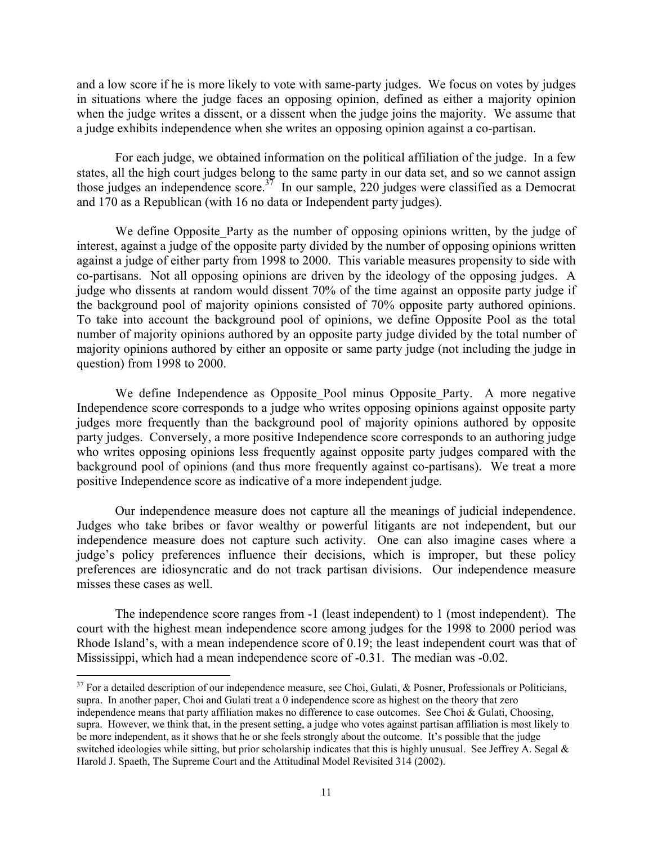and a low score if he is more likely to vote with same-party judges. We focus on votes by judges in situations where the judge faces an opposing opinion, defined as either a majority opinion when the judge writes a dissent, or a dissent when the judge joins the majority. We assume that a judge exhibits independence when she writes an opposing opinion against a co-partisan.

 For each judge, we obtained information on the political affiliation of the judge. In a few states, all the high court judges belong to the same party in our data set, and so we cannot assign those judges an independence score.<sup>37</sup> In our sample, 220 judges were classified as a Democrat and 170 as a Republican (with 16 no data or Independent party judges).

We define Opposite Party as the number of opposing opinions written, by the judge of interest, against a judge of the opposite party divided by the number of opposing opinions written against a judge of either party from 1998 to 2000. This variable measures propensity to side with co-partisans. Not all opposing opinions are driven by the ideology of the opposing judges. A judge who dissents at random would dissent 70% of the time against an opposite party judge if the background pool of majority opinions consisted of 70% opposite party authored opinions. To take into account the background pool of opinions, we define Opposite Pool as the total number of majority opinions authored by an opposite party judge divided by the total number of majority opinions authored by either an opposite or same party judge (not including the judge in question) from 1998 to 2000.

We define Independence as Opposite Pool minus Opposite Party. A more negative Independence score corresponds to a judge who writes opposing opinions against opposite party judges more frequently than the background pool of majority opinions authored by opposite party judges. Conversely, a more positive Independence score corresponds to an authoring judge who writes opposing opinions less frequently against opposite party judges compared with the background pool of opinions (and thus more frequently against co-partisans). We treat a more positive Independence score as indicative of a more independent judge.

 Our independence measure does not capture all the meanings of judicial independence. Judges who take bribes or favor wealthy or powerful litigants are not independent, but our independence measure does not capture such activity. One can also imagine cases where a judge's policy preferences influence their decisions, which is improper, but these policy preferences are idiosyncratic and do not track partisan divisions. Our independence measure misses these cases as well.

 The independence score ranges from -1 (least independent) to 1 (most independent). The court with the highest mean independence score among judges for the 1998 to 2000 period was Rhode Island's, with a mean independence score of 0.19; the least independent court was that of Mississippi, which had a mean independence score of -0.31. The median was -0.02.

 $37$  For a detailed description of our independence measure, see Choi, Gulati, & Posner, Professionals or Politicians, supra. In another paper, Choi and Gulati treat a 0 independence score as highest on the theory that zero independence means that party affiliation makes no difference to case outcomes. See Choi & Gulati, Choosing, supra. However, we think that, in the present setting, a judge who votes against partisan affiliation is most likely to be more independent, as it shows that he or she feels strongly about the outcome. It's possible that the judge switched ideologies while sitting, but prior scholarship indicates that this is highly unusual. See Jeffrey A. Segal & Harold J. Spaeth, The Supreme Court and the Attitudinal Model Revisited 314 (2002).

<u>.</u>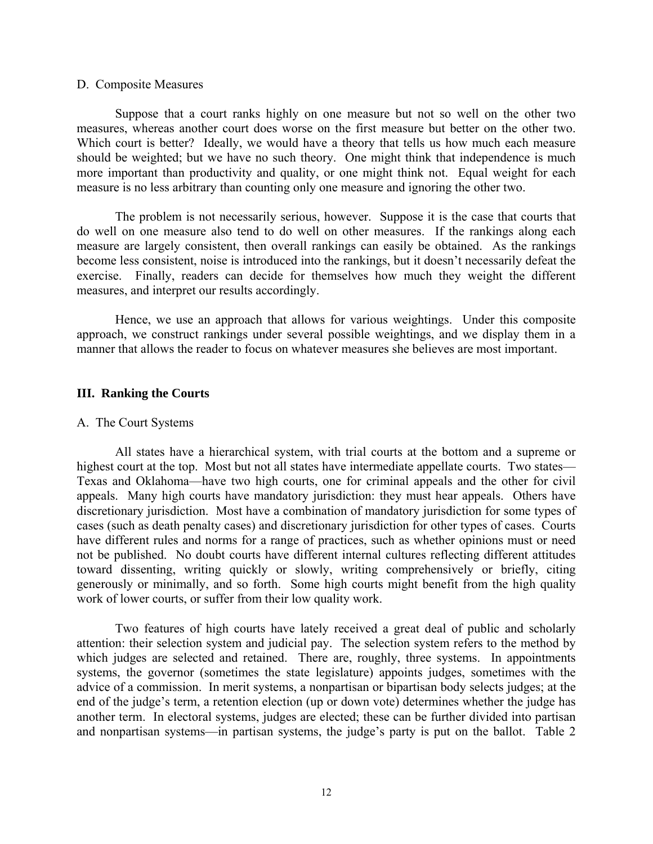## D. Composite Measures

 Suppose that a court ranks highly on one measure but not so well on the other two measures, whereas another court does worse on the first measure but better on the other two. Which court is better? Ideally, we would have a theory that tells us how much each measure should be weighted; but we have no such theory. One might think that independence is much more important than productivity and quality, or one might think not. Equal weight for each measure is no less arbitrary than counting only one measure and ignoring the other two.

 The problem is not necessarily serious, however. Suppose it is the case that courts that do well on one measure also tend to do well on other measures. If the rankings along each measure are largely consistent, then overall rankings can easily be obtained. As the rankings become less consistent, noise is introduced into the rankings, but it doesn't necessarily defeat the exercise. Finally, readers can decide for themselves how much they weight the different measures, and interpret our results accordingly.

 Hence, we use an approach that allows for various weightings. Under this composite approach, we construct rankings under several possible weightings, and we display them in a manner that allows the reader to focus on whatever measures she believes are most important.

## **III. Ranking the Courts**

## A. The Court Systems

 All states have a hierarchical system, with trial courts at the bottom and a supreme or highest court at the top. Most but not all states have intermediate appellate courts. Two states— Texas and Oklahoma—have two high courts, one for criminal appeals and the other for civil appeals. Many high courts have mandatory jurisdiction: they must hear appeals. Others have discretionary jurisdiction. Most have a combination of mandatory jurisdiction for some types of cases (such as death penalty cases) and discretionary jurisdiction for other types of cases. Courts have different rules and norms for a range of practices, such as whether opinions must or need not be published. No doubt courts have different internal cultures reflecting different attitudes toward dissenting, writing quickly or slowly, writing comprehensively or briefly, citing generously or minimally, and so forth. Some high courts might benefit from the high quality work of lower courts, or suffer from their low quality work.

 Two features of high courts have lately received a great deal of public and scholarly attention: their selection system and judicial pay. The selection system refers to the method by which judges are selected and retained. There are, roughly, three systems. In appointments systems, the governor (sometimes the state legislature) appoints judges, sometimes with the advice of a commission. In merit systems, a nonpartisan or bipartisan body selects judges; at the end of the judge's term, a retention election (up or down vote) determines whether the judge has another term. In electoral systems, judges are elected; these can be further divided into partisan and nonpartisan systems—in partisan systems, the judge's party is put on the ballot. Table 2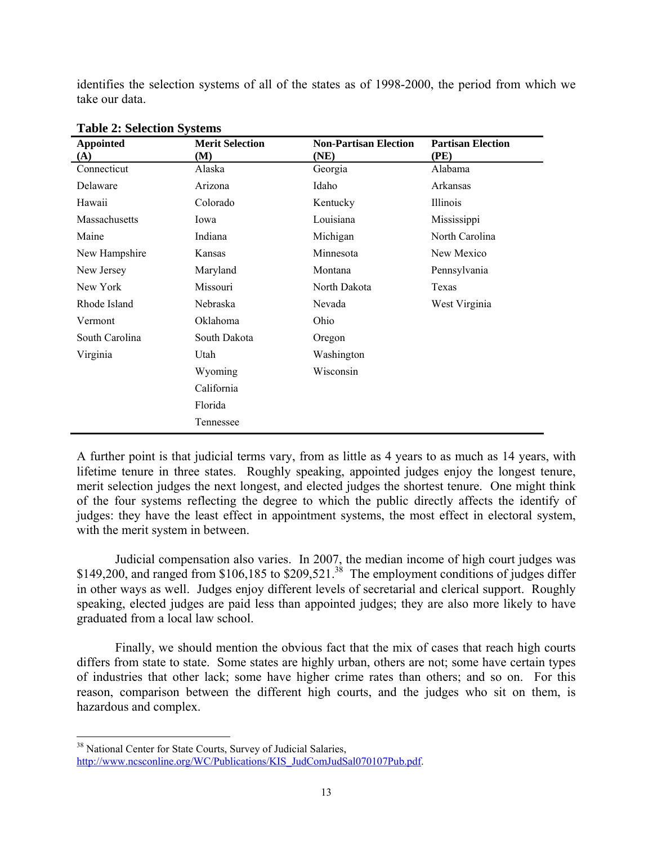identifies the selection systems of all of the states as of 1998-2000, the period from which we take our data.

| <b>Appointed</b>   | <b>Merit Selection</b> | <b>Non-Partisan Election</b> | <b>Partisan Election</b> |
|--------------------|------------------------|------------------------------|--------------------------|
| (A)<br>Connecticut | (M)                    | (NE)                         | (PE)                     |
|                    | Alaska                 | Georgia                      | Alabama                  |
| Delaware           | Arizona                | Idaho                        | Arkansas                 |
| Hawaii             | Colorado               | Kentucky                     | Illinois                 |
| Massachusetts      | Iowa                   | Louisiana                    | Mississippi              |
| Maine              | Indiana                | Michigan                     | North Carolina           |
| New Hampshire      | Kansas                 | Minnesota                    | New Mexico               |
| New Jersey         | Maryland               | Montana                      | Pennsylvania             |
| New York           | Missouri               | North Dakota                 | Texas                    |
| Rhode Island       | Nebraska               | Nevada                       | West Virginia            |
| Vermont            | Oklahoma               | Ohio                         |                          |
| South Carolina     | South Dakota           | Oregon                       |                          |
| Virginia           | Utah                   | Washington                   |                          |
|                    | Wyoming                | Wisconsin                    |                          |
|                    | California             |                              |                          |
|                    | Florida                |                              |                          |
|                    | Tennessee              |                              |                          |

**Table 2: Selection Systems** 

A further point is that judicial terms vary, from as little as 4 years to as much as 14 years, with lifetime tenure in three states. Roughly speaking, appointed judges enjoy the longest tenure, merit selection judges the next longest, and elected judges the shortest tenure. One might think of the four systems reflecting the degree to which the public directly affects the identify of judges: they have the least effect in appointment systems, the most effect in electoral system, with the merit system in between.

 Judicial compensation also varies. In 2007, the median income of high court judges was \$149,200, and ranged from \$106,185 to \$209,521.<sup>38</sup> The employment conditions of judges differ in other ways as well. Judges enjoy different levels of secretarial and clerical support. Roughly speaking, elected judges are paid less than appointed judges; they are also more likely to have graduated from a local law school.

 Finally, we should mention the obvious fact that the mix of cases that reach high courts differs from state to state. Some states are highly urban, others are not; some have certain types of industries that other lack; some have higher crime rates than others; and so on. For this reason, comparison between the different high courts, and the judges who sit on them, is hazardous and complex.

 $\overline{a}$ 

<sup>&</sup>lt;sup>38</sup> National Center for State Courts, Survey of Judicial Salaries, http://www.ncsconline.org/WC/Publications/KIS\_JudComJudSal070107Pub.pdf.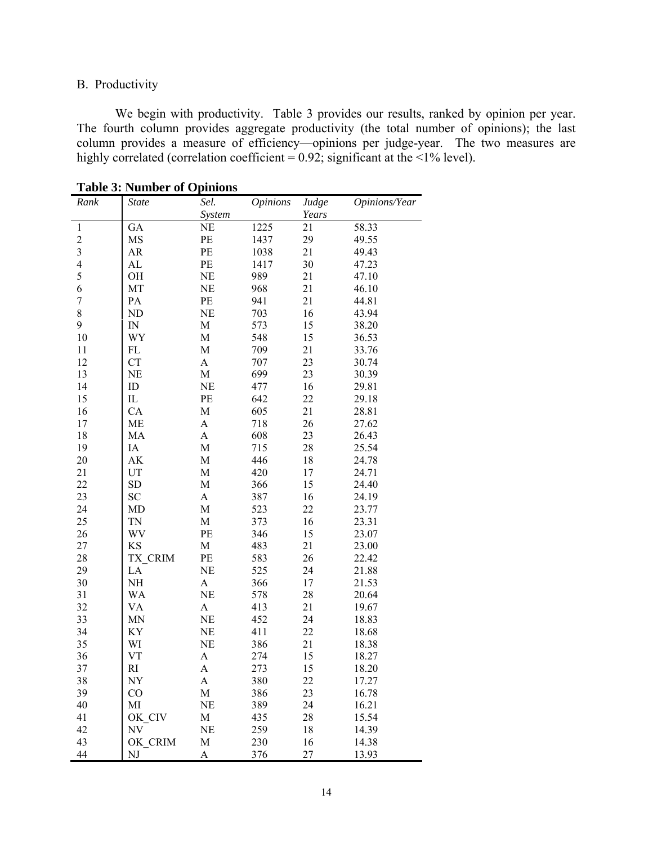# B. Productivity

 We begin with productivity. Table 3 provides our results, ranked by opinion per year. The fourth column provides aggregate productivity (the total number of opinions); the last column provides a measure of efficiency—opinions per judge-year. The two measures are highly correlated (correlation coefficient =  $0.92$ ; significant at the <1% level).

| Rank                     | <b>State</b> | Sel.                  | <i>Opinions</i> | Judge  | Opinions/Year |
|--------------------------|--------------|-----------------------|-----------------|--------|---------------|
|                          |              | System                |                 | Years  |               |
| $\,1$                    | GA           | NE                    | 1225            | 21     | 58.33         |
| $\frac{2}{3}$            | MS           | PE                    | 1437            | 29     | 49.55         |
|                          | AR           | $\rm PE$              | 1038            | 21     | 49.43         |
| $\overline{\mathcal{L}}$ | AL           | PE                    | 1417            | 30     | 47.23         |
| 5                        | OH           | NE                    | 989             | 21     | 47.10         |
| 6                        | MT           | NE                    | 968             | 21     | 46.10         |
| $\sqrt{ }$               | PA           | PE                    | 941             | 21     | 44.81         |
| 8                        | ND           | <b>NE</b>             | 703             | 16     | 43.94         |
| 9                        | ${\rm IN}$   | $\mathbf M$           | 573             | 15     | 38.20         |
| 10                       | WY           | M                     | 548             | 15     | 36.53         |
| 11                       | FL           | M                     | 709             | 21     | 33.76         |
| 12                       | <b>CT</b>    | $\mathbf A$           | 707             | 23     | 30.74         |
| 13                       | NE           | $\mathbf M$           | 699             | 23     | 30.39         |
| 14                       | ID           | NE                    | 477             | 16     | 29.81         |
| 15                       | $\rm IL$     | PE                    | 642             | 22     | 29.18         |
| 16                       | CA           | M                     | 605             | 21     | 28.81         |
| 17                       | ME           | A                     | 718             | 26     | 27.62         |
| 18                       | MA           | A                     | 608             | 23     | 26.43         |
| 19                       | IA           | M                     | 715             | 28     | 25.54         |
| 20                       | AK           | M                     | 446             | 18     | 24.78         |
| 21                       | UT           | ${\bf M}$             | 420             | 17     | 24.71         |
| 22                       | <b>SD</b>    | M                     | 366             | 15     | 24.40         |
| 23                       | <b>SC</b>    | A                     | 387             | 16     | 24.19         |
| 24                       | MD           | $\mathbf M$           | 523             | 22     | 23.77         |
| 25                       | TN           | $\mathbf M$           | 373             | 16     | 23.31         |
| 26                       | WV           | PE                    | 346             | 15     | 23.07         |
| 27                       | <b>KS</b>    | $\mathbf M$           | 483             | 21     | 23.00         |
| 28                       | TX CRIM      | PE                    | 583             | 26     | 22.42         |
| 29                       | LA           | NE                    | 525             | 24     | 21.88         |
| 30                       | NH           | $\mathbf{A}$          | 366             | 17     | 21.53         |
| 31                       | WA           | NE                    | 578             | $28\,$ | 20.64         |
| 32                       | VA           | A                     | 413             | 21     | 19.67         |
| 33                       | MN           | NE                    | 452             | 24     | 18.83         |
| 34                       | KY           | NE                    | 411             | 22     | 18.68         |
| 35                       | WI           | NE                    | 386             | 21     | 18.38         |
| 36                       | <b>VT</b>    | $\boldsymbol{\rm{A}}$ | 274             | 15     | 18.27         |
| 37                       | RI           | A                     | 273             | 15     | 18.20         |
| 38                       | NY           | A                     | 380             | 22     | 17.27         |
| 39                       | CO           | М                     | 386             | 23     | 16.78         |
| 40                       | MI           | NE                    | 389             | 24     | 16.21         |
| 41                       | OK CIV       | М                     | 435             | 28     | 15.54         |
| 42                       | NV           | NE                    | 259             | 18     | 14.39         |
| 43                       | OK_CRIM      | M                     | 230             | 16     | 14.38         |
| 44                       | NJ           | A                     | 376             | 27     | 13.93         |

**Table 3: Number of Opinions**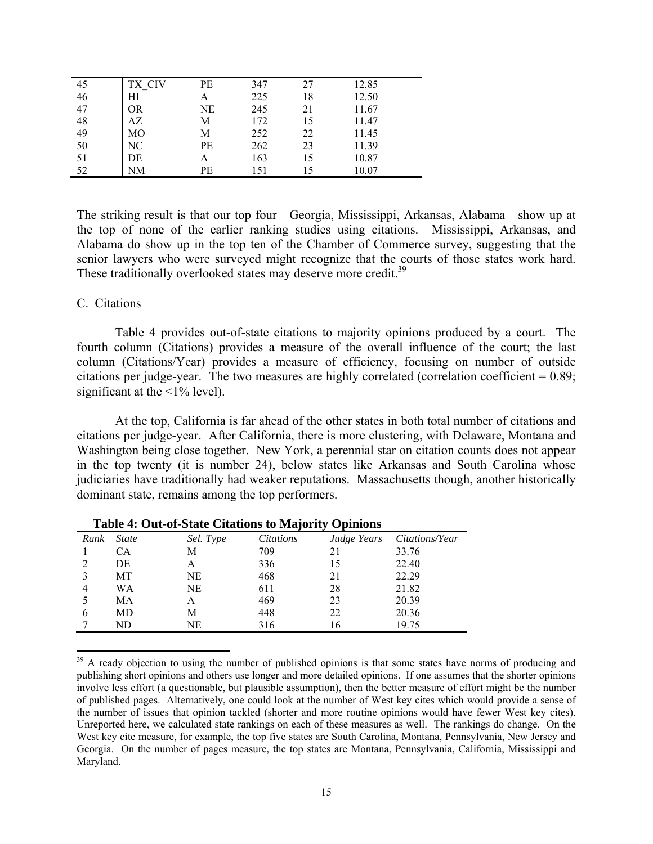| 45                                      | TX CIV         | PE | 347 | 27 | 12.85 |
|-----------------------------------------|----------------|----|-----|----|-------|
| 46                                      | ΗΙ             |    | 225 | 18 | 12.50 |
| 47                                      | <b>OR</b>      | NE | 245 | 21 | 11.67 |
| 48                                      | AZ             | М  | 172 | 15 | 11.47 |
| 49                                      | M <sub>O</sub> | М  | 252 | 22 | 11.45 |
| $\begin{array}{c} 50 \\ 51 \end{array}$ | NC             | PE | 262 | 23 | 11.39 |
|                                         | DE             | А  | 163 | 15 | 10.87 |
| 52                                      | NΜ             | PE | 151 |    | 10.07 |

The striking result is that our top four—Georgia, Mississippi, Arkansas, Alabama—show up at the top of none of the earlier ranking studies using citations. Mississippi, Arkansas, and Alabama do show up in the top ten of the Chamber of Commerce survey, suggesting that the senior lawyers who were surveyed might recognize that the courts of those states work hard. These traditionally overlooked states may deserve more credit.<sup>39</sup>

## C. Citations

 $\overline{a}$ 

 Table 4 provides out-of-state citations to majority opinions produced by a court. The fourth column (Citations) provides a measure of the overall influence of the court; the last column (Citations/Year) provides a measure of efficiency, focusing on number of outside citations per judge-year. The two measures are highly correlated (correlation coefficient = 0.89; significant at the  $\leq$ 1% level).

 At the top, California is far ahead of the other states in both total number of citations and citations per judge-year. After California, there is more clustering, with Delaware, Montana and Washington being close together. New York, a perennial star on citation counts does not appear in the top twenty (it is number 24), below states like Arkansas and South Carolina whose judiciaries have traditionally had weaker reputations. Massachusetts though, another historically dominant state, remains among the top performers.

|               | Lable 7. Out-of-State Chattons to Majority Ophilons |           |                  |             |                |  |
|---------------|-----------------------------------------------------|-----------|------------------|-------------|----------------|--|
| Rank          | <b>State</b>                                        | Sel. Type | <i>Citations</i> | Judge Years | Citations/Year |  |
|               | СA                                                  | М         | 709              |             | 33.76          |  |
|               | DE                                                  | А         | 336              | 15          | 22.40          |  |
| $\mathcal{E}$ | МT                                                  | NE        | 468              | 21          | 22.29          |  |
|               | WA                                                  | NE        | 611              | 28          | 21.82          |  |
|               | МA                                                  | А         | 469              | 23          | 20.39          |  |
| 6             | MD                                                  | М         | 448              | 22          | 20.36          |  |
|               | ND                                                  | NE        | 316              | 16          | 19.75          |  |

**Table 4: Out-of-State Citations to Majority Opinions** 

<sup>&</sup>lt;sup>39</sup> A ready objection to using the number of published opinions is that some states have norms of producing and publishing short opinions and others use longer and more detailed opinions. If one assumes that the shorter opinions involve less effort (a questionable, but plausible assumption), then the better measure of effort might be the number of published pages. Alternatively, one could look at the number of West key cites which would provide a sense of the number of issues that opinion tackled (shorter and more routine opinions would have fewer West key cites). Unreported here, we calculated state rankings on each of these measures as well. The rankings do change. On the West key cite measure, for example, the top five states are South Carolina, Montana, Pennsylvania, New Jersey and Georgia. On the number of pages measure, the top states are Montana, Pennsylvania, California, Mississippi and Maryland.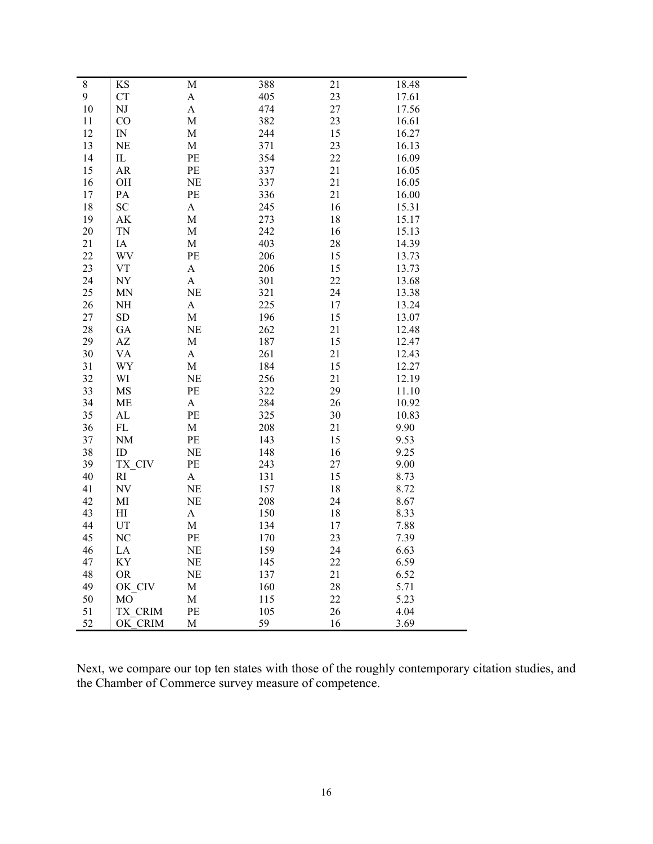| $8\,$  | KS                       | M                         | 388 | 21       | 18.48 |
|--------|--------------------------|---------------------------|-----|----------|-------|
| 9      | <b>CT</b>                | $\boldsymbol{\rm{A}}$     | 405 | 23       | 17.61 |
| 10     | $_{\rm NJ}$              | $\boldsymbol{\mathsf{A}}$ | 474 | 27       | 17.56 |
| 11     | CO                       | M                         | 382 | 23       | 16.61 |
| 12     | IN                       | M                         | 244 | 15       | 16.27 |
| 13     | <b>NE</b>                | M                         | 371 | 23       | 16.13 |
| 14     | $_{\rm IL}$              | PE                        | 354 | 22       | 16.09 |
| 15     | ${\sf AR}$               | PE                        | 337 | 21       | 16.05 |
| 16     | OH                       | NE                        | 337 | 21       | 16.05 |
| 17     | PA                       | PE                        | 336 | 21       | 16.00 |
| 18     | ${\rm SC}$               | $\mathbf{A}$              | 245 | 16       | 15.31 |
| 19     | AK                       | $\mathbf M$               | 273 | 18       | 15.17 |
| $20\,$ | <b>TN</b>                | $\mathbf M$               | 242 | 16       | 15.13 |
| 21     | IA                       | $\mathbf M$               | 403 | 28       | 14.39 |
| 22     | WV                       | PE                        | 206 |          | 13.73 |
| 23     |                          |                           |     | 15<br>15 |       |
|        | VT                       | A                         | 206 |          | 13.73 |
| 24     | NY                       | A                         | 301 | 22       | 13.68 |
| 25     | <b>MN</b>                | NE                        | 321 | 24       | 13.38 |
| 26     | NH                       | $\boldsymbol{A}$          | 225 | 17       | 13.24 |
| 27     | ${\rm SD}$               | $\mathbf M$               | 196 | 15       | 13.07 |
| 28     | GA                       | <b>NE</b>                 | 262 | 21       | 12.48 |
| 29     | AZ                       | M                         | 187 | 15       | 12.47 |
| 30     | <b>VA</b>                | $\boldsymbol{\mathsf{A}}$ | 261 | 21       | 12.43 |
| 31     | WY                       | $\mathbf M$               | 184 | 15       | 12.27 |
| 32     | WI                       | <b>NE</b>                 | 256 | 21       | 12.19 |
| 33     | MS                       | PE                        | 322 | 29       | 11.10 |
| 34     | ME                       | $\boldsymbol{\rm{A}}$     | 284 | 26       | 10.92 |
| 35     | AL                       | PE                        | 325 | 30       | 10.83 |
| 36     | FL                       | $\mathbf M$               | 208 | 21       | 9.90  |
| 37     | NM                       | PE                        | 143 | 15       | 9.53  |
| 38     | ID                       | <b>NE</b>                 | 148 | 16       | 9.25  |
| 39     | TX_CIV                   | PE                        | 243 | 27       | 9.00  |
| 40     | R1                       | $\boldsymbol{\mathsf{A}}$ | 131 | 15       | 8.73  |
| 41     | $\ensuremath{\text{NV}}$ | <b>NE</b>                 | 157 | 18       | 8.72  |
| 42     | MI                       | NE                        | 208 | 24       | 8.67  |
| 43     | H                        | $\boldsymbol{\mathsf{A}}$ | 150 | 18       | 8.33  |
| 44     | UT                       | $\mathbf M$               | 134 | 17       | 7.88  |
| 45     | NC                       | PE                        | 170 | 23       | 7.39  |
| 46     | LA                       | NE                        | 159 | 24       | 6.63  |
| 47     | ΚY                       | NE                        | 145 | 22       | 6.59  |
| 48     | <b>OR</b>                | <b>NE</b>                 | 137 | 21       | 6.52  |
| 49     | OK CIV                   | M                         | 160 | 28       | 5.71  |
| 50     | МO                       | M                         | 115 | 22       | 5.23  |
| 51     | TX CRIM                  | PE                        | 105 | 26       | 4.04  |
| 52     | OK CRIM                  | M                         | 59  | 16       | 3.69  |

Next, we compare our top ten states with those of the roughly contemporary citation studies, and the Chamber of Commerce survey measure of competence.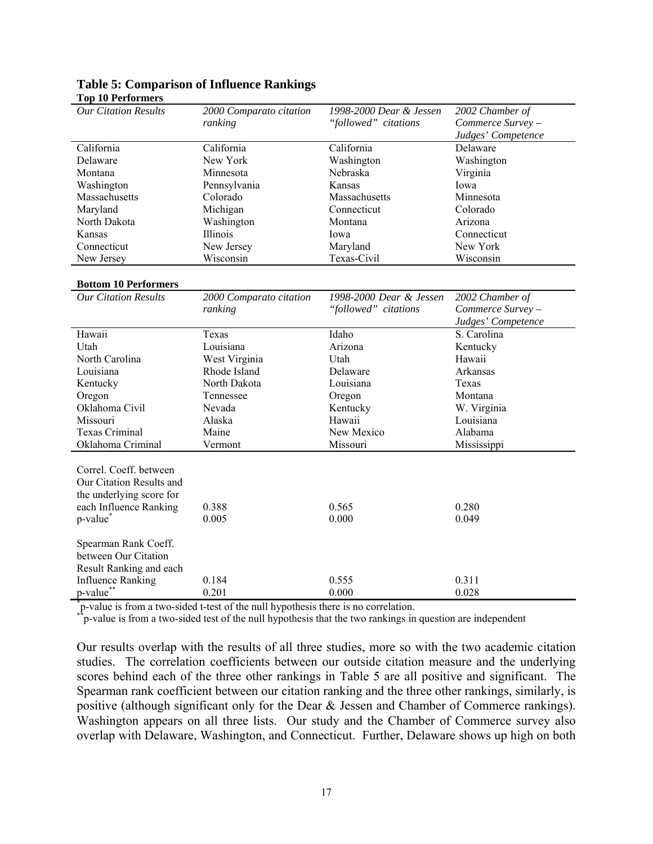| 1 up 1 u 1 et lui mei s                                                                                  |                                                                                    |                         |                    |
|----------------------------------------------------------------------------------------------------------|------------------------------------------------------------------------------------|-------------------------|--------------------|
| <b>Our Citation Results</b>                                                                              | 2000 Comparato citation                                                            | 1998-2000 Dear & Jessen | 2002 Chamber of    |
|                                                                                                          | ranking                                                                            | "followed" citations    | Commerce Survey -  |
|                                                                                                          |                                                                                    |                         | Judges' Competence |
| California                                                                                               | California                                                                         | California              | Delaware           |
| Delaware                                                                                                 | New York                                                                           | Washington              | Washington         |
| Montana                                                                                                  | Minnesota                                                                          | Nebraska                | Virginia           |
| Washington                                                                                               | Pennsylvania                                                                       | Kansas                  | Iowa               |
| Massachusetts                                                                                            | Colorado                                                                           | Massachusetts           | Minnesota          |
| Maryland                                                                                                 | Michigan                                                                           | Connecticut             | Colorado           |
| North Dakota                                                                                             | Washington                                                                         | Montana                 | Arizona            |
| Kansas                                                                                                   | Illinois                                                                           | Iowa                    | Connecticut        |
| Connecticut                                                                                              | New Jersey                                                                         | Maryland                | New York           |
| New Jersey                                                                                               | Wisconsin                                                                          | Texas-Civil             | Wisconsin          |
|                                                                                                          |                                                                                    |                         |                    |
| <b>Bottom 10 Performers</b>                                                                              |                                                                                    |                         |                    |
| <b>Our Citation Results</b>                                                                              | 2000 Comparato citation                                                            | 1998-2000 Dear & Jessen | 2002 Chamber of    |
|                                                                                                          | ranking                                                                            | "followed" citations    | Commerce Survey -  |
|                                                                                                          |                                                                                    |                         | Judges' Competence |
| Hawaii                                                                                                   | Texas                                                                              | Idaho                   | S. Carolina        |
| Utah                                                                                                     | Louisiana                                                                          | Arizona                 | Kentucky           |
| North Carolina                                                                                           | West Virginia                                                                      | Utah                    | Hawaii             |
| Louisiana                                                                                                | Rhode Island                                                                       | Delaware                | Arkansas           |
| Kentucky                                                                                                 | North Dakota                                                                       | Louisiana               | Texas              |
| Oregon                                                                                                   | Tennessee                                                                          | Oregon                  | Montana            |
| Oklahoma Civil                                                                                           | Nevada                                                                             | Kentucky                | W. Virginia        |
| Missouri                                                                                                 | Alaska                                                                             | Hawaii                  | Louisiana          |
| <b>Texas Criminal</b>                                                                                    | Maine                                                                              | New Mexico              | Alabama            |
| Oklahoma Criminal                                                                                        | Vermont                                                                            | Missouri                | Mississippi        |
| Correl. Coeff. between<br>Our Citation Results and<br>the underlying score for<br>each Influence Ranking | 0.388                                                                              | 0.565                   | 0.280              |
| p-value <sup>*</sup>                                                                                     | 0.005                                                                              | 0.000                   | 0.049              |
| Spearman Rank Coeff.<br>between Our Citation<br>Result Ranking and each                                  |                                                                                    |                         |                    |
| <b>Influence Ranking</b>                                                                                 | 0.184                                                                              | 0.555                   | 0.311              |
| p-value <sup>*</sup>                                                                                     | 0.201                                                                              | 0.000                   | 0.028              |
|                                                                                                          | p-value is from a two-sided t-test of the null hypothesis there is no correlation. |                         |                    |

#### **Table 5: Comparison of Influence Rankings Top 10 Performers**

\*\*p-value is from a two-sided test of the null hypothesis that the two rankings in question are independent

Our results overlap with the results of all three studies, more so with the two academic citation studies. The correlation coefficients between our outside citation measure and the underlying scores behind each of the three other rankings in Table 5 are all positive and significant. The Spearman rank coefficient between our citation ranking and the three other rankings, similarly, is positive (although significant only for the Dear & Jessen and Chamber of Commerce rankings). Washington appears on all three lists. Our study and the Chamber of Commerce survey also overlap with Delaware, Washington, and Connecticut. Further, Delaware shows up high on both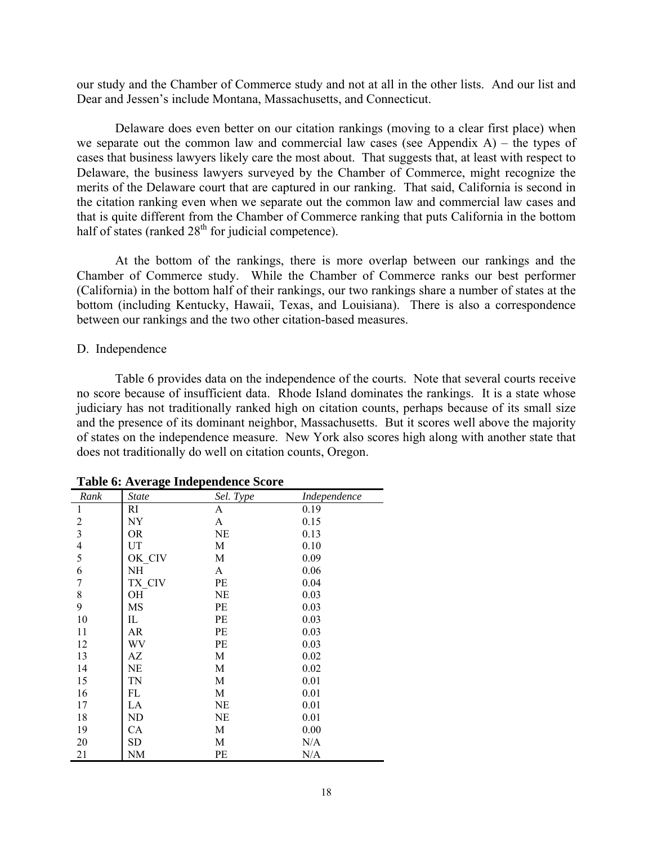our study and the Chamber of Commerce study and not at all in the other lists. And our list and Dear and Jessen's include Montana, Massachusetts, and Connecticut.

Delaware does even better on our citation rankings (moving to a clear first place) when we separate out the common law and commercial law cases (see Appendix A) – the types of cases that business lawyers likely care the most about. That suggests that, at least with respect to Delaware, the business lawyers surveyed by the Chamber of Commerce, might recognize the merits of the Delaware court that are captured in our ranking. That said, California is second in the citation ranking even when we separate out the common law and commercial law cases and that is quite different from the Chamber of Commerce ranking that puts California in the bottom half of states (ranked  $28<sup>th</sup>$  for judicial competence).

At the bottom of the rankings, there is more overlap between our rankings and the Chamber of Commerce study. While the Chamber of Commerce ranks our best performer (California) in the bottom half of their rankings, our two rankings share a number of states at the bottom (including Kentucky, Hawaii, Texas, and Louisiana). There is also a correspondence between our rankings and the two other citation-based measures.

## D. Independence

 Table 6 provides data on the independence of the courts. Note that several courts receive no score because of insufficient data. Rhode Island dominates the rankings. It is a state whose judiciary has not traditionally ranked high on citation counts, perhaps because of its small size and the presence of its dominant neighbor, Massachusetts. But it scores well above the majority of states on the independence measure. New York also scores high along with another state that does not traditionally do well on citation counts, Oregon.

|                                       | rable of the charge independence bedi e |           |              |
|---------------------------------------|-----------------------------------------|-----------|--------------|
| Rank                                  | <b>State</b>                            | Sel. Type | Independence |
| 1                                     | RI                                      | A         | 0.19         |
| $\boldsymbol{2}$                      | NY                                      | A         | 0.15         |
| $\overline{\mathbf{3}}$               | OR.                                     | NE        | 0.13         |
|                                       | UT                                      | M         | 0.10         |
| $\frac{4}{5}$                         | OK CIV                                  | M         | 0.09         |
| 6                                     | NΗ                                      | A         | 0.06         |
| $\sqrt{ }$                            | TX CIV                                  | PE        | 0.04         |
| $\begin{array}{c} 8 \\ 9 \end{array}$ | OH                                      | NE        | 0.03         |
|                                       | MS                                      | PE        | 0.03         |
| 10                                    | IL                                      | PE        | 0.03         |
| 11                                    | AR                                      | <b>PE</b> | 0.03         |
| 12                                    | WV                                      | <b>PE</b> | 0.03         |
| 13                                    | AZ                                      | M         | 0.02         |
| 14                                    | NE                                      | M         | 0.02         |
| 15                                    | TN                                      | M         | 0.01         |
| 16                                    | FL                                      | M         | 0.01         |
| 17                                    | LA                                      | NE        | 0.01         |
| 18                                    | ND                                      | NE        | 0.01         |
| 19                                    | CA                                      | M         | 0.00         |
| 20                                    | <b>SD</b>                               | M         | N/A          |
| 21                                    | NΜ                                      | PЕ        | N/A          |

**Table 6: Average Independence Score**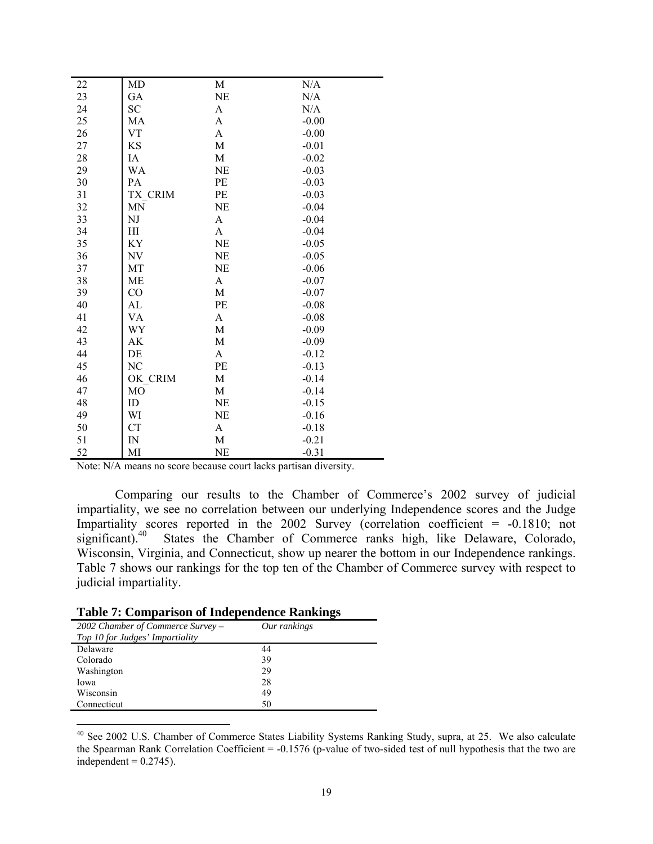| 22     | MD             | M           | N/A     |
|--------|----------------|-------------|---------|
| 23     | GA             | NE          | N/A     |
| 24     | <b>SC</b>      | A           | N/A     |
| 25     | MA             | A           | $-0.00$ |
| 26     | <b>VT</b>      | A           | $-0.00$ |
| 27     | <b>KS</b>      | M           | $-0.01$ |
| $28\,$ | IA             | M           | $-0.02$ |
| 29     | WA             | <b>NE</b>   | $-0.03$ |
| 30     | PA             | PE          | $-0.03$ |
| 31     | TX CRIM        | PE          | $-0.03$ |
| 32     | <b>MN</b>      | <b>NE</b>   | $-0.04$ |
| 33     | NJ             | A           | $-0.04$ |
| 34     | HI             | A           | $-0.04$ |
| 35     | KY             | <b>NE</b>   | $-0.05$ |
| 36     | NV             | NE          | $-0.05$ |
| 37     | MT             | NE          | $-0.06$ |
| 38     | <b>ME</b>      | A           | $-0.07$ |
| 39     | CO             | M           | $-0.07$ |
| 40     | AL             | PE          | $-0.08$ |
| 41     | VA             | A           | $-0.08$ |
| 42     | WY             | M           | $-0.09$ |
| 43     | AK             | $\mathbf M$ | $-0.09$ |
| 44     | DE             | A           | $-0.12$ |
| 45     | NC             | PE          | $-0.13$ |
| 46     | OK CRIM        | M           | $-0.14$ |
| 47     | M <sub>O</sub> | M           | $-0.14$ |
| 48     | ID             | NE          | $-0.15$ |
| 49     | WI             | <b>NE</b>   | $-0.16$ |
| 50     | <b>CT</b>      | A           | $-0.18$ |
| 51     | IN             | M           | $-0.21$ |
| 52     | MI             | NE          | $-0.31$ |

Note: N/A means no score because court lacks partisan diversity.

 Comparing our results to the Chamber of Commerce's 2002 survey of judicial impartiality, we see no correlation between our underlying Independence scores and the Judge Impartiality scores reported in the 2002 Survey (correlation coefficient = -0.1810; not significant).<sup>40</sup> States the Chamber of Commerce ranks high, like Delaware, Colorado, Wisconsin, Virginia, and Connecticut, show up nearer the bottom in our Independence rankings. Table 7 shows our rankings for the top ten of the Chamber of Commerce survey with respect to judicial impartiality.

| <b>Table 7: Comparison of Independence Rankings</b> |  |  |  |  |  |  |
|-----------------------------------------------------|--|--|--|--|--|--|
|-----------------------------------------------------|--|--|--|--|--|--|

 $\overline{a}$ 

| $2002$ Chamber of Commerce Survey – | Our rankings |  |
|-------------------------------------|--------------|--|
| Top 10 for Judges' Impartiality     |              |  |
| Delaware                            | 44           |  |
| Colorado                            | 39           |  |
| Washington                          | 29           |  |
| Iowa                                | 28           |  |
| Wisconsin                           | 49           |  |
| Connecticut                         | 50           |  |
|                                     |              |  |

<sup>&</sup>lt;sup>40</sup> See 2002 U.S. Chamber of Commerce States Liability Systems Ranking Study, supra, at 25. We also calculate the Spearman Rank Correlation Coefficient = -0.1576 (p-value of two-sided test of null hypothesis that the two are independent  $= 0.2745$ ).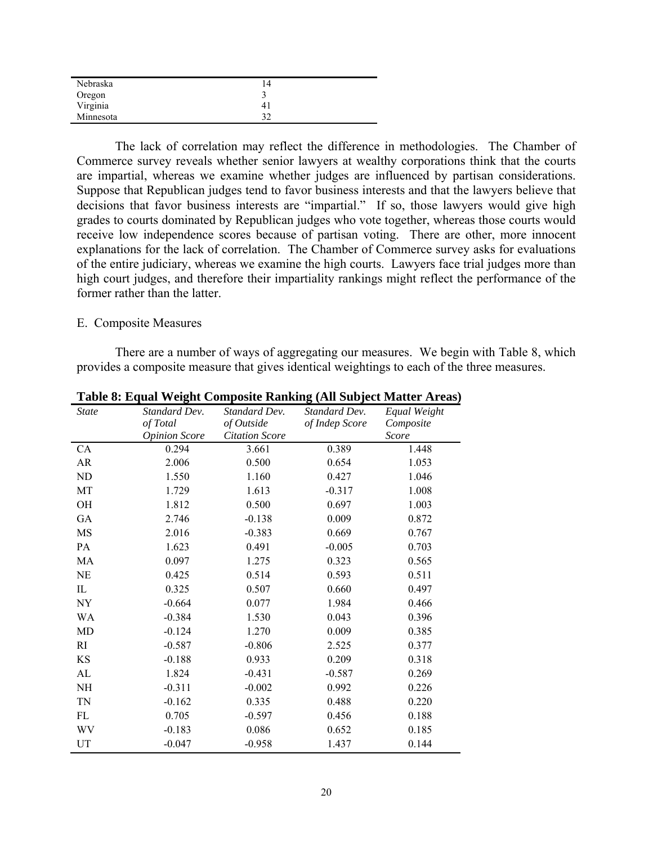| Nebraska  | 14 |
|-----------|----|
| Oregon    |    |
| Virginia  | 41 |
| Minnesota | 32 |

The lack of correlation may reflect the difference in methodologies. The Chamber of Commerce survey reveals whether senior lawyers at wealthy corporations think that the courts are impartial, whereas we examine whether judges are influenced by partisan considerations. Suppose that Republican judges tend to favor business interests and that the lawyers believe that decisions that favor business interests are "impartial." If so, those lawyers would give high grades to courts dominated by Republican judges who vote together, whereas those courts would receive low independence scores because of partisan voting. There are other, more innocent explanations for the lack of correlation. The Chamber of Commerce survey asks for evaluations of the entire judiciary, whereas we examine the high courts. Lawyers face trial judges more than high court judges, and therefore their impartiality rankings might reflect the performance of the former rather than the latter.

## E. Composite Measures

 There are a number of ways of aggregating our measures. We begin with Table 8, which provides a composite measure that gives identical weightings to each of the three measures.

| <b>State</b> | Standard Dev.        | Standard Dev.         | Standard Dev.  | Equal Weight |
|--------------|----------------------|-----------------------|----------------|--------------|
|              | of Total             | of Outside            | of Indep Score | Composite    |
|              | <b>Opinion Score</b> | <b>Citation Score</b> |                | Score        |
| <b>CA</b>    | 0.294                | 3.661                 | 0.389          | 1.448        |
| AR           | 2.006                | 0.500                 | 0.654          | 1.053        |
| ND           | 1.550                | 1.160                 | 0.427          | 1.046        |
| MT           | 1.729                | 1.613                 | $-0.317$       | 1.008        |
| OH           | 1.812                | 0.500                 | 0.697          | 1.003        |
| GA           | 2.746                | $-0.138$              | 0.009          | 0.872        |
| MS           | 2.016                | $-0.383$              | 0.669          | 0.767        |
| PA           | 1.623                | 0.491                 | $-0.005$       | 0.703        |
| MA           | 0.097                | 1.275                 | 0.323          | 0.565        |
| NE           | 0.425                | 0.514                 | 0.593          | 0.511        |
| IL           | 0.325                | 0.507                 | 0.660          | 0.497        |
| NY           | $-0.664$             | 0.077                 | 1.984          | 0.466        |
| WA           | $-0.384$             | 1.530                 | 0.043          | 0.396        |
| MD           | $-0.124$             | 1.270                 | 0.009          | 0.385        |
| RI           | $-0.587$             | $-0.806$              | 2.525          | 0.377        |
| KS           | $-0.188$             | 0.933                 | 0.209          | 0.318        |
| AL           | 1.824                | $-0.431$              | $-0.587$       | 0.269        |
| NH           | $-0.311$             | $-0.002$              | 0.992          | 0.226        |
| TN           | $-0.162$             | 0.335                 | 0.488          | 0.220        |
| FL           | 0.705                | $-0.597$              | 0.456          | 0.188        |
| WV           | $-0.183$             | 0.086                 | 0.652          | 0.185        |
| UT           | $-0.047$             | $-0.958$              | 1.437          | 0.144        |

**Table 8: Equal Weight Composite Ranking (All Subject Matter Areas)**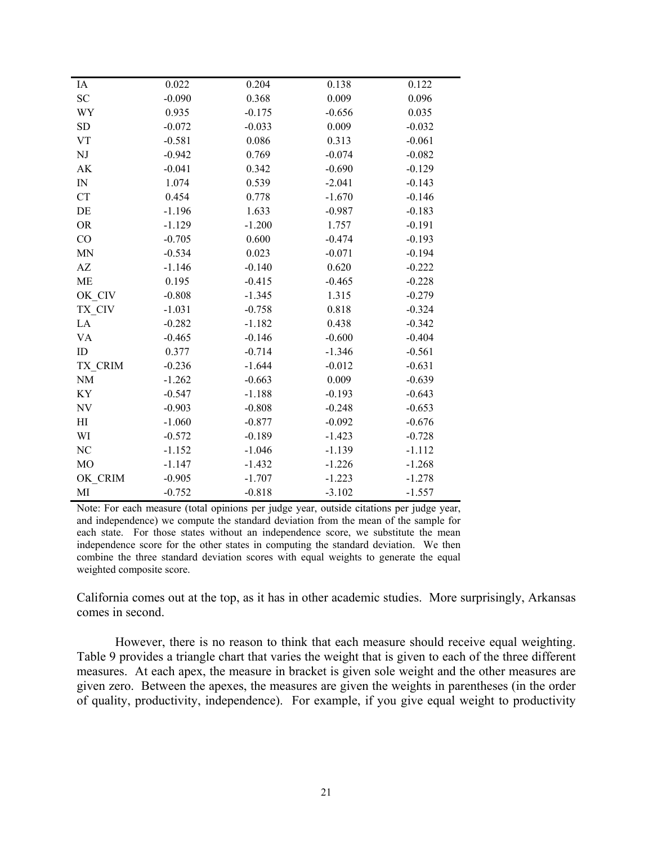| IA             | 0.022    | 0.204    | 0.138    | 0.122    |
|----------------|----------|----------|----------|----------|
| SC             | $-0.090$ | 0.368    | 0.009    | 0.096    |
| WY             | 0.935    | $-0.175$ | $-0.656$ | 0.035    |
| <b>SD</b>      | $-0.072$ | $-0.033$ | 0.009    | $-0.032$ |
| <b>VT</b>      | $-0.581$ | 0.086    | 0.313    | $-0.061$ |
| $\rm{NJ}$      | $-0.942$ | 0.769    | $-0.074$ | $-0.082$ |
| AK             | $-0.041$ | 0.342    | $-0.690$ | $-0.129$ |
| ${\rm IN}$     | 1.074    | 0.539    | $-2.041$ | $-0.143$ |
| <b>CT</b>      | 0.454    | 0.778    | $-1.670$ | $-0.146$ |
| DE             | $-1.196$ | 1.633    | $-0.987$ | $-0.183$ |
| <b>OR</b>      | $-1.129$ | $-1.200$ | 1.757    | $-0.191$ |
| CO             | $-0.705$ | 0.600    | $-0.474$ | $-0.193$ |
| MN             | $-0.534$ | 0.023    | $-0.071$ | $-0.194$ |
| AZ             | $-1.146$ | $-0.140$ | 0.620    | $-0.222$ |
| <b>ME</b>      | 0.195    | $-0.415$ | $-0.465$ | $-0.228$ |
| OK CIV         | $-0.808$ | $-1.345$ | 1.315    | $-0.279$ |
| TX_CIV         | $-1.031$ | $-0.758$ | 0.818    | $-0.324$ |
| LA             | $-0.282$ | $-1.182$ | 0.438    | $-0.342$ |
| VA             | $-0.465$ | $-0.146$ | $-0.600$ | $-0.404$ |
| ID             | 0.377    | $-0.714$ | $-1.346$ | $-0.561$ |
| TX_CRIM        | $-0.236$ | $-1.644$ | $-0.012$ | $-0.631$ |
| <b>NM</b>      | $-1.262$ | $-0.663$ | 0.009    | $-0.639$ |
| ΚY             | $-0.547$ | $-1.188$ | $-0.193$ | $-0.643$ |
| <b>NV</b>      | $-0.903$ | $-0.808$ | $-0.248$ | $-0.653$ |
| H              | $-1.060$ | $-0.877$ | $-0.092$ | $-0.676$ |
| WI             | $-0.572$ | $-0.189$ | $-1.423$ | $-0.728$ |
| NC             | $-1.152$ | $-1.046$ | $-1.139$ | $-1.112$ |
| M <sub>O</sub> | $-1.147$ | $-1.432$ | $-1.226$ | $-1.268$ |
| OK CRIM        | $-0.905$ | $-1.707$ | $-1.223$ | $-1.278$ |
| МI             | $-0.752$ | $-0.818$ | $-3.102$ | $-1.557$ |

Note: For each measure (total opinions per judge year, outside citations per judge year, and independence) we compute the standard deviation from the mean of the sample for each state. For those states without an independence score, we substitute the mean independence score for the other states in computing the standard deviation. We then combine the three standard deviation scores with equal weights to generate the equal weighted composite score.

California comes out at the top, as it has in other academic studies. More surprisingly, Arkansas comes in second.

 However, there is no reason to think that each measure should receive equal weighting. Table 9 provides a triangle chart that varies the weight that is given to each of the three different measures. At each apex, the measure in bracket is given sole weight and the other measures are given zero. Between the apexes, the measures are given the weights in parentheses (in the order of quality, productivity, independence). For example, if you give equal weight to productivity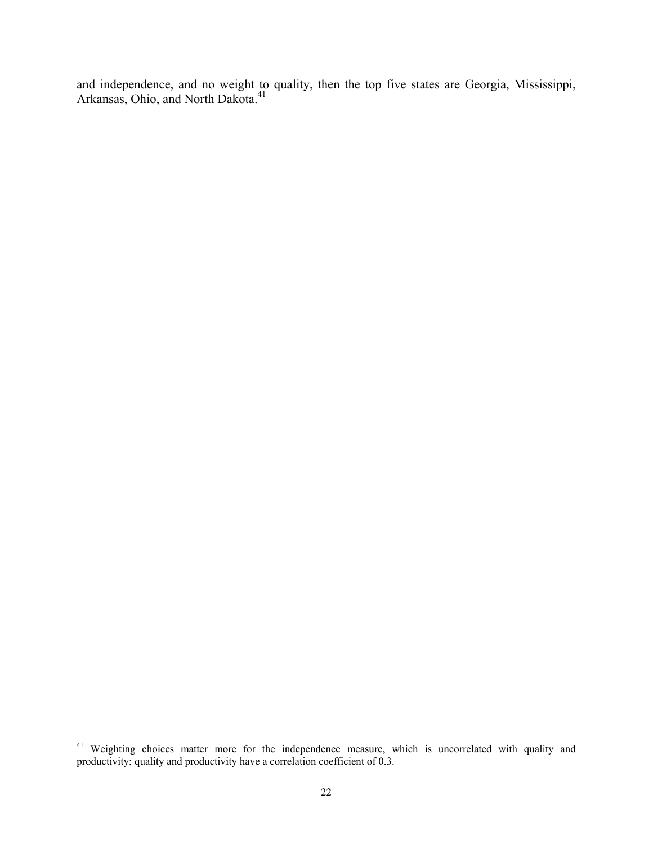and independence, and no weight to quality, then the top five states are Georgia, Mississippi, Arkansas, Ohio, and North Dakota.<sup>41</sup>

 $\overline{a}$ 

<sup>&</sup>lt;sup>41</sup> Weighting choices matter more for the independence measure, which is uncorrelated with quality and productivity; quality and productivity have a correlation coefficient of 0.3.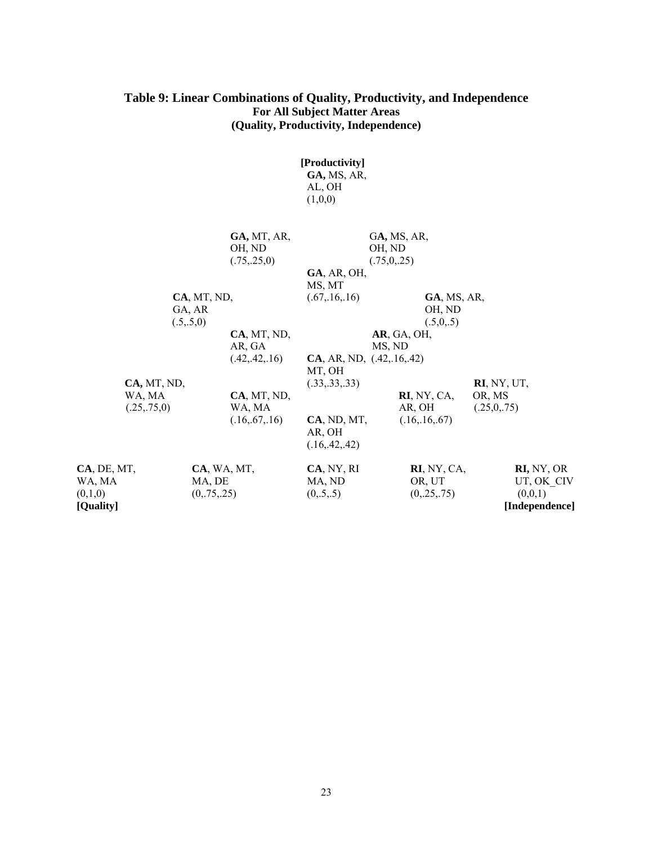## **Table 9: Linear Combinations of Quality, Productivity, and Independence For All Subject Matter Areas (Quality, Productivity, Independence)**

|                                               |                                      |                                          | [Productivity]<br>GA, MS, AR,<br>AL, OH<br>(1,0,0)          |                                      |                                       |                                                       |
|-----------------------------------------------|--------------------------------------|------------------------------------------|-------------------------------------------------------------|--------------------------------------|---------------------------------------|-------------------------------------------------------|
|                                               |                                      | GA, MT, AR,<br>OH, ND<br>(.75, .25, 0)   | $GA$ , AR, OH,                                              | GA, MS, AR,<br>OH, ND<br>(.75,0,.25) |                                       |                                                       |
|                                               | CA, MT, ND,<br>GA, AR<br>(.5,.5,0)   |                                          | MS, MT<br>(.67, .16, .16)                                   |                                      | $GA$ , MS, AR,<br>OH, ND<br>(.5,0,.5) |                                                       |
|                                               |                                      | CA, MT, ND,<br>AR, GA<br>(.42, .42, .16) | CA, AR, ND, (.42, .16, .42)<br>MT, OH                       | AR, GA, OH,<br>MS, ND                |                                       |                                                       |
| CA, MT, ND,<br>WA, MA<br>(.25,.75,0)          |                                      | CA, MT, ND,<br>WA, MA<br>(.16, .67, .16) | (.33, .33, .33)<br>CA, ND, MT,<br>AR, OH<br>(.16, .42, .42) | AR, OH                               | $RI$ , NY, CA,<br>(.16, .16, .67)     | RI, NY, UT,<br>OR, MS<br>(.25,0,.75)                  |
| CA, DE, MT,<br>WA, MA<br>(0,1,0)<br>[Quality] | CA, WA, MT,<br>MA, DE<br>(0, 75, 25) |                                          | CA, NY, RI<br>MA, ND<br>(0, .5, .5)                         |                                      | RI, NY, CA,<br>OR, UT<br>(0, 25, 75)  | RI, NY, OR<br>UT, OK CIV<br>(0,0,1)<br>[Independence] |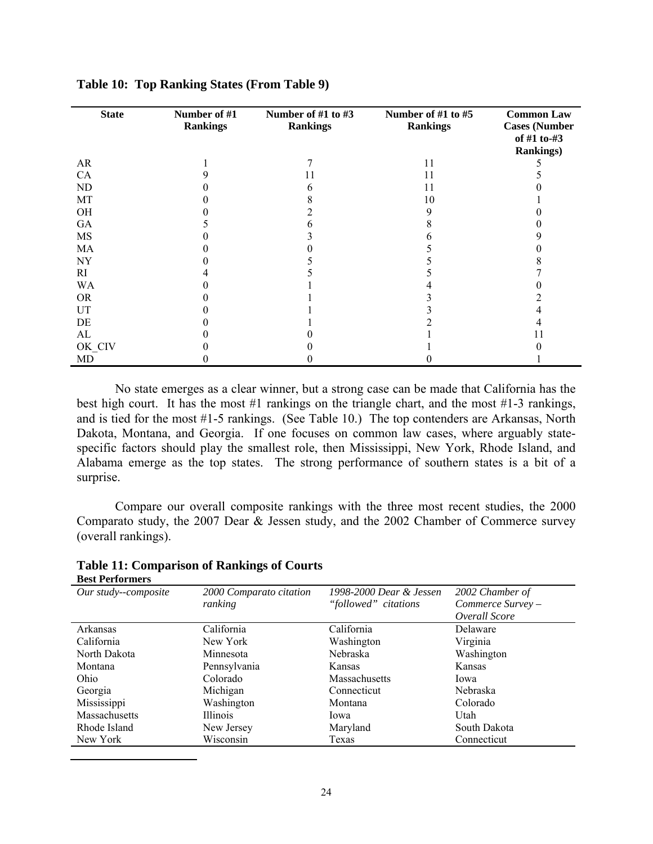| <b>State</b> | Number of #1<br><b>Rankings</b> | Number of #1 to #3<br><b>Rankings</b> | Number of #1 to #5<br><b>Rankings</b> | <b>Common Law</b><br><b>Cases (Number</b><br>of #1 to-#3<br><b>Rankings)</b> |
|--------------|---------------------------------|---------------------------------------|---------------------------------------|------------------------------------------------------------------------------|
| AR           |                                 |                                       | 11                                    |                                                                              |
| CA           |                                 | 11                                    | 11                                    |                                                                              |
| ND           |                                 | h                                     | 11                                    |                                                                              |
| MT           |                                 |                                       | 10                                    |                                                                              |
| <b>OH</b>    |                                 |                                       | 9                                     |                                                                              |
| GA           |                                 |                                       |                                       |                                                                              |
| <b>MS</b>    |                                 |                                       |                                       |                                                                              |
| MA           |                                 |                                       |                                       |                                                                              |
| <b>NY</b>    |                                 |                                       |                                       |                                                                              |
| <b>RI</b>    |                                 |                                       |                                       |                                                                              |
| <b>WA</b>    |                                 |                                       |                                       |                                                                              |
| <b>OR</b>    |                                 |                                       |                                       |                                                                              |
| UT           |                                 |                                       |                                       |                                                                              |
| DE           |                                 |                                       |                                       |                                                                              |
| AL           |                                 |                                       |                                       |                                                                              |
| OK CIV       |                                 |                                       |                                       |                                                                              |
| MD           |                                 |                                       |                                       |                                                                              |

**Table 10: Top Ranking States (From Table 9)** 

 No state emerges as a clear winner, but a strong case can be made that California has the best high court. It has the most #1 rankings on the triangle chart, and the most #1-3 rankings, and is tied for the most #1-5 rankings. (See Table 10.) The top contenders are Arkansas, North Dakota, Montana, and Georgia. If one focuses on common law cases, where arguably statespecific factors should play the smallest role, then Mississippi, New York, Rhode Island, and Alabama emerge as the top states. The strong performance of southern states is a bit of a surprise.

 Compare our overall composite rankings with the three most recent studies, the 2000 Comparato study, the 2007 Dear & Jessen study, and the 2002 Chamber of Commerce survey (overall rankings).

| Dest I entoniners    |                         |                         |                   |
|----------------------|-------------------------|-------------------------|-------------------|
| Our study--composite | 2000 Comparato citation | 1998-2000 Dear & Jessen | 2002 Chamber of   |
|                      | ranking                 | "followed" citations    | Commerce Survey - |
|                      |                         |                         | Overall Score     |
| Arkansas             | California              | California              | Delaware          |
| California           | New York                | Washington              | Virginia          |
| North Dakota         | Minnesota               | Nebraska                | Washington        |
| Montana              | Pennsylvania            | Kansas                  | Kansas            |
| Ohio                 | Colorado                | Massachusetts           | Iowa              |
| Georgia              | Michigan                | Connecticut             | Nebraska          |
| Mississippi          | Washington              | Montana                 | Colorado          |
| Massachusetts        | <b>Illinois</b>         | Iowa                    | Utah              |
| Rhode Island         | New Jersey              | Maryland                | South Dakota      |
| New York             | Wisconsin               | Texas                   | Connecticut       |

**Table 11: Comparison of Rankings of Courts Best Performers**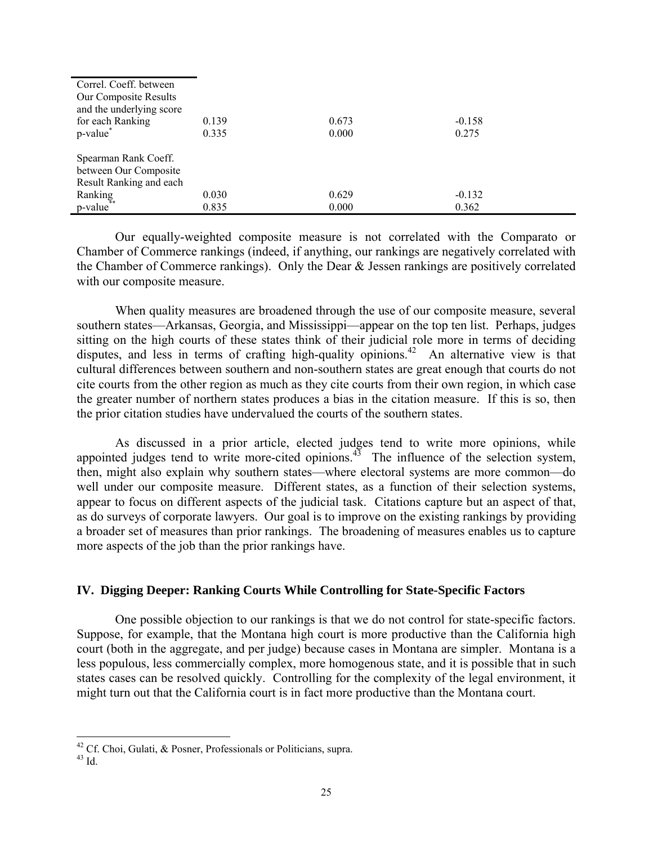| Correl. Coeff. between   |       |       |          |
|--------------------------|-------|-------|----------|
| Our Composite Results    |       |       |          |
| and the underlying score |       |       |          |
| for each Ranking         | 0.139 | 0.673 | $-0.158$ |
| p-value <sup>*</sup>     | 0.335 | 0.000 | 0.275    |
|                          |       |       |          |
| Spearman Rank Coeff.     |       |       |          |
| between Our Composite    |       |       |          |
| Result Ranking and each  |       |       |          |
| Ranking                  | 0.030 | 0.629 | $-0.132$ |
| p-value                  | 0.835 | 0.000 | 0.362    |

 Our equally-weighted composite measure is not correlated with the Comparato or Chamber of Commerce rankings (indeed, if anything, our rankings are negatively correlated with the Chamber of Commerce rankings). Only the Dear & Jessen rankings are positively correlated with our composite measure.

When quality measures are broadened through the use of our composite measure, several southern states—Arkansas, Georgia, and Mississippi—appear on the top ten list. Perhaps, judges sitting on the high courts of these states think of their judicial role more in terms of deciding disputes, and less in terms of crafting high-quality opinions.<sup>42</sup> An alternative view is that cultural differences between southern and non-southern states are great enough that courts do not cite courts from the other region as much as they cite courts from their own region, in which case the greater number of northern states produces a bias in the citation measure. If this is so, then the prior citation studies have undervalued the courts of the southern states.

 As discussed in a prior article, elected judges tend to write more opinions, while appointed judges tend to write more-cited opinions.<sup>43</sup> The influence of the selection system, then, might also explain why southern states—where electoral systems are more common—do well under our composite measure. Different states, as a function of their selection systems, appear to focus on different aspects of the judicial task. Citations capture but an aspect of that, as do surveys of corporate lawyers. Our goal is to improve on the existing rankings by providing a broader set of measures than prior rankings. The broadening of measures enables us to capture more aspects of the job than the prior rankings have.

## **IV. Digging Deeper: Ranking Courts While Controlling for State-Specific Factors**

 One possible objection to our rankings is that we do not control for state-specific factors. Suppose, for example, that the Montana high court is more productive than the California high court (both in the aggregate, and per judge) because cases in Montana are simpler. Montana is a less populous, less commercially complex, more homogenous state, and it is possible that in such states cases can be resolved quickly. Controlling for the complexity of the legal environment, it might turn out that the California court is in fact more productive than the Montana court.

 $\overline{a}$ 

<sup>&</sup>lt;sup>42</sup> Cf. Choi, Gulati, & Posner, Professionals or Politicians, supra.  $^{43}$  Id.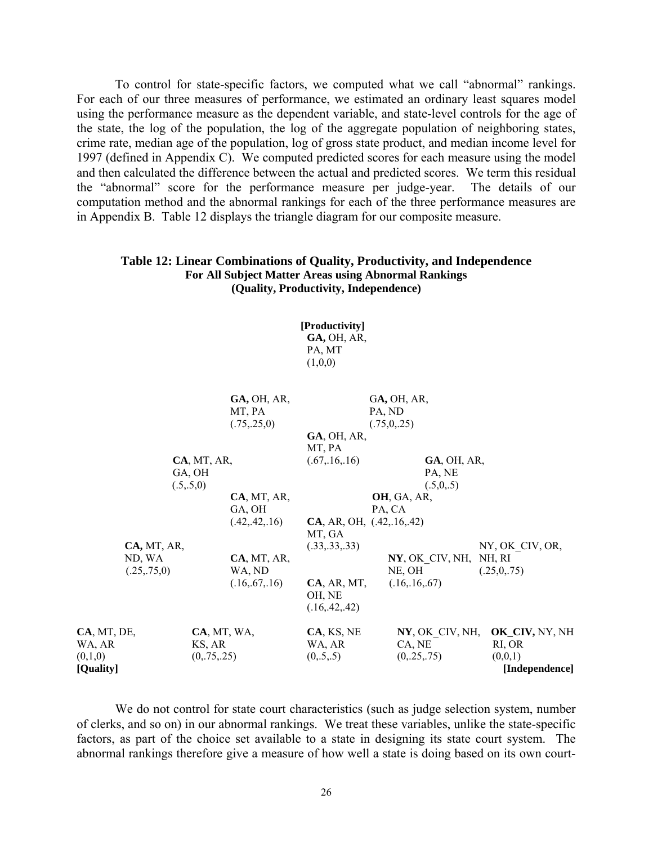To control for state-specific factors, we computed what we call "abnormal" rankings. For each of our three measures of performance, we estimated an ordinary least squares model using the performance measure as the dependent variable, and state-level controls for the age of the state, the log of the population, the log of the aggregate population of neighboring states, crime rate, median age of the population, log of gross state product, and median income level for 1997 (defined in Appendix C). We computed predicted scores for each measure using the model and then calculated the difference between the actual and predicted scores. We term this residual the "abnormal" score for the performance measure per judge-year. The details of our computation method and the abnormal rankings for each of the three performance measures are in Appendix B. Table 12 displays the triangle diagram for our composite measure.

## **Table 12: Linear Combinations of Quality, Productivity, and Independence For All Subject Matter Areas using Abnormal Rankings (Quality, Productivity, Independence)**

 **[Productivity] GA,** OH, AR, PA, MT  $(1,0,0)$ 

|             |             |             | <b>GA, OH, AR,</b><br>MT, PA<br>(.75, .25, 0) |                            | GA, OH, AR,<br>PA, ND<br>(.75, 0, .25) |                    |                 |
|-------------|-------------|-------------|-----------------------------------------------|----------------------------|----------------------------------------|--------------------|-----------------|
|             |             |             |                                               | GA, OH, AR,                |                                        |                    |                 |
|             |             |             |                                               | MT, PA                     |                                        |                    |                 |
|             |             | CA, MT, AR, |                                               | (.67, .16, .16)            |                                        | <b>GA, OH, AR,</b> |                 |
|             |             | GA, OH      |                                               |                            | PA, NE                                 |                    |                 |
|             |             | (.5,.5,0)   |                                               |                            | (.5,0,.5)                              |                    |                 |
|             |             |             | CA, MT, AR,                                   |                            | <b>OH, GA, AR,</b>                     |                    |                 |
|             |             |             | GA, OH                                        |                            | PA, CA                                 |                    |                 |
|             |             |             | (.42, .42, .16)                               | CA, AR, OH, (0.42, 16, 42) |                                        |                    |                 |
|             |             |             |                                               | MT, GA                     |                                        |                    |                 |
|             | CA, MT, AR, |             |                                               | (.33, .33, .33)            |                                        |                    | NY, OK CIV, OR, |
|             | ND, WA      |             | CA, MT, AR,                                   |                            | NY, OK CIV, NH, NH, RI                 |                    |                 |
|             |             |             |                                               |                            | NE, OH                                 |                    |                 |
|             | (.25,.75,0) |             | WA, ND                                        |                            |                                        |                    | (.25,0,.75)     |
|             |             |             | (.16, .67, .16)                               | CA, AR, MT,                | (.16, .16, .67)                        |                    |                 |
|             |             |             |                                               | OH, NE                     |                                        |                    |                 |
|             |             |             |                                               | (.16, .42, .42)            |                                        |                    |                 |
| CA, MT, DE, |             |             |                                               |                            | NY, OK CIV, NH,                        |                    | OK_CIV, NY, NH  |
|             |             | CA, MT, WA, |                                               | CA, KS, NE                 |                                        |                    |                 |
| WA, AR      |             | KS, AR      |                                               | WA, AR                     | CA, NE                                 |                    | RI, OR          |
| (0,1,0)     |             | (0, 75, 25) |                                               | (0, 5, 5)                  | (0, 25, 75)                            |                    | (0,0,1)         |
| [Quality]   |             |             |                                               |                            |                                        |                    | [Independence]  |

 We do not control for state court characteristics (such as judge selection system, number of clerks, and so on) in our abnormal rankings. We treat these variables, unlike the state-specific factors, as part of the choice set available to a state in designing its state court system. The abnormal rankings therefore give a measure of how well a state is doing based on its own court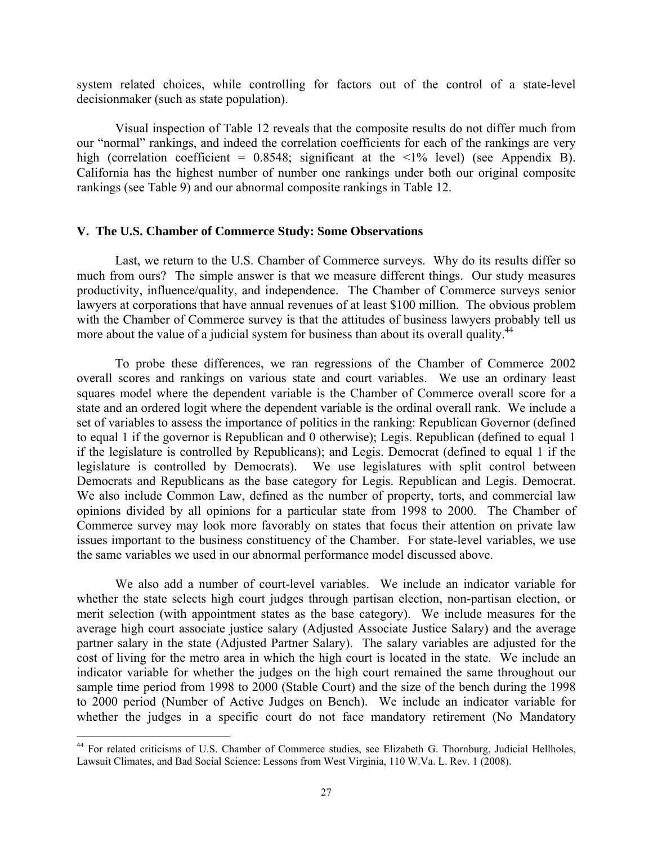system related choices, while controlling for factors out of the control of a state-level decisionmaker (such as state population).

 Visual inspection of Table 12 reveals that the composite results do not differ much from our "normal" rankings, and indeed the correlation coefficients for each of the rankings are very high (correlation coefficient =  $0.8548$ ; significant at the <1% level) (see Appendix B). California has the highest number of number one rankings under both our original composite rankings (see Table 9) and our abnormal composite rankings in Table 12.

## **V. The U.S. Chamber of Commerce Study: Some Observations**

 Last, we return to the U.S. Chamber of Commerce surveys. Why do its results differ so much from ours? The simple answer is that we measure different things. Our study measures productivity, influence/quality, and independence. The Chamber of Commerce surveys senior lawyers at corporations that have annual revenues of at least \$100 million. The obvious problem with the Chamber of Commerce survey is that the attitudes of business lawyers probably tell us more about the value of a judicial system for business than about its overall quality.<sup>44</sup>

To probe these differences, we ran regressions of the Chamber of Commerce 2002 overall scores and rankings on various state and court variables. We use an ordinary least squares model where the dependent variable is the Chamber of Commerce overall score for a state and an ordered logit where the dependent variable is the ordinal overall rank. We include a set of variables to assess the importance of politics in the ranking: Republican Governor (defined to equal 1 if the governor is Republican and 0 otherwise); Legis. Republican (defined to equal 1 if the legislature is controlled by Republicans); and Legis. Democrat (defined to equal 1 if the legislature is controlled by Democrats). We use legislatures with split control between Democrats and Republicans as the base category for Legis. Republican and Legis. Democrat. We also include Common Law, defined as the number of property, torts, and commercial law opinions divided by all opinions for a particular state from 1998 to 2000. The Chamber of Commerce survey may look more favorably on states that focus their attention on private law issues important to the business constituency of the Chamber. For state-level variables, we use the same variables we used in our abnormal performance model discussed above.

We also add a number of court-level variables. We include an indicator variable for whether the state selects high court judges through partisan election, non-partisan election, or merit selection (with appointment states as the base category). We include measures for the average high court associate justice salary (Adjusted Associate Justice Salary) and the average partner salary in the state (Adjusted Partner Salary). The salary variables are adjusted for the cost of living for the metro area in which the high court is located in the state. We include an indicator variable for whether the judges on the high court remained the same throughout our sample time period from 1998 to 2000 (Stable Court) and the size of the bench during the 1998 to 2000 period (Number of Active Judges on Bench). We include an indicator variable for whether the judges in a specific court do not face mandatory retirement (No Mandatory

 $\overline{a}$ 

<sup>&</sup>lt;sup>44</sup> For related criticisms of U.S. Chamber of Commerce studies, see Elizabeth G. Thornburg, Judicial Hellholes, Lawsuit Climates, and Bad Social Science: Lessons from West Virginia, 110 W.Va. L. Rev. 1 (2008).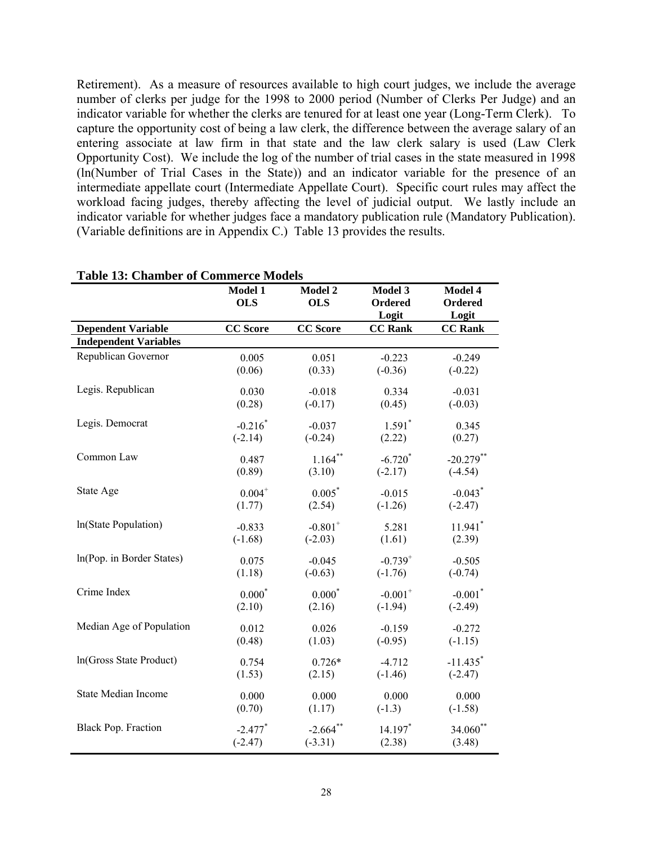Retirement). As a measure of resources available to high court judges, we include the average number of clerks per judge for the 1998 to 2000 period (Number of Clerks Per Judge) and an indicator variable for whether the clerks are tenured for at least one year (Long-Term Clerk). To capture the opportunity cost of being a law clerk, the difference between the average salary of an entering associate at law firm in that state and the law clerk salary is used (Law Clerk Opportunity Cost). We include the log of the number of trial cases in the state measured in 1998 (ln(Number of Trial Cases in the State)) and an indicator variable for the presence of an intermediate appellate court (Intermediate Appellate Court). Specific court rules may affect the workload facing judges, thereby affecting the level of judicial output. We lastly include an indicator variable for whether judges face a mandatory publication rule (Mandatory Publication). (Variable definitions are in Appendix C.) Table 13 provides the results.

|                              | Model 1               | Model 2               | Model 3               | Model 4                |
|------------------------------|-----------------------|-----------------------|-----------------------|------------------------|
|                              | <b>OLS</b>            | <b>OLS</b>            | Ordered               | Ordered                |
|                              |                       |                       | Logit                 | Logit                  |
| <b>Dependent Variable</b>    | <b>CC</b> Score       | <b>CC</b> Score       | <b>CC Rank</b>        | <b>CC Rank</b>         |
| <b>Independent Variables</b> |                       |                       |                       |                        |
| Republican Governor          | 0.005                 | 0.051                 | $-0.223$              | $-0.249$               |
|                              | (0.06)                | (0.33)                | $(-0.36)$             | $(-0.22)$              |
| Legis. Republican            | 0.030                 | $-0.018$              | 0.334                 | $-0.031$               |
|                              | (0.28)                | $(-0.17)$             | (0.45)                | $(-0.03)$              |
| Legis. Democrat              | $-0.216*$             | $-0.037$              | $1.591*$              | 0.345                  |
|                              | $(-2.14)$             | $(-0.24)$             | (2.22)                | (0.27)                 |
| Common Law                   | 0.487                 | $1.164$ **            | $-6.720*$             | $-20.279$ **           |
|                              | (0.89)                | (3.10)                | $(-2.17)$             | $(-4.54)$              |
| State Age                    | $0.004^{+}$           | $0.005*$              | $-0.015$              | $-0.043$ <sup>*</sup>  |
|                              | (1.77)                | (2.54)                | $(-1.26)$             | $(-2.47)$              |
| In(State Population)         | $-0.833$              | $-0.801$ <sup>+</sup> | 5.281                 | $11.941$ <sup>*</sup>  |
|                              | $(-1.68)$             | $(-2.03)$             | (1.61)                | (2.39)                 |
| In(Pop. in Border States)    | 0.075                 | $-0.045$              | $-0.739^{+}$          | $-0.505$               |
|                              | (1.18)                | $(-0.63)$             | $(-1.76)$             | $(-0.74)$              |
| Crime Index                  | $0.000*$              | $0.000*$              | $-0.001$ <sup>+</sup> | $-0.001$ <sup>*</sup>  |
|                              | (2.10)                | (2.16)                | $(-1.94)$             | $(-2.49)$              |
| Median Age of Population     | 0.012                 | 0.026                 | $-0.159$              | $-0.272$               |
|                              | (0.48)                | (1.03)                | $(-0.95)$             | $(-1.15)$              |
| In(Gross State Product)      | 0.754                 | $0.726*$              | $-4.712$              | $-11.435$ <sup>*</sup> |
|                              | (1.53)                | (2.15)                | $(-1.46)$             | $(-2.47)$              |
| <b>State Median Income</b>   | 0.000                 | 0.000                 | 0.000                 | 0.000                  |
|                              | (0.70)                | (1.17)                | $(-1.3)$              | $(-1.58)$              |
| <b>Black Pop. Fraction</b>   | $-2.477$ <sup>*</sup> | $-2.664$ **           | 14.197*               | 34.060**               |
|                              | $(-2.47)$             | $(-3.31)$             | (2.38)                | (3.48)                 |

## **Table 13: Chamber of Commerce Models**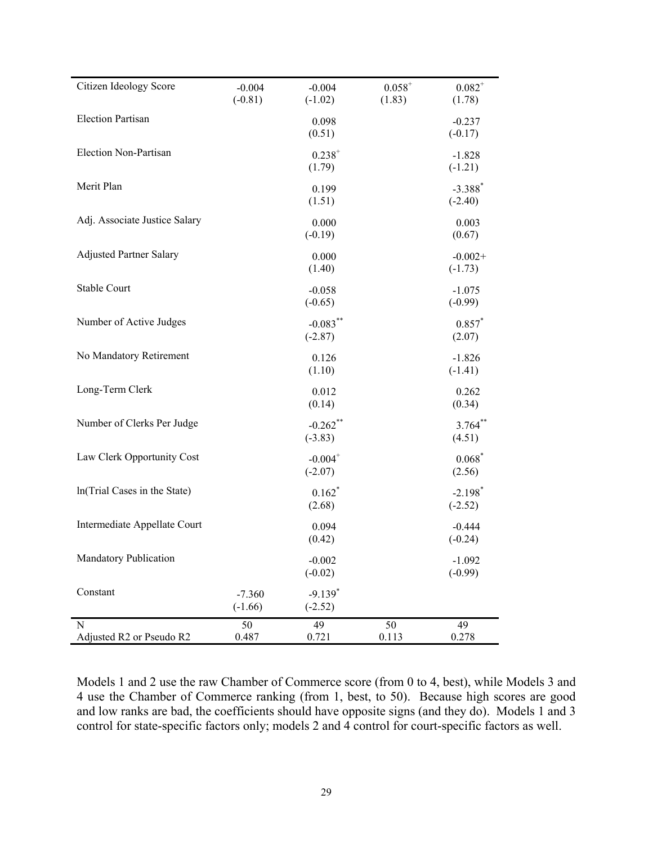| Mandatory Publication          |                       | $-0.002$<br>$(-0.02)$              |                       | $-1.092$<br>$(-0.99)$              |
|--------------------------------|-----------------------|------------------------------------|-----------------------|------------------------------------|
| Intermediate Appellate Court   |                       | 0.094<br>(0.42)                    |                       | $-0.444$<br>$(-0.24)$              |
| In(Trial Cases in the State)   |                       | $0.162*$<br>(2.68)                 |                       | $-2.198$ <sup>*</sup><br>$(-2.52)$ |
| Law Clerk Opportunity Cost     |                       | $-0.004$ <sup>+</sup><br>$(-2.07)$ |                       | $0.068*$<br>(2.56)                 |
| Number of Clerks Per Judge     |                       | $-0.262$ **<br>$(-3.83)$           |                       | $3.764***$<br>(4.51)               |
| Long-Term Clerk                |                       | 0.012<br>(0.14)                    |                       | 0.262<br>(0.34)                    |
| No Mandatory Retirement        |                       | 0.126<br>(1.10)                    |                       | $-1.826$<br>$(-1.41)$              |
| Number of Active Judges        |                       | $-0.083***$<br>$(-2.87)$           |                       | $0.857*$<br>(2.07)                 |
| <b>Stable Court</b>            |                       | $-0.058$<br>$(-0.65)$              |                       | $-1.075$<br>$(-0.99)$              |
| <b>Adjusted Partner Salary</b> |                       | 0.000<br>(1.40)                    |                       | $-0.002+$<br>$(-1.73)$             |
| Adj. Associate Justice Salary  |                       | 0.000<br>$(-0.19)$                 |                       | 0.003<br>(0.67)                    |
| Merit Plan                     |                       | 0.199<br>(1.51)                    |                       | $-3.388$ <sup>*</sup><br>$(-2.40)$ |
| Election Non-Partisan          |                       | $0.238^{+}$<br>(1.79)              |                       | $-1.828$<br>$(-1.21)$              |
| <b>Election Partisan</b>       |                       | 0.098<br>(0.51)                    |                       | $-0.237$<br>$(-0.17)$              |
| Citizen Ideology Score         | $-0.004$<br>$(-0.81)$ | $-0.004$<br>$(-1.02)$              | $0.058^{+}$<br>(1.83) | $0.082^{+}$<br>(1.78)              |

Models 1 and 2 use the raw Chamber of Commerce score (from 0 to 4, best), while Models 3 and 4 use the Chamber of Commerce ranking (from 1, best, to 50). Because high scores are good and low ranks are bad, the coefficients should have opposite signs (and they do). Models 1 and 3 control for state-specific factors only; models 2 and 4 control for court-specific factors as well.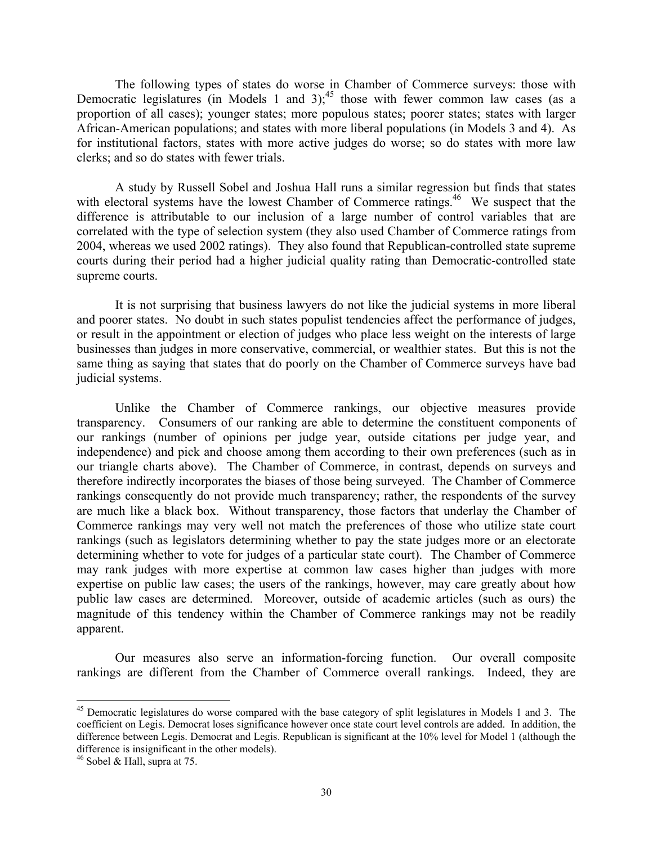The following types of states do worse in Chamber of Commerce surveys: those with Democratic legislatures (in Models 1 and 3);<sup>45</sup> those with fewer common law cases (as a proportion of all cases); younger states; more populous states; poorer states; states with larger African-American populations; and states with more liberal populations (in Models 3 and 4). As for institutional factors, states with more active judges do worse; so do states with more law clerks; and so do states with fewer trials.

 A study by Russell Sobel and Joshua Hall runs a similar regression but finds that states with electoral systems have the lowest Chamber of Commerce ratings.<sup>46</sup> We suspect that the difference is attributable to our inclusion of a large number of control variables that are correlated with the type of selection system (they also used Chamber of Commerce ratings from 2004, whereas we used 2002 ratings). They also found that Republican-controlled state supreme courts during their period had a higher judicial quality rating than Democratic-controlled state supreme courts.

 It is not surprising that business lawyers do not like the judicial systems in more liberal and poorer states. No doubt in such states populist tendencies affect the performance of judges, or result in the appointment or election of judges who place less weight on the interests of large businesses than judges in more conservative, commercial, or wealthier states. But this is not the same thing as saying that states that do poorly on the Chamber of Commerce surveys have bad judicial systems.

 Unlike the Chamber of Commerce rankings, our objective measures provide transparency. Consumers of our ranking are able to determine the constituent components of our rankings (number of opinions per judge year, outside citations per judge year, and independence) and pick and choose among them according to their own preferences (such as in our triangle charts above). The Chamber of Commerce, in contrast, depends on surveys and therefore indirectly incorporates the biases of those being surveyed. The Chamber of Commerce rankings consequently do not provide much transparency; rather, the respondents of the survey are much like a black box. Without transparency, those factors that underlay the Chamber of Commerce rankings may very well not match the preferences of those who utilize state court rankings (such as legislators determining whether to pay the state judges more or an electorate determining whether to vote for judges of a particular state court). The Chamber of Commerce may rank judges with more expertise at common law cases higher than judges with more expertise on public law cases; the users of the rankings, however, may care greatly about how public law cases are determined. Moreover, outside of academic articles (such as ours) the magnitude of this tendency within the Chamber of Commerce rankings may not be readily apparent.

 Our measures also serve an information-forcing function. Our overall composite rankings are different from the Chamber of Commerce overall rankings. Indeed, they are

 $\overline{a}$ 

<sup>&</sup>lt;sup>45</sup> Democratic legislatures do worse compared with the base category of split legislatures in Models 1 and 3. The coefficient on Legis. Democrat loses significance however once state court level controls are added. In addition, the difference between Legis. Democrat and Legis. Republican is significant at the 10% level for Model 1 (although the difference is insignificant in the other models).

<sup>&</sup>lt;sup>46</sup> Sobel & Hall, supra at 75.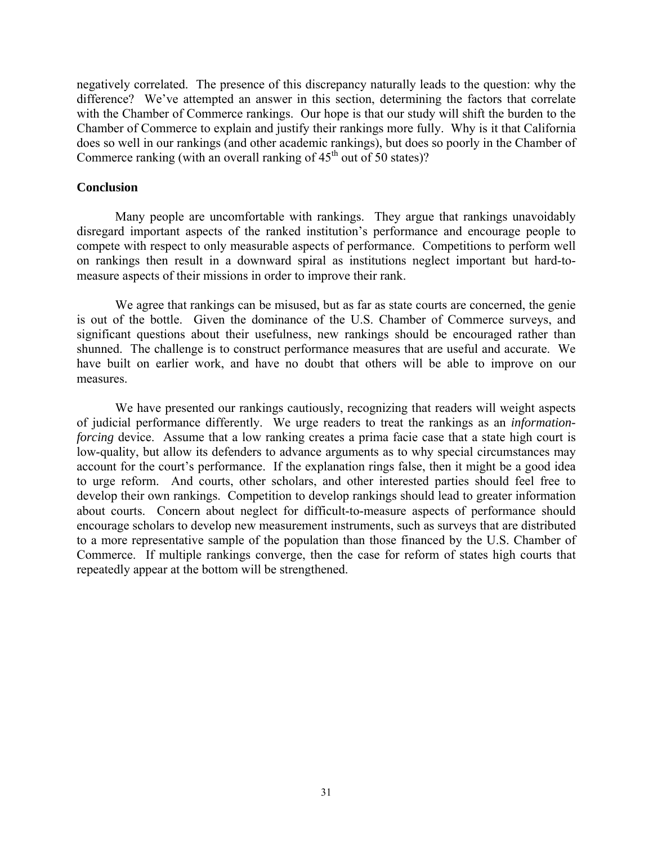negatively correlated. The presence of this discrepancy naturally leads to the question: why the difference? We've attempted an answer in this section, determining the factors that correlate with the Chamber of Commerce rankings. Our hope is that our study will shift the burden to the Chamber of Commerce to explain and justify their rankings more fully. Why is it that California does so well in our rankings (and other academic rankings), but does so poorly in the Chamber of Commerce ranking (with an overall ranking of  $45<sup>th</sup>$  out of 50 states)?

## **Conclusion**

 Many people are uncomfortable with rankings. They argue that rankings unavoidably disregard important aspects of the ranked institution's performance and encourage people to compete with respect to only measurable aspects of performance. Competitions to perform well on rankings then result in a downward spiral as institutions neglect important but hard-tomeasure aspects of their missions in order to improve their rank.

 We agree that rankings can be misused, but as far as state courts are concerned, the genie is out of the bottle. Given the dominance of the U.S. Chamber of Commerce surveys, and significant questions about their usefulness, new rankings should be encouraged rather than shunned. The challenge is to construct performance measures that are useful and accurate. We have built on earlier work, and have no doubt that others will be able to improve on our measures.

 We have presented our rankings cautiously, recognizing that readers will weight aspects of judicial performance differently. We urge readers to treat the rankings as an *informationforcing* device. Assume that a low ranking creates a prima facie case that a state high court is low-quality, but allow its defenders to advance arguments as to why special circumstances may account for the court's performance. If the explanation rings false, then it might be a good idea to urge reform. And courts, other scholars, and other interested parties should feel free to develop their own rankings. Competition to develop rankings should lead to greater information about courts. Concern about neglect for difficult-to-measure aspects of performance should encourage scholars to develop new measurement instruments, such as surveys that are distributed to a more representative sample of the population than those financed by the U.S. Chamber of Commerce. If multiple rankings converge, then the case for reform of states high courts that repeatedly appear at the bottom will be strengthened.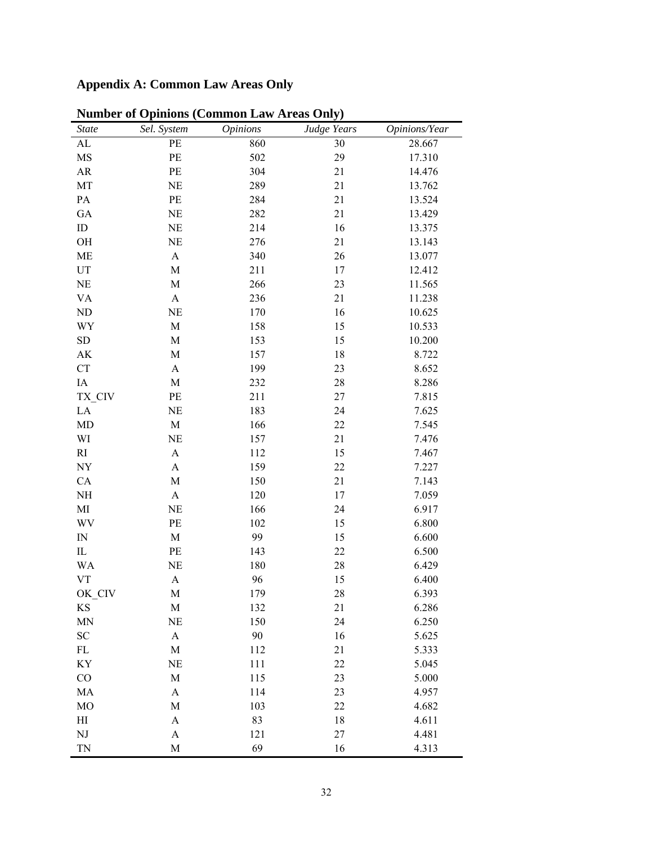# **Appendix A: Common Law Areas Only**

| State                           | Sel. System               | <b>Opinions</b> | Judge Years | Opinions/Year |
|---------------------------------|---------------------------|-----------------|-------------|---------------|
| AL                              | PE                        | 860             | 30          | 28.667        |
| MS                              | PE                        | 502             | 29          | 17.310        |
| AR                              | PE                        | 304             | 21          | 14.476        |
| MT                              | NE                        | 289             | 21          | 13.762        |
| $\mathbf{PA}$                   | $\rm PE$                  | 284             | 21          | 13.524        |
| ${\rm GA}$                      | $\rm NE$                  | 282             | 21          | 13.429        |
| ID                              | NE                        | 214             | 16          | 13.375        |
| OH                              | NE                        | 276             | 21          | 13.143        |
| ME                              | $\boldsymbol{\mathsf{A}}$ | 340             | 26          | 13.077        |
| $\mathop{\rm UT}$               | $\mathbf M$               | 211             | 17          | 12.412        |
| $\rm NE$                        | $\mathbf M$               | 266             | 23          | 11.565        |
| <b>VA</b>                       | $\boldsymbol{\rm{A}}$     | 236             | 21          | 11.238        |
| ND                              | NE                        | 170             | 16          | 10.625        |
| WY                              | $\mathbf M$               | 158             | 15          | 10.533        |
| ${\rm SD}$                      | $\mathbf M$               | 153             | 15          | 10.200        |
| $\mathbf{A}\mathbf{K}$          | $\mathbf M$               | 157             | 18          | 8.722         |
| ${\cal C}{\cal T}$              | A                         | 199             | 23          | 8.652         |
| IA                              | $\mathbf M$               | 232             | 28          | 8.286         |
| TX_CIV                          | PE                        | 211             | 27          | 7.815         |
| LA                              | $\rm NE$                  | 183             | 24          | 7.625         |
| MD                              | $\mathbf M$               | 166             | 22          | 7.545         |
| WI                              | NE                        | 157             | 21          | 7.476         |
| RI                              | A                         | 112             | 15          | 7.467         |
| NY                              | $\boldsymbol{\mathsf{A}}$ | 159             | 22          | 7.227         |
| CA                              | $\mathbf M$               | 150             | 21          | 7.143         |
| $\rm NH$                        | $\boldsymbol{\mathsf{A}}$ | 120             | 17          | 7.059         |
| MI                              | NE                        | 166             | 24          | 6.917         |
| WV                              | PE                        | 102             | 15          | 6.800         |
| $\ensuremath{\text{IN}}\xspace$ | $\mathbf M$               | 99              | 15          | 6.600         |
| $\rm IL$                        | PE                        | 143             | $22\,$      | 6.500         |
| <b>WA</b>                       | NE                        | 180             | 28          | 6.429         |
| <b>VT</b>                       | $\boldsymbol{\rm{A}}$     | 96              | 15          | 6.400         |
| OK_CIV                          | M                         | 179             | 28          | 6.393         |
| KS                              | M                         | 132             | 21          | 6.286         |
| <b>MN</b>                       | $\rm NE$                  | 150             | 24          | 6.250         |
| SC                              | $\mathbf{A}$              | 90              | 16          | 5.625         |
| $\mathop{\rm FL}\nolimits$      | M                         | 112             | 21          | 5.333         |
| KY                              | NE                        | 111             | 22          | 5.045         |
| CO                              | M                         | 115             | 23          | 5.000         |
| MA                              | $\boldsymbol{\mathsf{A}}$ | 114             | 23          | 4.957         |
| <b>MO</b>                       | M                         | 103             | 22          | 4.682         |
| $\mathop{\mathrm{HI}}\nolimits$ | $\boldsymbol{A}$          | 83              | 18          | 4.611         |
| ${\rm NJ}$                      | A                         | 121             | 27          | 4.481         |
| TN                              | $\mathbf M$               | 69              | 16          | 4.313         |

**Number of Opinions (Common Law Areas Only)**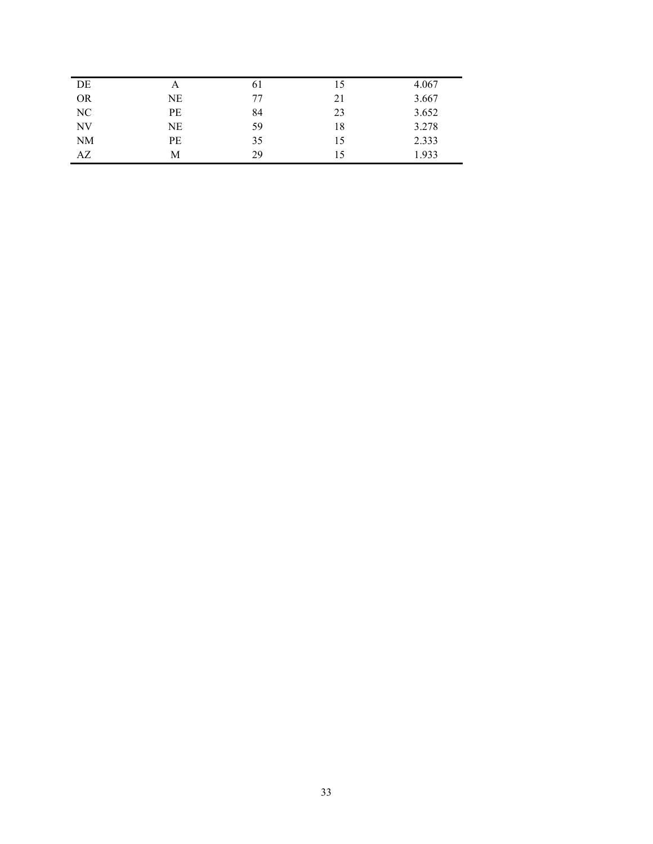| А         | 61 | 15 | 4.067 |
|-----------|----|----|-------|
| NE        | 77 | 21 | 3.667 |
| PE        | 84 | 23 | 3.652 |
| NE        | 59 | 18 | 3.278 |
| <b>PE</b> | 35 | 15 | 2.333 |
| M         | 29 | 15 | 1.933 |
|           |    |    |       |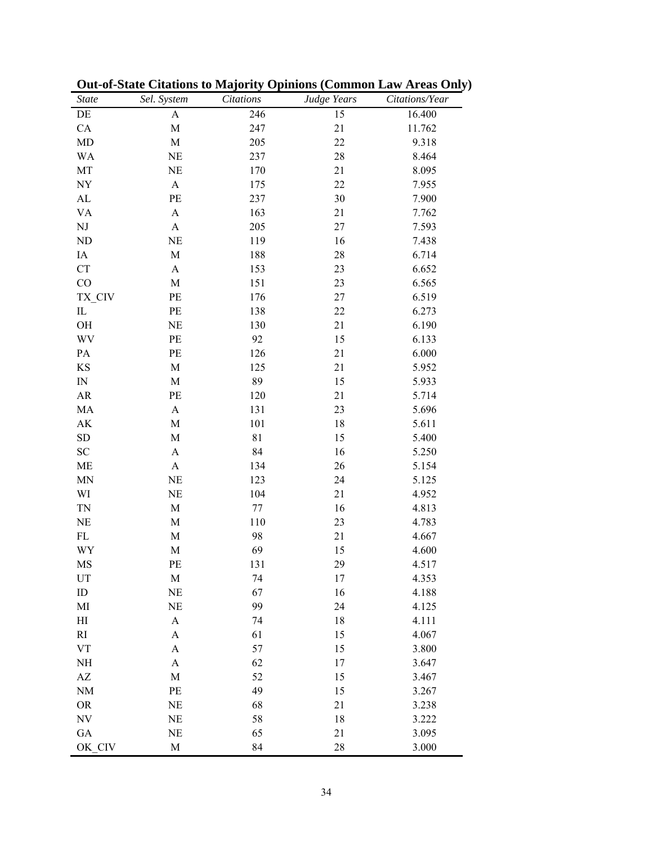| <b>State</b>                    | Sel. System               | <b>Citations</b> | Judge Years | Citations/Year |
|---------------------------------|---------------------------|------------------|-------------|----------------|
| $\rm DE$                        | A                         | 246              | 15          | 16.400         |
| CA                              | M                         | 247              | 21          | 11.762         |
| MD                              | $\mathbf M$               | 205              | 22          | 9.318          |
| <b>WA</b>                       | <b>NE</b>                 | 237              | 28          | 8.464          |
| MT                              | <b>NE</b>                 | 170              | 21          | 8.095          |
| ${\rm NY}$                      | $\boldsymbol{\mathsf{A}}$ | 175              | 22          | 7.955          |
| ${\rm AL}$                      | PE                        | 237              | 30          | 7.900          |
| <b>VA</b>                       | $\boldsymbol{\mathsf{A}}$ | 163              | 21          | 7.762          |
| ${\rm NJ}$                      | $\boldsymbol{A}$          | 205              | 27          | 7.593          |
| <b>ND</b>                       | <b>NE</b>                 | 119              | 16          | 7.438          |
| IA                              | $\mathbf M$               | 188              | 28          | 6.714          |
| CT                              | $\boldsymbol{\mathsf{A}}$ | 153              | 23          | 6.652          |
| CO                              | M                         | 151              | 23          | 6.565          |
| TX_CIV                          | PE                        | 176              | 27          | 6.519          |
| $\mathop{\mathrm{IL}}\nolimits$ | PE                        | 138              | 22          | 6.273          |
| OH                              | NE                        | 130              | 21          | 6.190          |
| WV                              | PE                        | 92               | 15          | 6.133          |
| PA                              | PE                        | 126              | 21          | 6.000          |
| KS                              | M                         | 125              | 21          | 5.952          |
| $\hbox{IN}$                     | M                         | 89               | 15          | 5.933          |
| ${\sf AR}$                      | PE                        | 120              | 21          | 5.714          |
| MA                              | $\boldsymbol{\mathsf{A}}$ | 131              | 23          | 5.696          |
| $\mathbf{A}\mathbf{K}$          | M                         | 101              | 18          | 5.611          |
| <b>SD</b>                       | M                         | 81               | 15          | 5.400          |
| ${\rm SC}$                      | A                         | 84               | 16          | 5.250          |
| $\rm ME$                        | $\boldsymbol{\mathsf{A}}$ | 134              | 26          | 5.154          |
| <b>MN</b>                       | NE                        | 123              | 24          | 5.125          |
| WI                              | NE                        | 104              | 21          | 4.952          |
| <b>TN</b>                       | M                         | 77               | 16          | 4.813          |
| NE                              | M                         | 110              | 23          | 4.783          |
| $\mathbf{FL}$                   | $\mathbf M$               | 98               | 21          | 4.667          |
| WY                              | $\mathbf M$               | 69               | 15          | 4.600          |
| MS                              | PE                        | 131              | 29          | 4.517          |
| UT                              | M                         | 74               | 17          | 4.353          |
| $\rm ID$                        | NE                        | 67               | 16          | 4.188          |
| MI                              | NE                        | 99               | 24          | 4.125          |
| H                               | $\mathbf{A}$              | 74               | 18          | 4.111          |
| RI                              | $\boldsymbol{\rm{A}}$     | 61               | 15          | 4.067          |
| <b>VT</b>                       | $\boldsymbol{\rm{A}}$     | 57               | 15          | 3.800          |
| $\rm NH$                        | $\boldsymbol{\mathsf{A}}$ | 62               | 17          | 3.647          |
| $\mathbf{A}\mathbf{Z}$          | $\mathbf M$               | 52               | 15          | 3.467          |
| <b>NM</b>                       | PE                        | 49               | 15          | 3.267          |
| <b>OR</b>                       | <b>NE</b>                 | 68               | 21          | 3.238          |
| $\ensuremath{\text{NV}}$        | <b>NE</b>                 | 58               | 18          | 3.222          |
| ${\rm GA}$                      | NE                        | 65               | 21          | 3.095          |
| OK CIV                          | $\mathbf M$               | 84               | 28          | 3.000          |

| <b>Out-of-State Citations to Majority Opinions (Common Law Areas Only)</b> |
|----------------------------------------------------------------------------|
|----------------------------------------------------------------------------|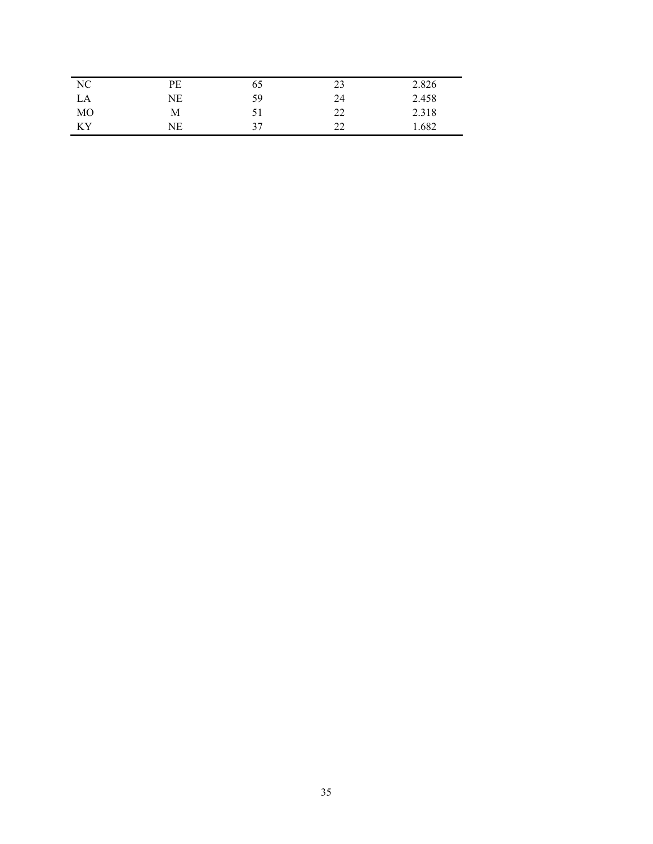| NC | PЕ | 65 | 23       | 2.826 |
|----|----|----|----------|-------|
| LA | NE | 59 | 24       | 2.458 |
| MO | M  | 51 | າາ<br>∠∠ | 2.318 |
| KY | NΕ | 37 | າາ<br>∸  | 1.682 |
|    |    |    |          |       |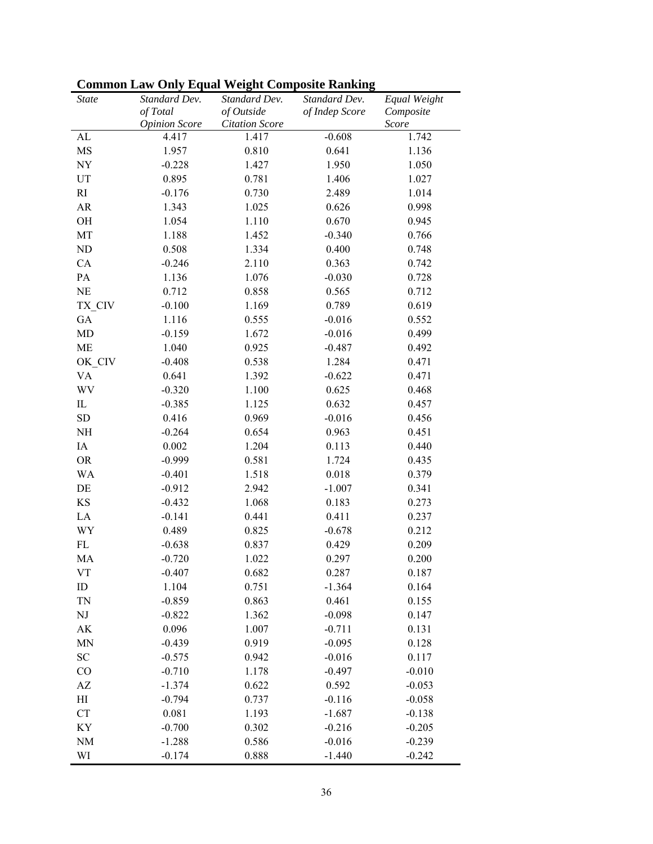| <b>State</b>               | Standard Dev.        | Standard Dev.         | Standard Dev.  | Equal Weight |
|----------------------------|----------------------|-----------------------|----------------|--------------|
|                            | of Total             | of Outside            | of Indep Score | Composite    |
|                            | <b>Opinion Score</b> | <b>Citation Score</b> |                | Score        |
| AL                         | 4.417                | 1.417                 | $-0.608$       | 1.742        |
| MS                         | 1.957                | 0.810                 | 0.641          | 1.136        |
| NY                         | $-0.228$             | 1.427                 | 1.950          | 1.050        |
| UT                         | 0.895                | 0.781                 | 1.406          | 1.027        |
| RI                         | $-0.176$             | 0.730                 | 2.489          | 1.014        |
| AR                         | 1.343                | 1.025                 | 0.626          | 0.998        |
| OH                         | 1.054                | 1.110                 | 0.670          | 0.945        |
| MT                         | 1.188                | 1.452                 | $-0.340$       | 0.766        |
| $\rm ND$                   | 0.508                | 1.334                 | 0.400          | 0.748        |
| CA                         | $-0.246$             | 2.110                 | 0.363          | 0.742        |
| PA                         | 1.136                | 1.076                 | $-0.030$       | 0.728        |
| NE                         | 0.712                | 0.858                 | 0.565          | 0.712        |
| TX CIV                     | $-0.100$             | 1.169                 | 0.789          | 0.619        |
| GA                         | 1.116                | 0.555                 | $-0.016$       | 0.552        |
| MD                         | $-0.159$             | 1.672                 | $-0.016$       | 0.499        |
| ME                         | 1.040                | 0.925                 | $-0.487$       | 0.492        |
| OK CIV                     | $-0.408$             | 0.538                 | 1.284          | 0.471        |
| <b>VA</b>                  | 0.641                | 1.392                 | $-0.622$       | 0.471        |
| WV                         | $-0.320$             | 1.100                 | 0.625          | 0.468        |
| $\mathop{\rm IL}\nolimits$ | $-0.385$             | 1.125                 | 0.632          | 0.457        |
| <b>SD</b>                  | 0.416                | 0.969                 | $-0.016$       | 0.456        |
| NH                         | $-0.264$             | 0.654                 | 0.963          | 0.451        |
| IA                         | 0.002                | 1.204                 | 0.113          | 0.440        |
| <b>OR</b>                  | $-0.999$             | 0.581                 | 1.724          | 0.435        |
| WA                         | $-0.401$             | 1.518                 | 0.018          | 0.379        |
| DE                         | $-0.912$             | 2.942                 | $-1.007$       | 0.341        |
| KS                         | $-0.432$             | 1.068                 | 0.183          | 0.273        |
| LA                         | $-0.141$             | 0.441                 | 0.411          | 0.237        |
| WY                         | 0.489                | 0.825                 | $-0.678$       | 0.212        |
| FL                         | $-0.638$             | 0.837                 | 0.429          | 0.209        |
| MA                         | $-0.720$             | 1.022                 | 0.297          | 0.200        |
| VT                         | $-0.407$             | 0.682                 | 0.287          | 0.187        |
| ID                         | 1.104                | 0.751                 | $-1.364$       | 0.164        |
| <b>TN</b>                  | $-0.859$             | 0.863                 | 0.461          | 0.155        |
| NJ                         | $-0.822$             | 1.362                 | $-0.098$       | 0.147        |
| AK                         | 0.096                | 1.007                 | $-0.711$       | 0.131        |
| MN                         | $-0.439$             | 0.919                 | $-0.095$       | 0.128        |
| <b>SC</b>                  | $-0.575$             | 0.942                 | $-0.016$       | 0.117        |
| CO                         | $-0.710$             | 1.178                 | $-0.497$       | $-0.010$     |
| $\mathbf{A}\mathbf{Z}$     | $-1.374$             | 0.622                 | 0.592          | $-0.053$     |
| H                          | $-0.794$             | 0.737                 | $-0.116$       | $-0.058$     |
| CT                         | 0.081                | 1.193                 | $-1.687$       | $-0.138$     |
| KY                         | $-0.700$             | 0.302                 | $-0.216$       | $-0.205$     |
| <b>NM</b>                  | $-1.288$             | 0.586                 | $-0.016$       | $-0.239$     |
| WI                         | $-0.174$             | 0.888                 | $-1.440$       | $-0.242$     |
|                            |                      |                       |                |              |

**Common Law Only Equal Weight Composite Ranking**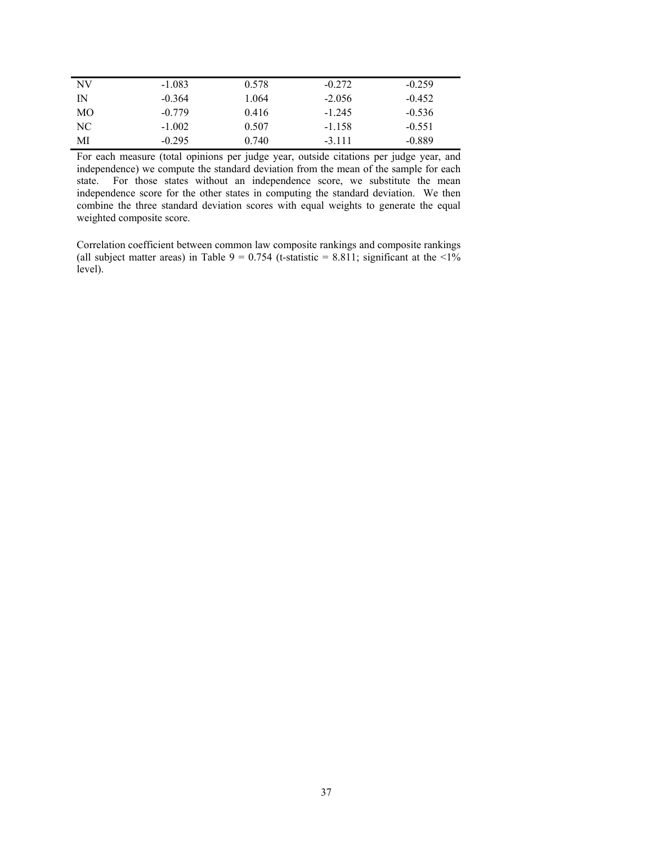| NV | $-1.083$ | 0.578 | $-0.272$ | $-0.259$ |
|----|----------|-------|----------|----------|
| IN | $-0.364$ | 1.064 | $-2.056$ | $-0.452$ |
| MО | $-0.779$ | 0.416 | $-1.245$ | $-0.536$ |
| NC | $-1.002$ | 0.507 | $-1.158$ | $-0.551$ |
| MI | $-0.295$ | 0.740 | $-3.111$ | $-0.889$ |

For each measure (total opinions per judge year, outside citations per judge year, and independence) we compute the standard deviation from the mean of the sample for each state. For those states without an independence score, we substitute the mean independence score for the other states in computing the standard deviation. We then combine the three standard deviation scores with equal weights to generate the equal weighted composite score.

Correlation coefficient between common law composite rankings and composite rankings (all subject matter areas) in Table 9 = 0.754 (t-statistic = 8.811; significant at the  $\langle 1 \rangle$ % level).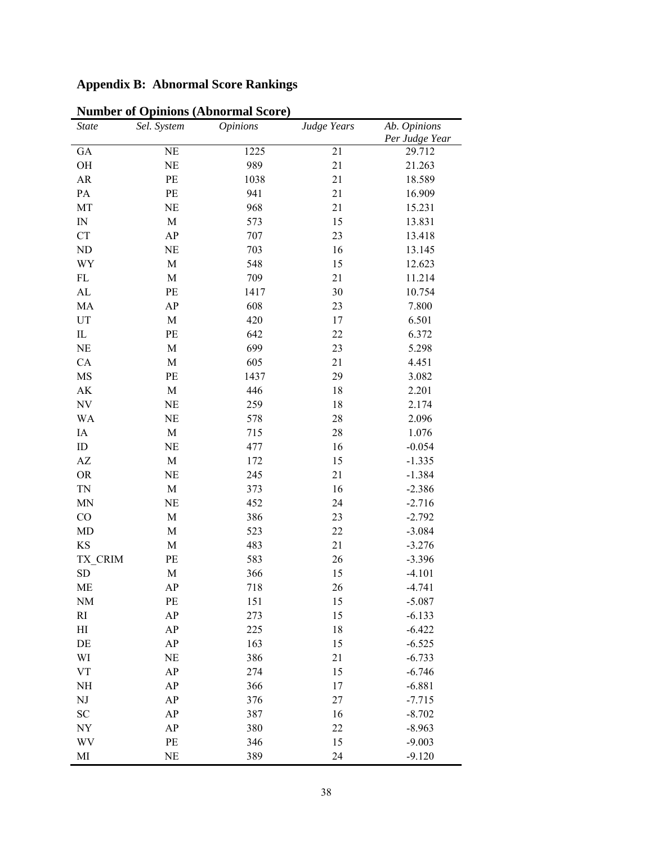# **Appendix B: Abnormal Score Rankings**

| <b>State</b>               | Sel. System | <i>Opinions</i> | Judge Years | Ab. Opinions   |
|----------------------------|-------------|-----------------|-------------|----------------|
|                            |             |                 |             | Per Judge Year |
| GA                         | <b>NE</b>   | 1225            | 21          | 29.712         |
| OH                         | NE          | 989             | 21          | 21.263         |
| AR                         | PE          | 1038            | 21          | 18.589         |
| PA                         | PE          | 941             | 21          | 16.909         |
| MT                         | <b>NE</b>   | 968             | 21          | 15.231         |
| IN                         | M           | 573             | 15          | 13.831         |
| <b>CT</b>                  | AP          | 707             | 23          | 13.418         |
| ND                         | $\rm NE$    | 703             | 16          | 13.145         |
| WY                         | M           | 548             | 15          | 12.623         |
| FL                         | M           | 709             | 21          | 11.214         |
| AL                         | PE          | 1417            | 30          | 10.754         |
| MA                         | AP          | 608             | 23          | 7.800          |
| $\ensuremath{\mathrm{UT}}$ | M           | 420             | 17          | 6.501          |
| $\mathop{\rm IL}\nolimits$ | PE          | 642             | 22          | 6.372          |
| <b>NE</b>                  | M           | 699             | 23          | 5.298          |
| CA                         | M           | 605             | 21          | 4.451          |
| MS                         | PE          | 1437            | 29          | 3.082          |
| $\mathbf{A}\mathbf{K}$     | M           | 446             | 18          | 2.201          |
| NV                         | <b>NE</b>   | 259             | 18          | 2.174          |
| WA                         | <b>NE</b>   | 578             | 28          | 2.096          |
| IA                         | M           | 715             | 28          | 1.076          |
| $\rm ID$                   | <b>NE</b>   | 477             | 16          | $-0.054$       |
| $\mathbf{A}\mathbf{Z}$     | M           | 172             | 15          | $-1.335$       |
| <b>OR</b>                  | <b>NE</b>   | 245             | 21          | $-1.384$       |
| <b>TN</b>                  | $\mathbf M$ | 373             | 16          | $-2.386$       |
| <b>MN</b>                  | <b>NE</b>   | 452             | 24          | $-2.716$       |
| CO                         | M           | 386             | 23          | $-2.792$       |
| MD                         | M           | 523             | 22          | $-3.084$       |
| KS                         | M           | 483             | 21          | $-3.276$       |
| TX_CRIM                    | PE          | 583             | 26          | $-3.396$       |
| <b>SD</b>                  | $\mathbf M$ | 366             | 15          | $-4.101$       |
| ME                         | AP          | 718             | 26          | $-4.741$       |
| <b>NM</b>                  | $\rm PE$    | 151             | 15          | $-5.087$       |
| RI                         | AP          | 273             | 15          | $-6.133$       |
| H                          | AP          | 225             | 18          | $-6.422$       |
| DE                         | AP          | 163             | 15          | $-6.525$       |
| WI                         | NE          | 386             | 21          | $-6.733$       |
| ${\rm VT}$                 | AP          | 274             | 15          | $-6.746$       |
| NH                         | AP          | 366             | 17          | $-6.881$       |
| $\rm{NJ}$                  | AP          | 376             | 27          | $-7.715$       |
| ${\rm SC}$                 | AP          | 387             | 16          | $-8.702$       |
| NY                         | AP          | 380             | 22          | $-8.963$       |
| WV                         | $\rm PE$    | 346             | 15          | $-9.003$       |
| MI                         | $\rm NE$    | 389             | 24          | $-9.120$       |

**Number of Opinions (Abnormal Score)**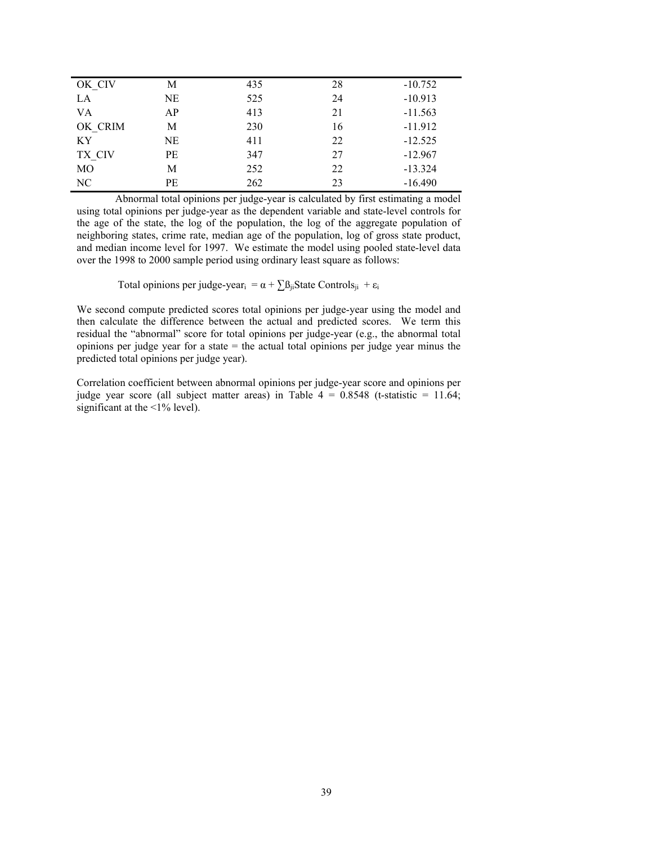| OK CIV  | М  | 435 | 28 | $-10.752$ |
|---------|----|-----|----|-----------|
| LA      | NE | 525 | 24 | $-10.913$ |
| VA      | AP | 413 | 21 | $-11.563$ |
| OK CRIM | M  | 230 | 16 | $-11.912$ |
| KY.     | NE | 411 | 22 | $-12.525$ |
| TX CIV  | PE | 347 | 27 | $-12.967$ |
| МO      | М  | 252 | 22 | $-13.324$ |
| NC      | PE | 262 | 23 | $-16.490$ |
|         |    |     |    |           |

Abnormal total opinions per judge-year is calculated by first estimating a model using total opinions per judge-year as the dependent variable and state-level controls for the age of the state, the log of the population, the log of the aggregate population of neighboring states, crime rate, median age of the population, log of gross state product, and median income level for 1997. We estimate the model using pooled state-level data over the 1998 to 2000 sample period using ordinary least square as follows:

Total opinions per judge-year<sub>i</sub> =  $\alpha + \sum \beta_{ji}$ State Controls<sub>ji</sub> + ε<sub>i</sub>

We second compute predicted scores total opinions per judge-year using the model and then calculate the difference between the actual and predicted scores. We term this residual the "abnormal" score for total opinions per judge-year (e.g., the abnormal total opinions per judge year for a state  $=$  the actual total opinions per judge year minus the predicted total opinions per judge year).

Correlation coefficient between abnormal opinions per judge-year score and opinions per judge year score (all subject matter areas) in Table  $4 = 0.8548$  (t-statistic = 11.64; significant at the  $\leq$ 1% level).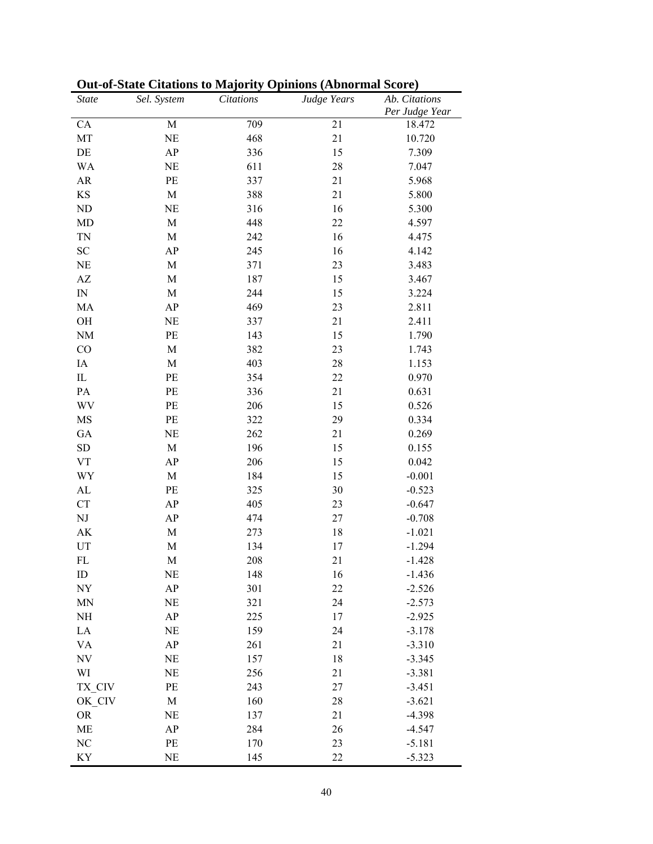| <b>State</b>             | Sel. System | Citations | Judge Years | Ab. Citations  |
|--------------------------|-------------|-----------|-------------|----------------|
|                          |             |           |             | Per Judge Year |
| CA                       | $\mathbf M$ | 709       | 21          | 18.472         |
| MT                       | NE          | 468       | 21          | 10.720         |
| DE                       | AP          | 336       | 15          | 7.309          |
| <b>WA</b>                | NE          | 611       | 28          | 7.047          |
| AR                       | PE          | 337       | 21          | 5.968          |
| KS                       | M           | 388       | 21          | 5.800          |
| ND                       | NE          | 316       | 16          | 5.300          |
| MD                       | M           | 448       | 22          | 4.597          |
| <b>TN</b>                | M           | 242       | 16          | 4.475          |
| SC                       | AP          | 245       | 16          | 4.142          |
| <b>NE</b>                | M           | 371       | 23          | 3.483          |
| AZ                       | M           | 187       | 15          | 3.467          |
| ${\rm IN}$               | M           | 244       | 15          | 3.224          |
| MA                       | AP          | 469       | 23          | 2.811          |
| OH                       | NE          | 337       | 21          | 2.411          |
| <b>NM</b>                | PE          | 143       | 15          | 1.790          |
| CO                       | M           | 382       | 23          | 1.743          |
| IA                       | M           | 403       | 28          | 1.153          |
| $_{\rm IL}$              | PE          | 354       | 22          | 0.970          |
| $\mathbf{PA}$            | PE          | 336       | 21          | 0.631          |
| WV                       | PE          | 206       | 15          | 0.526          |
| MS                       | PE          | 322       | 29          | 0.334          |
| GA                       | NE          | 262       | 21          | 0.269          |
| <b>SD</b>                | M           | 196       | 15          | 0.155          |
| <b>VT</b>                | AP          | 206       | 15          | 0.042          |
| WY                       | M           | 184       | 15          | $-0.001$       |
| AL                       | PE          | 325       | 30          | $-0.523$       |
| ${\cal C}{\cal T}$       | AP          | 405       | 23          | $-0.647$       |
| $\rm{NJ}$                | AP          | 474       | 27          | $-0.708$       |
| AK                       | $\mathbf M$ | 273       | 18          | $-1.021$       |
| UT                       | M           | 134       | 17          | $-1.294$       |
| FL                       | M           | 208       | 21          | $-1.428$       |
| ID                       | NE          | 148       | 16          | $-1.436$       |
| $\ensuremath{\text{NY}}$ | AP          | 301       | 22          | $-2.526$       |
| <b>MN</b>                | NE          | 321       | 24          | $-2.573$       |
| NH                       | AP          | 225       | 17          | $-2.925$       |
| LA                       | NE          | 159       | 24          | $-3.178$       |
| <b>VA</b>                | AP          | 261       | 21          | $-3.310$       |
| $\ensuremath{\text{NV}}$ | NE          | 157       | 18          | $-3.345$       |
| WI                       | NE          | 256       | 21          | $-3.381$       |
| TX_CIV                   | PE          | 243       | 27          | $-3.451$       |
| OK_CIV                   | M           | 160       | 28          | $-3.621$       |
| <b>OR</b>                | NE          | 137       | 21          | $-4.398$       |
| ME                       | AP          | 284       | 26          | $-4.547$       |
| NC                       | PE          | 170       | 23          | $-5.181$       |
| KY                       | NE          | 145       | 22          | $-5.323$       |
|                          |             |           |             |                |

**Out-of-State Citations to Majority Opinions (Abnormal Score)**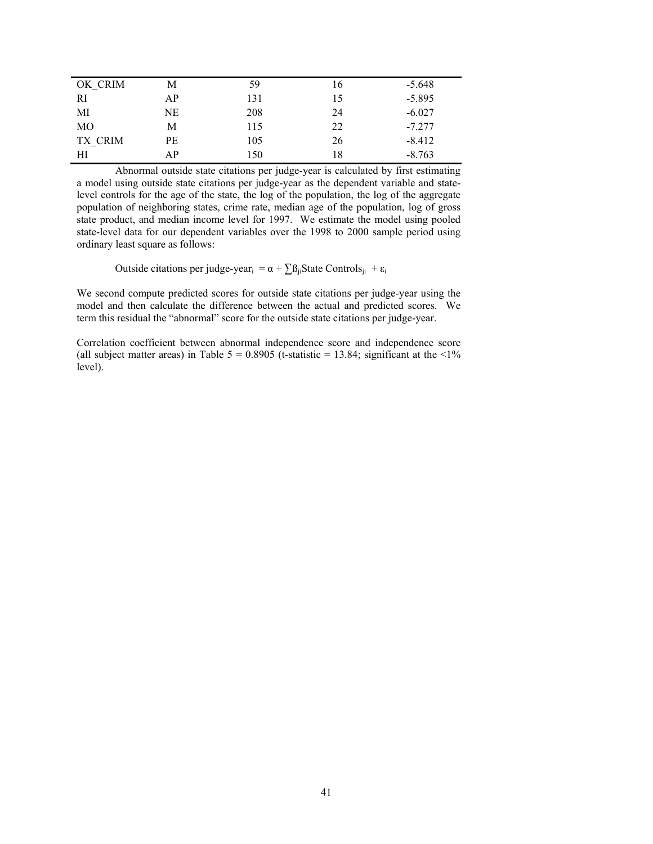| OK CRIM | Μ  | 59  | 16 | $-5.648$ |
|---------|----|-----|----|----------|
| RI      | АP | 131 | 15 | $-5.895$ |
| МI      | NE | 208 | 24 | $-6.027$ |
| MO      | M  | 115 | 22 | $-7.277$ |
| TX CRIM | PЕ | 105 | 26 | $-8.412$ |
| HІ      | АP | 150 | 18 | $-8.763$ |

Abnormal outside state citations per judge-year is calculated by first estimating a model using outside state citations per judge-year as the dependent variable and statelevel controls for the age of the state, the log of the population, the log of the aggregate population of neighboring states, crime rate, median age of the population, log of gross state product, and median income level for 1997. We estimate the model using pooled state-level data for our dependent variables over the 1998 to 2000 sample period using ordinary least square as follows:

Outside citations per judge-year<sub>i</sub> =  $\alpha + \sum \beta_{ji}$ State Controls<sub>ji</sub> + ε<sub>i</sub>

We second compute predicted scores for outside state citations per judge-year using the model and then calculate the difference between the actual and predicted scores. We term this residual the "abnormal" score for the outside state citations per judge-year.

Correlation coefficient between abnormal independence score and independence score (all subject matter areas) in Table  $5 = 0.8905$  (t-statistic = 13.84; significant at the <1% level).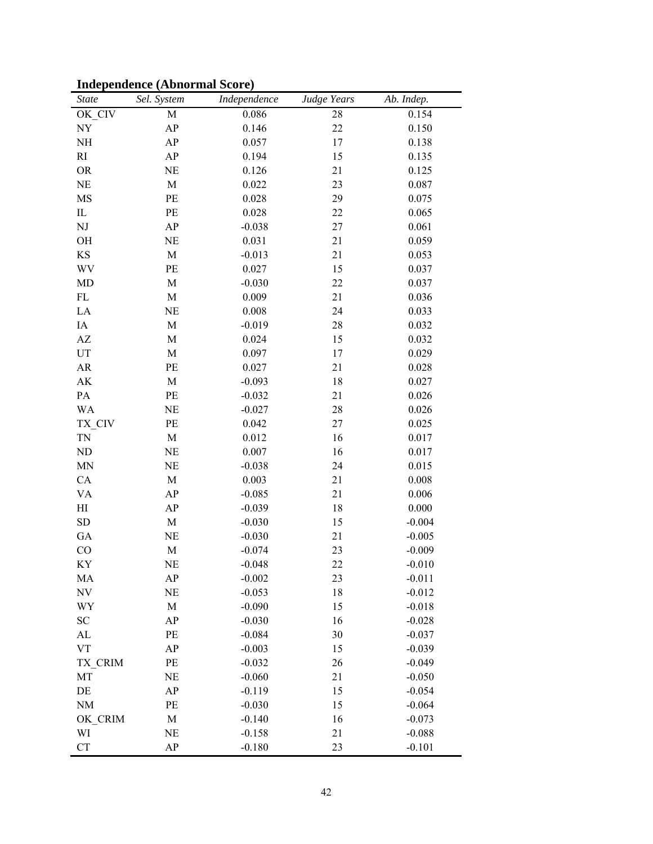|  | <b>Independence (Abnormal Score)</b> |  |  |
|--|--------------------------------------|--|--|
|--|--------------------------------------|--|--|

| <b>State</b>                    | Sel. System | Independence | Judge Years | Ab. Indep. |
|---------------------------------|-------------|--------------|-------------|------------|
| OK CIV                          | $\mathbf M$ | 0.086        | 28          | 0.154      |
| NY                              | AP          | 0.146        | 22          | 0.150      |
| NH                              | AP          | 0.057        | 17          | 0.138      |
| RI                              | AP          | 0.194        | 15          | 0.135      |
| <b>OR</b>                       | NE          | 0.126        | 21          | 0.125      |
| NE                              | $\mathbf M$ | 0.022        | 23          | 0.087      |
| MS                              | PE          | 0.028        | 29          | 0.075      |
| $\rm IL$                        | $\rm PE$    | 0.028        | 22          | 0.065      |
| NJ                              | AP          | $-0.038$     | 27          | 0.061      |
| OH                              | <b>NE</b>   | 0.031        | 21          | 0.059      |
| $\mathbf{KS}$                   | M           | $-0.013$     | 21          | 0.053      |
| WV                              | PE          | 0.027        | 15          | 0.037      |
| MD                              | $\mathbf M$ | $-0.030$     | 22          | 0.037      |
| FL                              | $\mathbf M$ | 0.009        | 21          | 0.036      |
| LA                              | <b>NE</b>   | 0.008        | 24          | 0.033      |
| IA                              | $\mathbf M$ | $-0.019$     | 28          | 0.032      |
| $\mathbf{A}\mathbf{Z}$          | M           | 0.024        | 15          | 0.032      |
| UT                              | $\mathbf M$ | 0.097        | 17          | 0.029      |
| ${\sf AR}$                      | PE          | 0.027        | 21          | 0.028      |
| $\mathbf{A}\mathbf{K}$          | $\mathbf M$ | $-0.093$     | 18          | 0.027      |
| PA                              | PE          | $-0.032$     | 21          | 0.026      |
| <b>WA</b>                       | NE          | $-0.027$     | 28          | 0.026      |
| TX CIV                          | PE          | 0.042        | 27          | 0.025      |
| <b>TN</b>                       | M           | 0.012        | 16          | 0.017      |
| ND                              | NE          | 0.007        | 16          | 0.017      |
| <b>MN</b>                       | NE          | $-0.038$     | 24          | 0.015      |
| CA                              | $\mathbf M$ | 0.003        | 21          | 0.008      |
| <b>VA</b>                       | AP          | $-0.085$     | 21          | 0.006      |
| $\mathop{\mathrm{HI}}\nolimits$ | AP          | $-0.039$     | 18          | 0.000      |
| ${\rm SD}$                      | $\mathbf M$ | $-0.030$     | 15          | $-0.004$   |
| GA                              | NE          | $-0.030$     | 21          | $-0.005$   |
| CO                              | $\mathbf M$ | $-0.074$     | 23          | $-0.009$   |
| KY                              | NE          | $-0.048$     | 22          | $-0.010$   |
| MA                              | AP          | $-0.002$     | 23          | $-0.011$   |
| $\ensuremath{\text{NV}}$        | NE          | $-0.053$     | 18          | $-0.012$   |
| WY                              | M           | $-0.090$     | 15          | $-0.018$   |
| SC                              | AP          | $-0.030$     | 16          | $-0.028$   |
| AL                              | PE          | $-0.084$     | 30          | $-0.037$   |
| <b>VT</b>                       | AP          | $-0.003$     | 15          | $-0.039$   |
| TX CRIM                         | PE          | $-0.032$     | 26          | $-0.049$   |
| MT                              | NE          | $-0.060$     | 21          | $-0.050$   |
| DE                              | AP          | $-0.119$     | 15          | $-0.054$   |
| NM                              | PE          | $-0.030$     | 15          | $-0.064$   |
| OK_CRIM                         | M           | $-0.140$     | 16          | $-0.073$   |
| WI                              | NE          | $-0.158$     | 21          | $-0.088$   |
| ${\cal C}{\cal T}$              | AP          | $-0.180$     | 23          | $-0.101$   |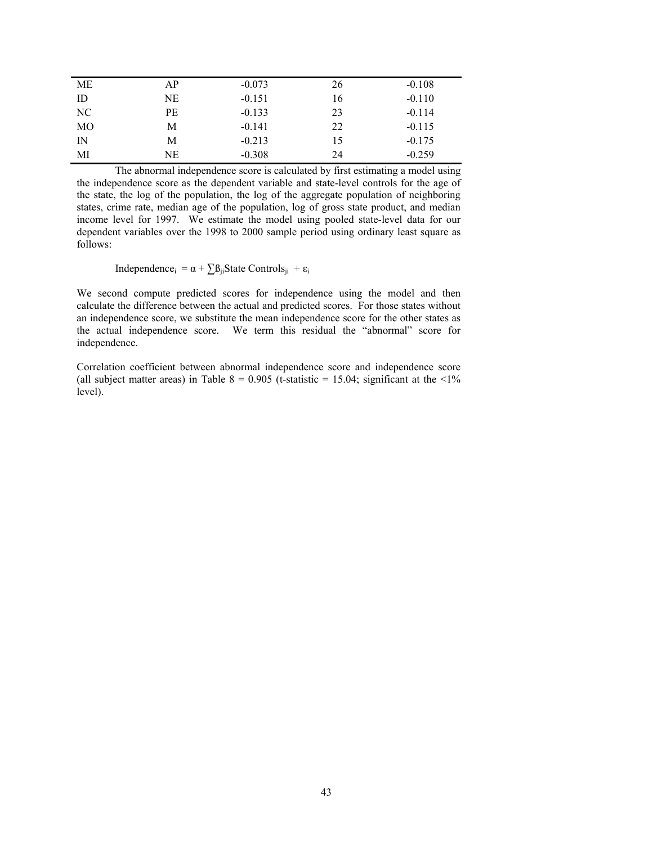| МE          | АP | $-0.073$ | 26 | $-0.108$ |
|-------------|----|----------|----|----------|
| ID          | NE | $-0.151$ | 16 | $-0.110$ |
| NC          | PЕ | $-0.133$ | 23 | $-0.114$ |
| МO          | М  | $-0.141$ | 22 | $-0.115$ |
| $_{\rm IN}$ | М  | $-0.213$ | 15 | $-0.175$ |
| МI          | NE | $-0.308$ | 24 | $-0.259$ |

The abnormal independence score is calculated by first estimating a model using the independence score as the dependent variable and state-level controls for the age of the state, the log of the population, the log of the aggregate population of neighboring states, crime rate, median age of the population, log of gross state product, and median income level for 1997. We estimate the model using pooled state-level data for our dependent variables over the 1998 to 2000 sample period using ordinary least square as follows:

Independence<sub>i</sub> =  $\alpha + \sum_{i}$ ß<sub>ji</sub>State Controls<sub>ji</sub> + ε<sub>i</sub>

We second compute predicted scores for independence using the model and then calculate the difference between the actual and predicted scores. For those states without an independence score, we substitute the mean independence score for the other states as the actual independence score. We term this residual the "abnormal" score for independence.

Correlation coefficient between abnormal independence score and independence score (all subject matter areas) in Table  $8 = 0.905$  (t-statistic = 15.04; significant at the <1% level).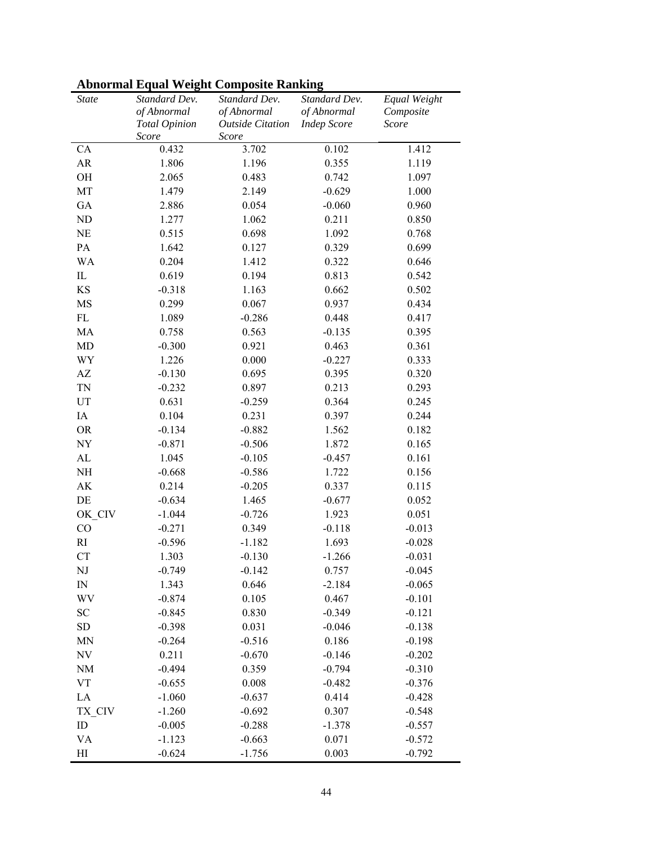| <b>State</b>           | Standard Dev.<br>of Abnormal<br><b>Total Opinion</b> | Standard Dev.<br>of Abnormal<br><b>Outside Citation</b> | Standard Dev.<br>of Abnormal<br><b>Indep Score</b> | Equal Weight<br>Composite<br>Score |
|------------------------|------------------------------------------------------|---------------------------------------------------------|----------------------------------------------------|------------------------------------|
|                        | Score                                                | Score                                                   |                                                    |                                    |
| ${\rm CA}$             | 0.432                                                | 3.702                                                   | 0.102                                              | 1.412                              |
| AR                     | 1.806                                                | 1.196                                                   | 0.355                                              | 1.119                              |
| OH                     | 2.065                                                | 0.483                                                   | 0.742                                              | 1.097                              |
| MT                     | 1.479                                                | 2.149                                                   | $-0.629$                                           | 1.000                              |
| GA                     | 2.886                                                | 0.054                                                   | $-0.060$                                           | 0.960                              |
| ND                     | 1.277                                                | 1.062                                                   | 0.211                                              | 0.850                              |
| <b>NE</b>              | 0.515                                                | 0.698                                                   | 1.092                                              | 0.768                              |
| PA                     | 1.642                                                | 0.127                                                   | 0.329                                              | 0.699                              |
| WA                     | 0.204                                                | 1.412                                                   | 0.322                                              | 0.646                              |
| $\rm IL$               | 0.619                                                | 0.194                                                   | 0.813                                              | 0.542                              |
| KS                     | $-0.318$                                             | 1.163                                                   | 0.662                                              | 0.502                              |
| MS                     | 0.299                                                | 0.067                                                   | 0.937                                              | 0.434                              |
| $\mathbf{FL}$          | 1.089                                                | $-0.286$                                                | 0.448                                              | 0.417                              |
| MA                     | 0.758                                                | 0.563                                                   | $-0.135$                                           | 0.395                              |
| MD                     | $-0.300$                                             | 0.921                                                   | 0.463                                              | 0.361                              |
| WY                     | 1.226                                                | 0.000                                                   | $-0.227$                                           | 0.333                              |
| $\mathbf{A}\mathbf{Z}$ | $-0.130$                                             | 0.695                                                   | 0.395                                              | 0.320                              |
| TN                     | $-0.232$                                             | 0.897                                                   | 0.213                                              | 0.293                              |
| UT                     | 0.631                                                | $-0.259$                                                | 0.364                                              | 0.245                              |
| IA                     | 0.104                                                | 0.231                                                   | 0.397                                              | 0.244                              |
| <b>OR</b>              | $-0.134$                                             | $-0.882$                                                | 1.562                                              | 0.182                              |
| NY                     | $-0.871$                                             | $-0.506$                                                | 1.872                                              | 0.165                              |
| AL                     | 1.045                                                | $-0.105$                                                | $-0.457$                                           | 0.161                              |
| NH                     | $-0.668$                                             | $-0.586$                                                | 1.722                                              | 0.156                              |
| $\mathbf{A}\mathbf{K}$ | 0.214                                                | $-0.205$                                                | 0.337                                              | 0.115                              |
| DE                     | $-0.634$                                             | 1.465                                                   | $-0.677$                                           | 0.052                              |
| OK CIV                 | $-1.044$                                             | $-0.726$                                                | 1.923                                              | 0.051                              |
| CO                     | $-0.271$                                             | 0.349                                                   | $-0.118$                                           | $-0.013$                           |
| RI                     | $-0.596$                                             | $-1.182$                                                | 1.693                                              | $-0.028$                           |
| CT                     | 1.303                                                | $-0.130$                                                | $-1.266$                                           | $-0.031$                           |
| NJ                     | $-0.749$                                             | $-0.142$                                                | 0.757                                              | $-0.045$                           |
| $\mathbb{N}$           | 1.343                                                | 0.646                                                   | $-2.184$                                           | $-0.065$                           |
| WV                     | $-0.874$                                             | 0.105                                                   | 0.467                                              | $-0.101$                           |
| SC                     | $-0.845$                                             | 0.830                                                   | $-0.349$                                           | $-0.121$                           |
| ${\rm SD}$             | $-0.398$                                             | 0.031                                                   | $-0.046$                                           | $-0.138$                           |
| MN                     | $-0.264$                                             | $-0.516$                                                | 0.186                                              | $-0.198$                           |
| NV                     | 0.211                                                | $-0.670$                                                | $-0.146$                                           | $-0.202$                           |
| NM                     | $-0.494$                                             | 0.359                                                   | $-0.794$                                           | $-0.310$                           |
| <b>VT</b>              | $-0.655$                                             | 0.008                                                   | $-0.482$                                           | $-0.376$                           |
| LA                     | $-1.060$                                             | $-0.637$                                                | 0.414                                              | $-0.428$                           |
| TX CIV                 | $-1.260$                                             | $-0.692$                                                | 0.307                                              | $-0.548$                           |
| ID                     | $-0.005$                                             | $-0.288$                                                | $-1.378$                                           | $-0.557$                           |
| <b>VA</b>              | $-1.123$                                             | $-0.663$                                                | 0.071                                              | $-0.572$                           |
| H                      | $-0.624$                                             | $-1.756$                                                | 0.003                                              | $-0.792$                           |

# **Abnormal Equal Weight Composite Ranking**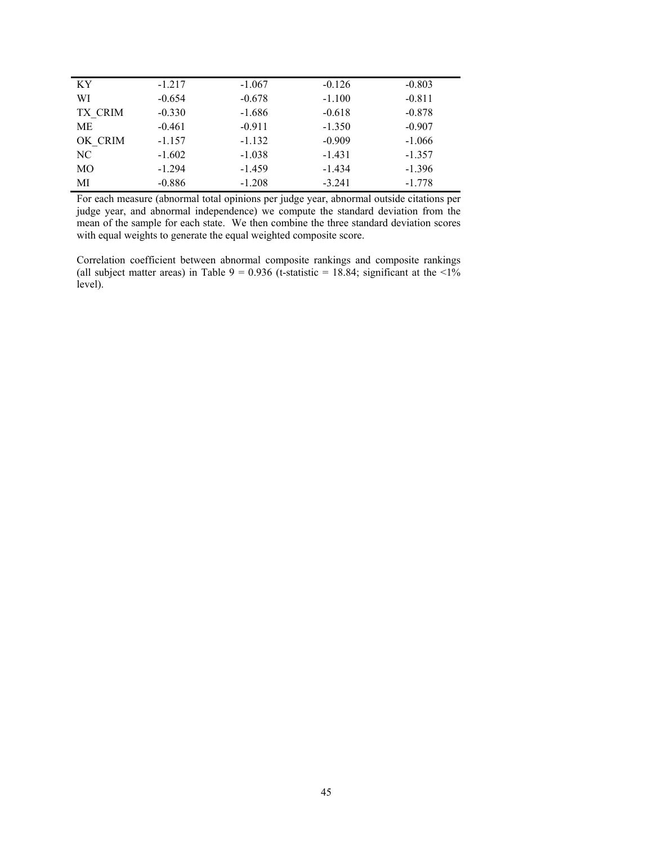| KY      | $-1.217$ | $-1.067$ | $-0.126$ | $-0.803$ |
|---------|----------|----------|----------|----------|
| WI      | $-0.654$ | $-0.678$ | $-1.100$ | $-0.811$ |
| TX CRIM | $-0.330$ | $-1.686$ | $-0.618$ | $-0.878$ |
| МE      | $-0.461$ | $-0.911$ | $-1.350$ | $-0.907$ |
| OK CRIM | $-1.157$ | $-1.132$ | $-0.909$ | $-1.066$ |
| NC.     | $-1.602$ | $-1.038$ | $-1.431$ | $-1.357$ |
| MO      | $-1.294$ | $-1.459$ | $-1.434$ | $-1.396$ |
| MI      | $-0.886$ | $-1.208$ | $-3.241$ | $-1.778$ |

For each measure (abnormal total opinions per judge year, abnormal outside citations per judge year, and abnormal independence) we compute the standard deviation from the mean of the sample for each state. We then combine the three standard deviation scores with equal weights to generate the equal weighted composite score.

Correlation coefficient between abnormal composite rankings and composite rankings (all subject matter areas) in Table 9 = 0.936 (t-statistic = 18.84; significant at the  $\langle 1 \rangle$ level).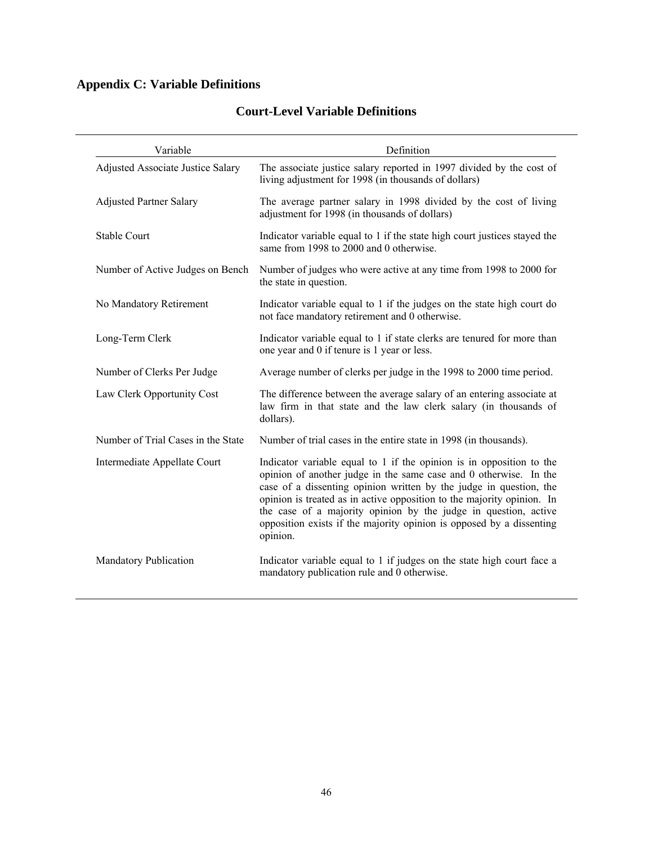# **Appendix C: Variable Definitions**

| Variable                                 | Definition                                                                                                                                                                                                                                                                                                                                                                                                                                       |  |
|------------------------------------------|--------------------------------------------------------------------------------------------------------------------------------------------------------------------------------------------------------------------------------------------------------------------------------------------------------------------------------------------------------------------------------------------------------------------------------------------------|--|
| <b>Adjusted Associate Justice Salary</b> | The associate justice salary reported in 1997 divided by the cost of<br>living adjustment for 1998 (in thousands of dollars)                                                                                                                                                                                                                                                                                                                     |  |
| <b>Adjusted Partner Salary</b>           | The average partner salary in 1998 divided by the cost of living<br>adjustment for 1998 (in thousands of dollars)                                                                                                                                                                                                                                                                                                                                |  |
| <b>Stable Court</b>                      | Indicator variable equal to 1 if the state high court justices stayed the<br>same from 1998 to 2000 and 0 otherwise.                                                                                                                                                                                                                                                                                                                             |  |
| Number of Active Judges on Bench         | Number of judges who were active at any time from 1998 to 2000 for<br>the state in question.                                                                                                                                                                                                                                                                                                                                                     |  |
| No Mandatory Retirement                  | Indicator variable equal to 1 if the judges on the state high court do<br>not face mandatory retirement and 0 otherwise.                                                                                                                                                                                                                                                                                                                         |  |
| Long-Term Clerk                          | Indicator variable equal to 1 if state clerks are tenured for more than<br>one year and 0 if tenure is 1 year or less.                                                                                                                                                                                                                                                                                                                           |  |
| Number of Clerks Per Judge               | Average number of clerks per judge in the 1998 to 2000 time period.                                                                                                                                                                                                                                                                                                                                                                              |  |
| Law Clerk Opportunity Cost               | The difference between the average salary of an entering associate at<br>law firm in that state and the law clerk salary (in thousands of<br>dollars).                                                                                                                                                                                                                                                                                           |  |
| Number of Trial Cases in the State       | Number of trial cases in the entire state in 1998 (in thousands).                                                                                                                                                                                                                                                                                                                                                                                |  |
| Intermediate Appellate Court             | Indicator variable equal to 1 if the opinion is in opposition to the<br>opinion of another judge in the same case and 0 otherwise. In the<br>case of a dissenting opinion written by the judge in question, the<br>opinion is treated as in active opposition to the majority opinion. In<br>the case of a majority opinion by the judge in question, active<br>opposition exists if the majority opinion is opposed by a dissenting<br>opinion. |  |
| <b>Mandatory Publication</b>             | Indicator variable equal to 1 if judges on the state high court face a<br>mandatory publication rule and 0 otherwise.                                                                                                                                                                                                                                                                                                                            |  |

# **Court-Level Variable Definitions**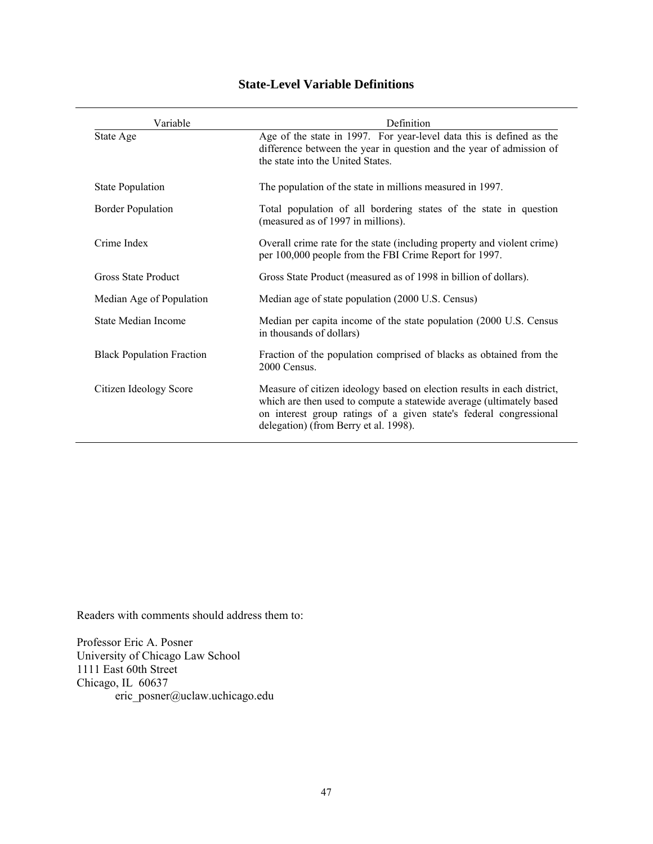| Variable                         | Definition                                                                                                                                                                                                                                                     |  |
|----------------------------------|----------------------------------------------------------------------------------------------------------------------------------------------------------------------------------------------------------------------------------------------------------------|--|
| State Age                        | Age of the state in 1997. For year-level data this is defined as the<br>difference between the year in question and the year of admission of<br>the state into the United States.                                                                              |  |
| <b>State Population</b>          | The population of the state in millions measured in 1997.                                                                                                                                                                                                      |  |
| <b>Border Population</b>         | Total population of all bordering states of the state in question<br>(measured as of 1997 in millions).                                                                                                                                                        |  |
| Crime Index                      | Overall crime rate for the state (including property and violent crime)<br>per 100,000 people from the FBI Crime Report for 1997.                                                                                                                              |  |
| Gross State Product              | Gross State Product (measured as of 1998 in billion of dollars).                                                                                                                                                                                               |  |
| Median Age of Population         | Median age of state population (2000 U.S. Census)                                                                                                                                                                                                              |  |
| State Median Income              | Median per capita income of the state population (2000 U.S. Census<br>in thousands of dollars)                                                                                                                                                                 |  |
| <b>Black Population Fraction</b> | Fraction of the population comprised of blacks as obtained from the<br>2000 Census.                                                                                                                                                                            |  |
| Citizen Ideology Score           | Measure of citizen ideology based on election results in each district,<br>which are then used to compute a statewide average (ultimately based<br>on interest group ratings of a given state's federal congressional<br>delegation) (from Berry et al. 1998). |  |

# **State-Level Variable Definitions**

Readers with comments should address them to:

Professor Eric A. Posner University of Chicago Law School 1111 East 60th Street Chicago, IL 60637 eric\_posner@uclaw.uchicago.edu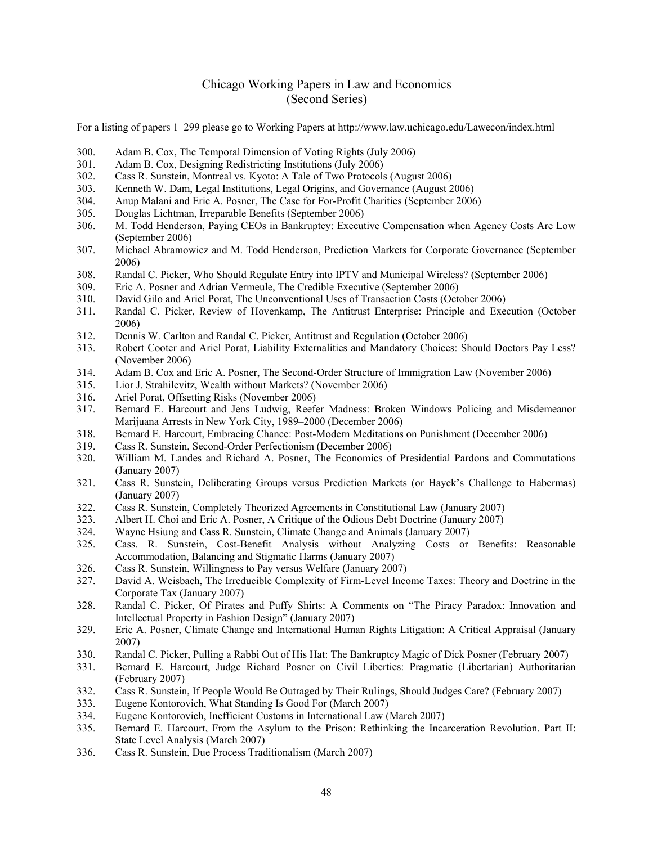## Chicago Working Papers in Law and Economics (Second Series)

For a listing of papers 1–299 please go to Working Papers at http://www.law.uchicago.edu/Lawecon/index.html

- 300. Adam B. Cox, The Temporal Dimension of Voting Rights (July 2006)
- 301. Adam B. Cox, Designing Redistricting Institutions (July 2006)
- 302. Cass R. Sunstein, Montreal vs. Kyoto: A Tale of Two Protocols (August 2006)
- 303. Kenneth W. Dam, Legal Institutions, Legal Origins, and Governance (August 2006)
- 304. Anup Malani and Eric A. Posner, The Case for For-Profit Charities (September 2006)
- 305. Douglas Lichtman, Irreparable Benefits (September 2006)
- 306. M. Todd Henderson, Paying CEOs in Bankruptcy: Executive Compensation when Agency Costs Are Low (September 2006)
- 307. Michael Abramowicz and M. Todd Henderson, Prediction Markets for Corporate Governance (September 2006)
- 308. Randal C. Picker, Who Should Regulate Entry into IPTV and Municipal Wireless? (September 2006)
- 309. Eric A. Posner and Adrian Vermeule, The Credible Executive (September 2006)
- 310. David Gilo and Ariel Porat, The Unconventional Uses of Transaction Costs (October 2006)
- 311. Randal C. Picker, Review of Hovenkamp, The Antitrust Enterprise: Principle and Execution (October 2006)
- 312. Dennis W. Carlton and Randal C. Picker, Antitrust and Regulation (October 2006)
- 313. Robert Cooter and Ariel Porat, Liability Externalities and Mandatory Choices: Should Doctors Pay Less? (November 2006)
- 314. Adam B. Cox and Eric A. Posner, The Second-Order Structure of Immigration Law (November 2006)
- 315. Lior J. Strahilevitz, Wealth without Markets? (November 2006)
- 316. Ariel Porat, Offsetting Risks (November 2006)
- 317. Bernard E. Harcourt and Jens Ludwig, Reefer Madness: Broken Windows Policing and Misdemeanor Marijuana Arrests in New York City, 1989–2000 (December 2006)
- 318. Bernard E. Harcourt, Embracing Chance: Post-Modern Meditations on Punishment (December 2006)
- 319. Cass R. Sunstein, Second-Order Perfectionism (December 2006)
- 320. William M. Landes and Richard A. Posner, The Economics of Presidential Pardons and Commutations (January 2007)
- 321. Cass R. Sunstein, Deliberating Groups versus Prediction Markets (or Hayek's Challenge to Habermas) (January 2007)
- 322. Cass R. Sunstein, Completely Theorized Agreements in Constitutional Law (January 2007)
- 323. Albert H. Choi and Eric A. Posner, A Critique of the Odious Debt Doctrine (January 2007)
- 324. Wayne Hsiung and Cass R. Sunstein, Climate Change and Animals (January 2007)
- 325. Cass. R. Sunstein, Cost-Benefit Analysis without Analyzing Costs or Benefits: Reasonable Accommodation, Balancing and Stigmatic Harms (January 2007)
- 326. Cass R. Sunstein, Willingness to Pay versus Welfare (January 2007)
- 327. David A. Weisbach, The Irreducible Complexity of Firm-Level Income Taxes: Theory and Doctrine in the Corporate Tax (January 2007)
- 328. Randal C. Picker, Of Pirates and Puffy Shirts: A Comments on "The Piracy Paradox: Innovation and Intellectual Property in Fashion Design" (January 2007)
- 329. Eric A. Posner, Climate Change and International Human Rights Litigation: A Critical Appraisal (January 2007)
- 330. Randal C. Picker, Pulling a Rabbi Out of His Hat: The Bankruptcy Magic of Dick Posner (February 2007)
- 331. Bernard E. Harcourt, Judge Richard Posner on Civil Liberties: Pragmatic (Libertarian) Authoritarian (February 2007)
- 332. Cass R. Sunstein, If People Would Be Outraged by Their Rulings, Should Judges Care? (February 2007)
- 333. Eugene Kontorovich, What Standing Is Good For (March 2007)
- 334. Eugene Kontorovich, Inefficient Customs in International Law (March 2007)
- 335. Bernard E. Harcourt, From the Asylum to the Prison: Rethinking the Incarceration Revolution. Part II: State Level Analysis (March 2007)
- 336. Cass R. Sunstein, Due Process Traditionalism (March 2007)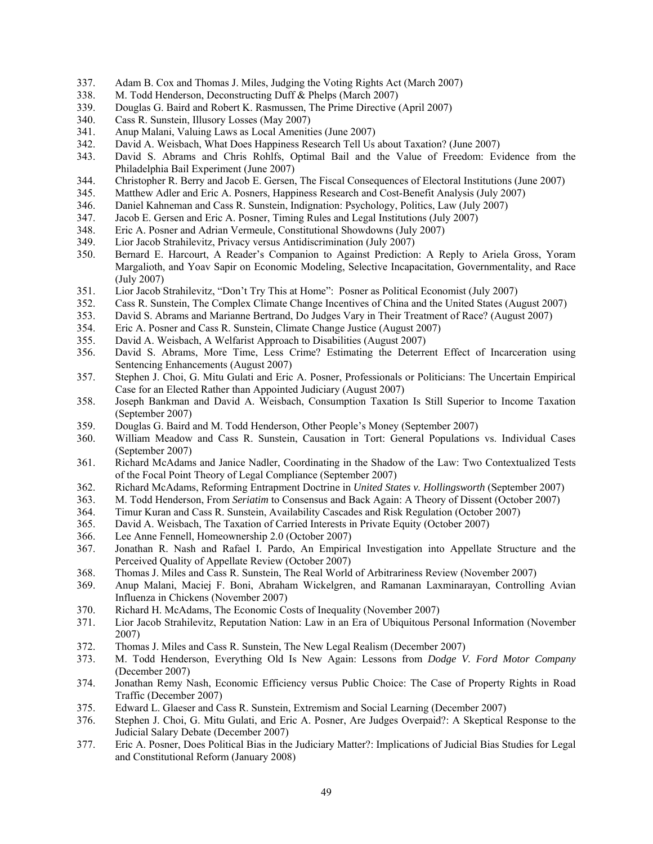- 337. Adam B. Cox and Thomas J. Miles, Judging the Voting Rights Act (March 2007)
- 338. M. Todd Henderson, Deconstructing Duff & Phelps (March 2007)
- 339. Douglas G. Baird and Robert K. Rasmussen, The Prime Directive (April 2007)
- 340. Cass R. Sunstein, Illusory Losses (May 2007)
- 341. Anup Malani, Valuing Laws as Local Amenities (June 2007)
- 342. David A. Weisbach, What Does Happiness Research Tell Us about Taxation? (June 2007)
- 343. David S. Abrams and Chris Rohlfs, Optimal Bail and the Value of Freedom: Evidence from the Philadelphia Bail Experiment (June 2007)
- 344. Christopher R. Berry and Jacob E. Gersen, The Fiscal Consequences of Electoral Institutions (June 2007)
- 345. Matthew Adler and Eric A. Posners, Happiness Research and Cost-Benefit Analysis (July 2007)
- 346. Daniel Kahneman and Cass R. Sunstein, Indignation: Psychology, Politics, Law (July 2007)
- 347. Jacob E. Gersen and Eric A. Posner, Timing Rules and Legal Institutions (July 2007)
- 348. Eric A. Posner and Adrian Vermeule, Constitutional Showdowns (July 2007)
- 349. Lior Jacob Strahilevitz, Privacy versus Antidiscrimination (July 2007)
- 350. Bernard E. Harcourt, A Reader's Companion to Against Prediction: A Reply to Ariela Gross, Yoram Margalioth, and Yoav Sapir on Economic Modeling, Selective Incapacitation, Governmentality, and Race (July 2007)
- 351. Lior Jacob Strahilevitz, "Don't Try This at Home": Posner as Political Economist (July 2007)
- 352. Cass R. Sunstein, The Complex Climate Change Incentives of China and the United States (August 2007)
- 353. David S. Abrams and Marianne Bertrand, Do Judges Vary in Their Treatment of Race? (August 2007)
- 354. Eric A. Posner and Cass R. Sunstein, Climate Change Justice (August 2007)
- 355. David A. Weisbach, A Welfarist Approach to Disabilities (August 2007)
- 356. David S. Abrams, More Time, Less Crime? Estimating the Deterrent Effect of Incarceration using Sentencing Enhancements (August 2007)
- 357. Stephen J. Choi, G. Mitu Gulati and Eric A. Posner, Professionals or Politicians: The Uncertain Empirical Case for an Elected Rather than Appointed Judiciary (August 2007)
- 358. Joseph Bankman and David A. Weisbach, Consumption Taxation Is Still Superior to Income Taxation (September 2007)
- 359. Douglas G. Baird and M. Todd Henderson, Other People's Money (September 2007)
- 360. William Meadow and Cass R. Sunstein, Causation in Tort: General Populations vs. Individual Cases (September 2007)
- 361. Richard McAdams and Janice Nadler, Coordinating in the Shadow of the Law: Two Contextualized Tests of the Focal Point Theory of Legal Compliance (September 2007)
- 362. Richard McAdams, Reforming Entrapment Doctrine in *United States v. Hollingsworth* (September 2007)
- 363. M. Todd Henderson, From *Seriatim* to Consensus and Back Again: A Theory of Dissent (October 2007)
- 364. Timur Kuran and Cass R. Sunstein, Availability Cascades and Risk Regulation (October 2007)
- 365. David A. Weisbach, The Taxation of Carried Interests in Private Equity (October 2007)
- 366. Lee Anne Fennell, Homeownership 2.0 (October 2007)
- 367. Jonathan R. Nash and Rafael I. Pardo, An Empirical Investigation into Appellate Structure and the Perceived Quality of Appellate Review (October 2007)
- 368. Thomas J. Miles and Cass R. Sunstein, The Real World of Arbitrariness Review (November 2007)
- 369. Anup Malani, Maciej F. Boni, Abraham Wickelgren, and Ramanan Laxminarayan, Controlling Avian Influenza in Chickens (November 2007)
- 370. Richard H. McAdams, The Economic Costs of Inequality (November 2007)
- 371. Lior Jacob Strahilevitz, Reputation Nation: Law in an Era of Ubiquitous Personal Information (November 2007)
- 372. Thomas J. Miles and Cass R. Sunstein, The New Legal Realism (December 2007)
- 373. M. Todd Henderson, Everything Old Is New Again: Lessons from *Dodge V. Ford Motor Company* (December 2007)
- 374. Jonathan Remy Nash, Economic Efficiency versus Public Choice: The Case of Property Rights in Road Traffic (December 2007)
- 375. Edward L. Glaeser and Cass R. Sunstein, Extremism and Social Learning (December 2007)
- 376. Stephen J. Choi, G. Mitu Gulati, and Eric A. Posner, Are Judges Overpaid?: A Skeptical Response to the Judicial Salary Debate (December 2007)
- 377. Eric A. Posner, Does Political Bias in the Judiciary Matter?: Implications of Judicial Bias Studies for Legal and Constitutional Reform (January 2008)